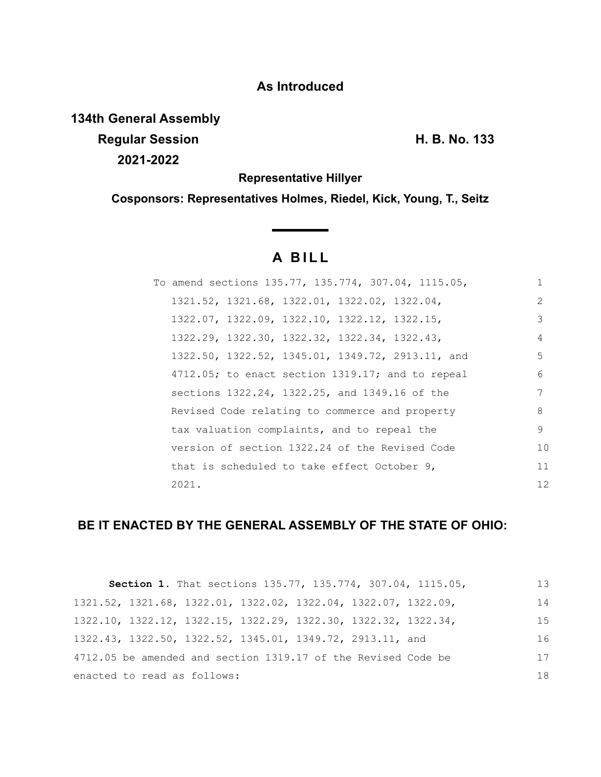# **As Introduced**

### **134th General Assembly**

**Regular Session H. B. No. 133 2021-2022**

**Representative Hillyer**

**Cosponsors: Representatives Holmes, Riedel, Kick, Young, T., Seitz**

**Service Contractor** 

# **A B I L L**

|       |  |  |                                                                                                                                                                                                                                                                                                                                                                                                                                                                                                                                                                   | 1             |
|-------|--|--|-------------------------------------------------------------------------------------------------------------------------------------------------------------------------------------------------------------------------------------------------------------------------------------------------------------------------------------------------------------------------------------------------------------------------------------------------------------------------------------------------------------------------------------------------------------------|---------------|
|       |  |  |                                                                                                                                                                                                                                                                                                                                                                                                                                                                                                                                                                   | $\mathcal{L}$ |
|       |  |  |                                                                                                                                                                                                                                                                                                                                                                                                                                                                                                                                                                   | 3             |
|       |  |  |                                                                                                                                                                                                                                                                                                                                                                                                                                                                                                                                                                   | 4             |
|       |  |  |                                                                                                                                                                                                                                                                                                                                                                                                                                                                                                                                                                   | 5             |
|       |  |  |                                                                                                                                                                                                                                                                                                                                                                                                                                                                                                                                                                   | 6             |
|       |  |  |                                                                                                                                                                                                                                                                                                                                                                                                                                                                                                                                                                   | 7             |
|       |  |  |                                                                                                                                                                                                                                                                                                                                                                                                                                                                                                                                                                   | 8             |
|       |  |  |                                                                                                                                                                                                                                                                                                                                                                                                                                                                                                                                                                   | 9             |
|       |  |  |                                                                                                                                                                                                                                                                                                                                                                                                                                                                                                                                                                   | 10            |
|       |  |  |                                                                                                                                                                                                                                                                                                                                                                                                                                                                                                                                                                   | 11            |
| 2021. |  |  |                                                                                                                                                                                                                                                                                                                                                                                                                                                                                                                                                                   | 12            |
|       |  |  | To amend sections 135.77, 135.774, 307.04, 1115.05,<br>1321.52, 1321.68, 1322.01, 1322.02, 1322.04,<br>1322.07, 1322.09, 1322.10, 1322.12, 1322.15,<br>1322.29, 1322.30, 1322.32, 1322.34, 1322.43,<br>1322.50, 1322.52, 1345.01, 1349.72, 2913.11, and<br>$4712.05$ ; to enact section 1319.17; and to repeal<br>sections 1322.24, 1322.25, and 1349.16 of the<br>Revised Code relating to commerce and property<br>tax valuation complaints, and to repeal the<br>version of section 1322.24 of the Revised Code<br>that is scheduled to take effect October 9, |               |

# **BE IT ENACTED BY THE GENERAL ASSEMBLY OF THE STATE OF OHIO:**

| Section 1. That sections 135.77, 135.774, 307.04, 1115.05,     | 13  |
|----------------------------------------------------------------|-----|
| 1321.52, 1321.68, 1322.01, 1322.02, 1322.04, 1322.07, 1322.09, | 14  |
| 1322.10, 1322.12, 1322.15, 1322.29, 1322.30, 1322.32, 1322.34, | 1.5 |
| 1322.43, 1322.50, 1322.52, 1345.01, 1349.72, 2913.11, and      | 16  |
| 4712.05 be amended and section 1319.17 of the Revised Code be  | 17  |
| enacted to read as follows:                                    | 18  |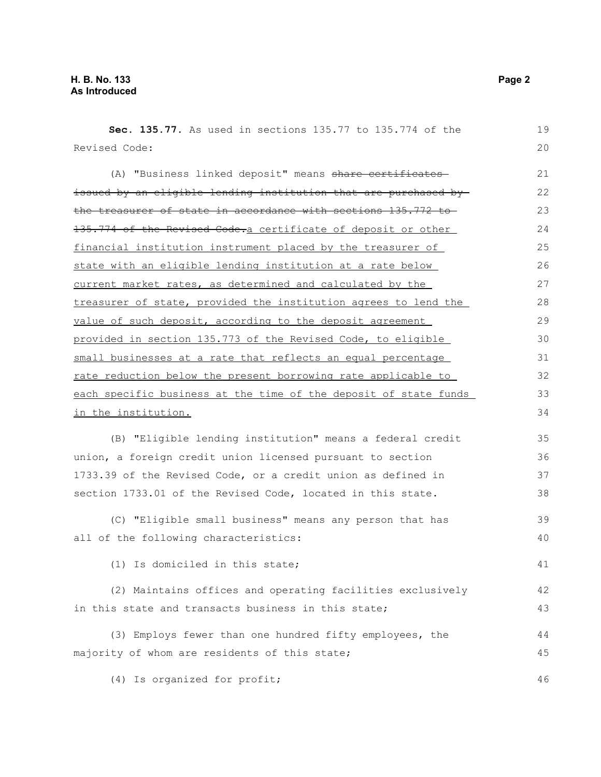**Sec. 135.77.** As used in sections 135.77 to 135.774 of the Revised Code: (A) "Business linked deposit" means share certificatesissued by an eligible lending institution that are purchased bythe treasurer of state in accordance with sections 135.772 to 135.774 of the Revised Code.a certificate of deposit or other financial institution instrument placed by the treasurer of state with an eligible lending institution at a rate below current market rates, as determined and calculated by the treasurer of state, provided the institution agrees to lend the value of such deposit, according to the deposit agreement provided in section 135.773 of the Revised Code, to eligible small businesses at a rate that reflects an equal percentage rate reduction below the present borrowing rate applicable to each specific business at the time of the deposit of state funds in the institution. (B) "Eligible lending institution" means a federal credit union, a foreign credit union licensed pursuant to section 1733.39 of the Revised Code, or a credit union as defined in section 1733.01 of the Revised Code, located in this state. (C) "Eligible small business" means any person that has all of the following characteristics: (1) Is domiciled in this state; (2) Maintains offices and operating facilities exclusively in this state and transacts business in this state; (3) Employs fewer than one hundred fifty employees, the majority of whom are residents of this state; (4) Is organized for profit; 19 20 21 22 23 24 25 26 27 28 29 30 31 32 33 34 35 36 37 38 39 40 41 42 43 44 45 46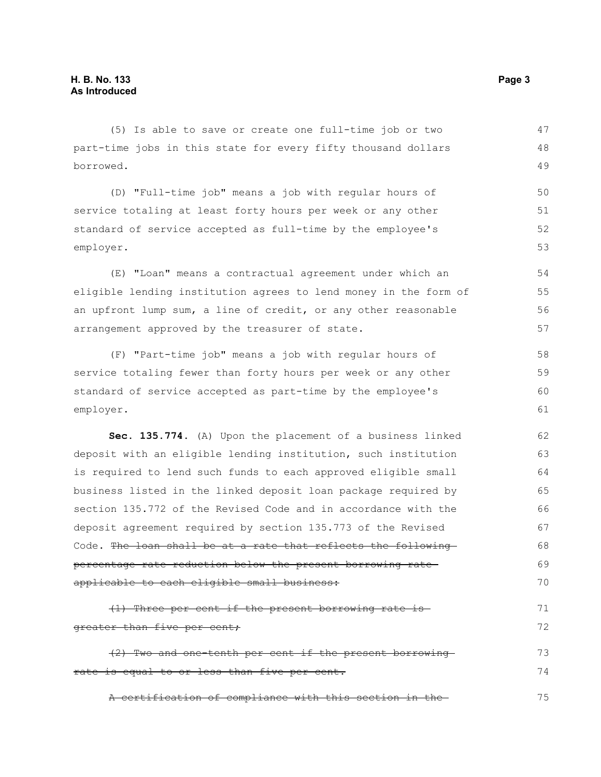(5) Is able to save or create one full-time job or two part-time jobs in this state for every fifty thousand dollars borrowed.

(D) "Full-time job" means a job with regular hours of service totaling at least forty hours per week or any other standard of service accepted as full-time by the employee's employer. 50 51 52 53

(E) "Loan" means a contractual agreement under which an eligible lending institution agrees to lend money in the form of an upfront lump sum, a line of credit, or any other reasonable arrangement approved by the treasurer of state. 54 55 56 57

(F) "Part-time job" means a job with regular hours of service totaling fewer than forty hours per week or any other standard of service accepted as part-time by the employee's employer.

**Sec. 135.774.** (A) Upon the placement of a business linked deposit with an eligible lending institution, such institution is required to lend such funds to each approved eligible small business listed in the linked deposit loan package required by section 135.772 of the Revised Code and in accordance with the deposit agreement required by section 135.773 of the Revised Code. The loan shall be at a rate that reflects the following percentage rate reduction below the present borrowing rate applicable to each eligible small business: 62 63 64 65 66 67 68 69 70

(1) Three per cent if the present borrowing rate is greater than five per cent; 71 72

(2) Two and one-tenth per cent if the present borrowing rate is equal to or less than five per cent. 73 74

A certification of compliance with this section in the

47 48 49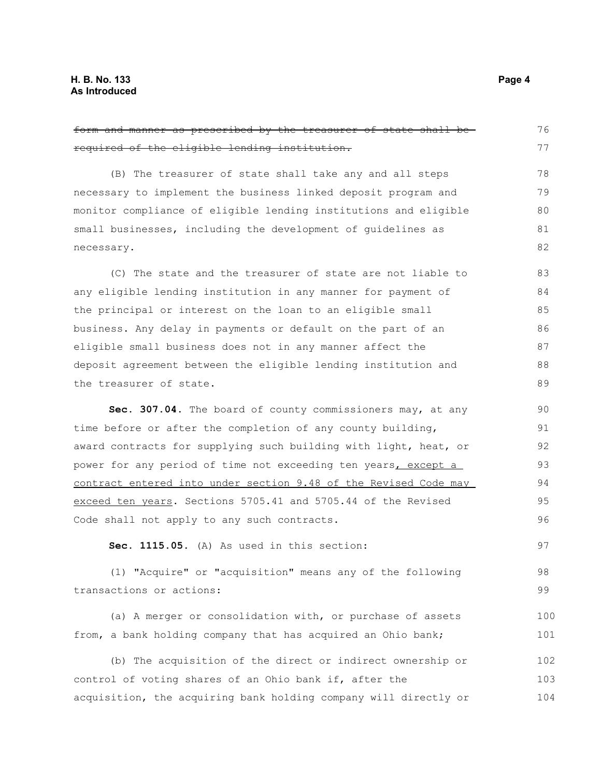| form and manner as prescribed by the treasurer of state shall be- | 76  |
|-------------------------------------------------------------------|-----|
| required of the eligible lending institution.                     | 77  |
| (B) The treasurer of state shall take any and all steps           | 78  |
| necessary to implement the business linked deposit program and    | 79  |
| monitor compliance of eligible lending institutions and eligible  | 80  |
| small businesses, including the development of guidelines as      | 81  |
| necessary.                                                        | 82  |
| (C) The state and the treasurer of state are not liable to        | 83  |
| any eligible lending institution in any manner for payment of     | 84  |
| the principal or interest on the loan to an eligible small        | 85  |
| business. Any delay in payments or default on the part of an      | 86  |
| eligible small business does not in any manner affect the         | 87  |
| deposit agreement between the eligible lending institution and    | 88  |
| the treasurer of state.                                           | 89  |
| Sec. 307.04. The board of county commissioners may, at any        | 90  |
| time before or after the completion of any county building,       | 91  |
| award contracts for supplying such building with light, heat, or  | 92  |
| power for any period of time not exceeding ten years, except a    | 93  |
| contract entered into under section 9.48 of the Revised Code may  | 94  |
| exceed ten years. Sections 5705.41 and 5705.44 of the Revised     | 95  |
| Code shall not apply to any such contracts.                       | 96  |
| Sec. 1115.05. (A) As used in this section:                        | 97  |
| (1) "Acquire" or "acquisition" means any of the following         | 98  |
| transactions or actions:                                          | 99  |
| (a) A merger or consolidation with, or purchase of assets         | 100 |
| from, a bank holding company that has acquired an Ohio bank;      | 101 |
| (b) The acquisition of the direct or indirect ownership or        | 102 |
| control of voting shares of an Ohio bank if, after the            | 103 |
| acquisition, the acquiring bank holding company will directly or  | 104 |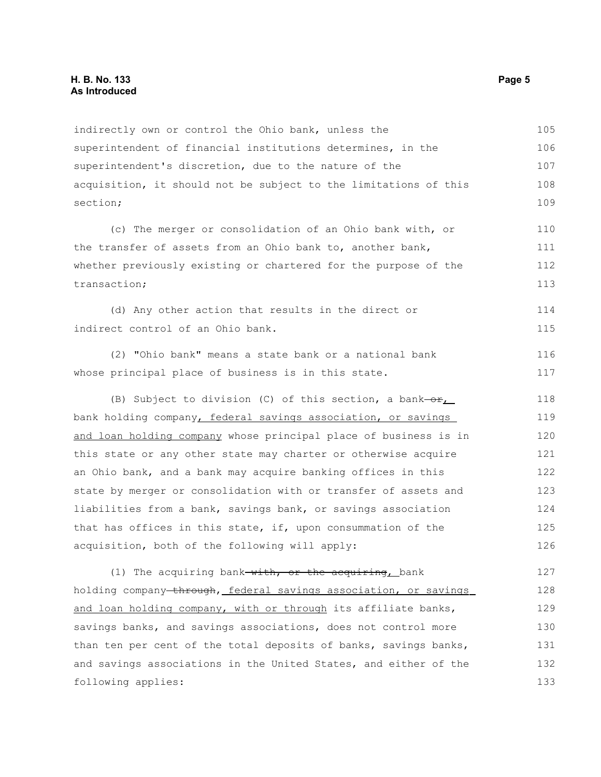### **H. B. No. 133 Page 5 As Introduced**

indirectly own or control the Ohio bank, unless the superintendent of financial institutions determines, in the superintendent's discretion, due to the nature of the acquisition, it should not be subject to the limitations of this section; 105 106 107 108 109

(c) The merger or consolidation of an Ohio bank with, or the transfer of assets from an Ohio bank to, another bank, whether previously existing or chartered for the purpose of the transaction; 110 111 112 113

(d) Any other action that results in the direct or indirect control of an Ohio bank. 114 115

(2) "Ohio bank" means a state bank or a national bank whose principal place of business is in this state. 116 117

(B) Subject to division (C) of this section, a bank- $o_{r}$ bank holding company, federal savings association, or savings and loan holding company whose principal place of business is in this state or any other state may charter or otherwise acquire an Ohio bank, and a bank may acquire banking offices in this state by merger or consolidation with or transfer of assets and liabilities from a bank, savings bank, or savings association that has offices in this state, if, upon consummation of the acquisition, both of the following will apply: 118 119 120 121 122 123 124 125 126

(1) The acquiring bank- $with$ , or the acquiring, bank holding company through, federal savings association, or savings and loan holding company, with or through its affiliate banks, savings banks, and savings associations, does not control more than ten per cent of the total deposits of banks, savings banks, and savings associations in the United States, and either of the following applies: 127 128 129 130 131 132 133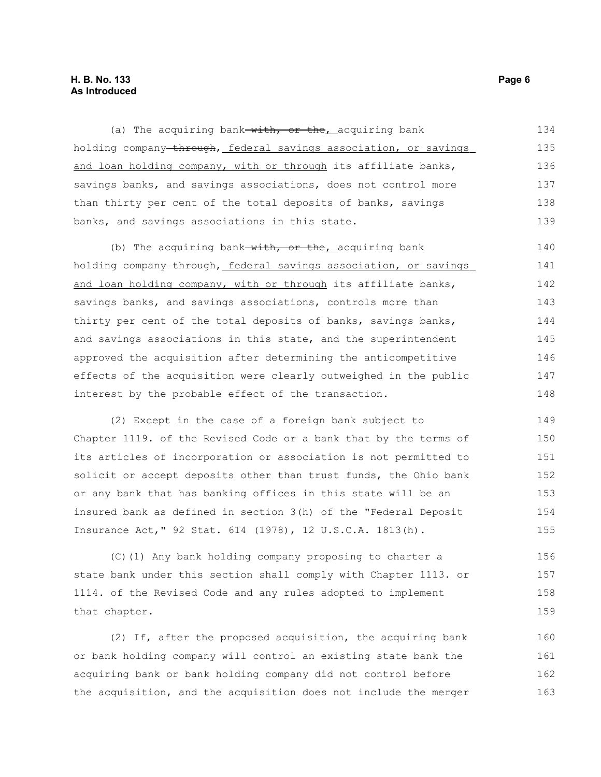### **H. B. No. 133 Page 6 As Introduced**

(a) The acquiring bank- $with$ , or the, acquiring bank holding company through, federal savings association, or savings and loan holding company, with or through its affiliate banks, savings banks, and savings associations, does not control more than thirty per cent of the total deposits of banks, savings banks, and savings associations in this state. 134 135 136 137 138 139

(b) The acquiring bank  $with$ , or the, acquiring bank holding company-through, federal savings association, or savings and loan holding company, with or through its affiliate banks, savings banks, and savings associations, controls more than thirty per cent of the total deposits of banks, savings banks, and savings associations in this state, and the superintendent approved the acquisition after determining the anticompetitive effects of the acquisition were clearly outweighed in the public interest by the probable effect of the transaction. 140 141 142 143 144 145 146 147 148

(2) Except in the case of a foreign bank subject to Chapter 1119. of the Revised Code or a bank that by the terms of its articles of incorporation or association is not permitted to solicit or accept deposits other than trust funds, the Ohio bank or any bank that has banking offices in this state will be an insured bank as defined in section 3(h) of the "Federal Deposit Insurance Act," 92 Stat. 614 (1978), 12 U.S.C.A. 1813(h). 149 150 151 152 153 154 155

(C)(1) Any bank holding company proposing to charter a state bank under this section shall comply with Chapter 1113. or 1114. of the Revised Code and any rules adopted to implement that chapter.

(2) If, after the proposed acquisition, the acquiring bank or bank holding company will control an existing state bank the acquiring bank or bank holding company did not control before the acquisition, and the acquisition does not include the merger 160 161 162 163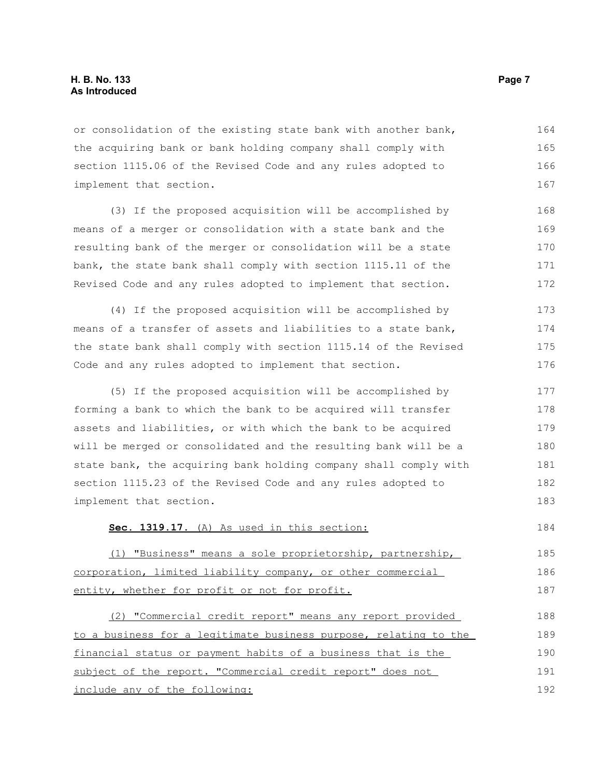or consolidation of the existing state bank with another bank, the acquiring bank or bank holding company shall comply with section 1115.06 of the Revised Code and any rules adopted to implement that section. 164 165 166 167

(3) If the proposed acquisition will be accomplished by means of a merger or consolidation with a state bank and the resulting bank of the merger or consolidation will be a state bank, the state bank shall comply with section 1115.11 of the Revised Code and any rules adopted to implement that section. 168 169 170 171 172

(4) If the proposed acquisition will be accomplished by means of a transfer of assets and liabilities to a state bank, the state bank shall comply with section 1115.14 of the Revised Code and any rules adopted to implement that section. 173 174 175 176

(5) If the proposed acquisition will be accomplished by forming a bank to which the bank to be acquired will transfer assets and liabilities, or with which the bank to be acquired will be merged or consolidated and the resulting bank will be a state bank, the acquiring bank holding company shall comply with section 1115.23 of the Revised Code and any rules adopted to implement that section. 177 178 179 180 181 182 183

 **Sec. 1319.17.** (A) As used in this section: (1) "Business" means a sole proprietorship, partnership, corporation, limited liability company, or other commercial entity, whether for profit or not for profit. 184 185 186 187

(2) "Commercial credit report" means any report provided to a business for a legitimate business purpose, relating to the financial status or payment habits of a business that is the subject of the report. "Commercial credit report" does not include any of the following: 188 189 190 191 192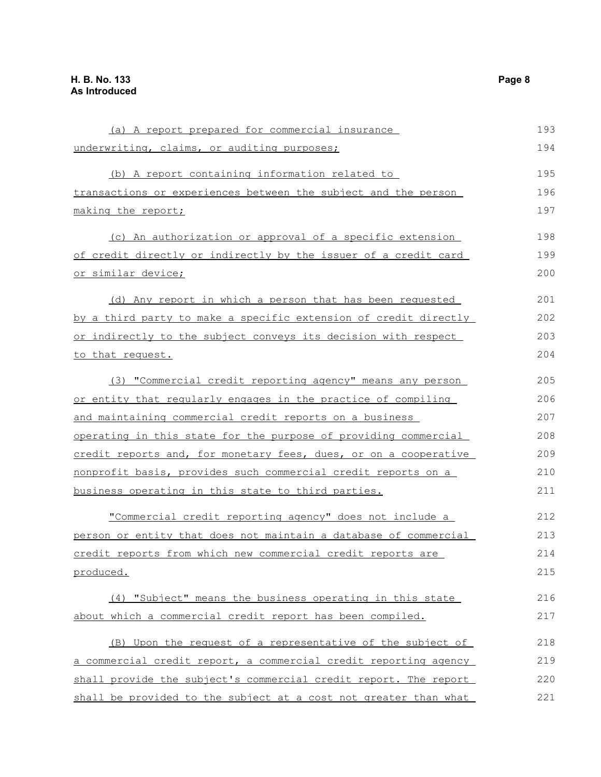| (a) A report prepared for commercial insurance                   | 193 |
|------------------------------------------------------------------|-----|
| underwriting, claims, or auditing purposes;                      | 194 |
| (b) A report containing information related to                   | 195 |
| transactions or experiences between the subject and the person   | 196 |
| making the report;                                               | 197 |
| (c) An authorization or approval of a specific extension         | 198 |
| of credit directly or indirectly by the issuer of a credit card  | 199 |
| or similar device;                                               | 200 |
| (d) Any report in which a person that has been requested         | 201 |
| by a third party to make a specific extension of credit directly | 202 |
| or indirectly to the subject conveys its decision with respect   | 203 |
| to that request.                                                 | 204 |
| (3) "Commercial credit reporting agency" means any person        | 205 |
| or entity that regularly engages in the practice of compiling    | 206 |
| and maintaining commercial credit reports on a business          | 207 |
| operating in this state for the purpose of providing commercial  | 208 |
| credit reports and, for monetary fees, dues, or on a cooperative | 209 |
| nonprofit basis, provides such commercial credit reports on a    | 210 |
| business operating in this state to third parties.               | 211 |
| "Commercial credit reporting agency" does not include a          | 212 |
| person or entity that does not maintain a database of commercial | 213 |
| credit reports from which new commercial credit reports are      | 214 |
| produced.                                                        | 215 |
| (4) "Subject" means the business operating in this state         | 216 |
| about which a commercial credit report has been compiled.        | 217 |
| (B) Upon the request of a representative of the subject of       | 218 |
| a commercial credit report, a commercial credit reporting agency | 219 |
| shall provide the subject's commercial credit report. The report | 220 |
| shall be provided to the subject at a cost not greater than what | 221 |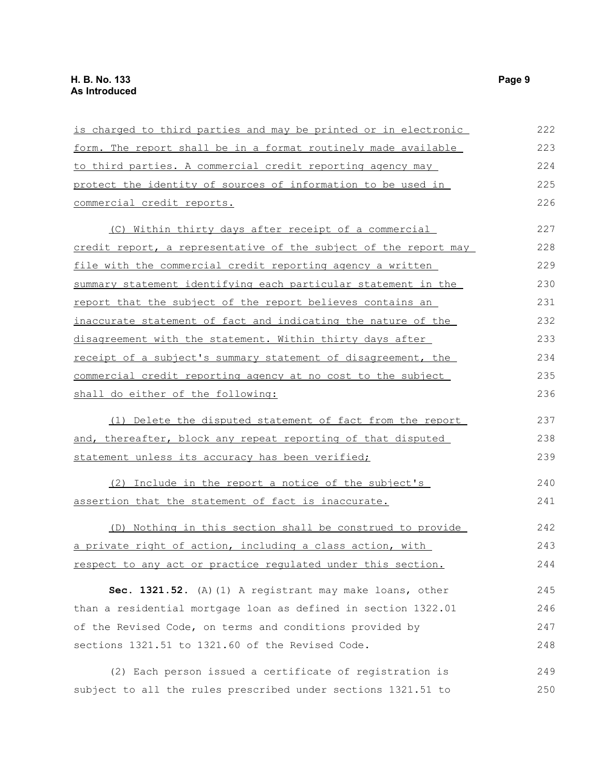| is charged to third parties and may be printed or in electronic      | 222 |
|----------------------------------------------------------------------|-----|
| form. The report shall be in a format routinely made available       | 223 |
| to third parties. A commercial credit reporting agency may           | 224 |
| protect the identity of sources of information to be used in         | 225 |
| commercial credit reports.                                           | 226 |
| (C) Within thirty days after receipt of a commercial                 | 227 |
| credit report, a representative of the subject of the report may     | 228 |
| file with the commercial credit reporting agency a written           | 229 |
| summary statement identifying each particular statement in the       | 230 |
| report that the subject of the report believes contains an           | 231 |
| inaccurate statement of fact and indicating the nature of the        | 232 |
| disagreement with the statement. Within thirty days after            | 233 |
| <u>receipt of a subject's summary statement of disagreement, the</u> | 234 |
| commercial credit reporting agency at no cost to the subject         | 235 |
| shall do either of the following:                                    | 236 |
| (1) Delete the disputed statement of fact from the report            | 237 |
| <u>and, thereafter, block any repeat reporting of that disputed</u>  | 238 |
| statement unless its accuracy has been verified;                     | 239 |
| (2) Include in the report a notice of the subject's                  | 240 |
| assertion that the statement of fact is inaccurate.                  | 241 |
| (D) Nothing in this section shall be construed to provide            | 242 |
| a private right of action, including a class action, with            | 243 |
| respect to any act or practice regulated under this section.         | 244 |
| Sec. 1321.52. (A) (1) A registrant may make loans, other             | 245 |
| than a residential mortgage loan as defined in section 1322.01       | 246 |
| of the Revised Code, on terms and conditions provided by             | 247 |
| sections 1321.51 to 1321.60 of the Revised Code.                     | 248 |
| (2) Each person issued a certificate of registration is              | 249 |
| subject to all the rules prescribed under sections 1321.51 to        | 250 |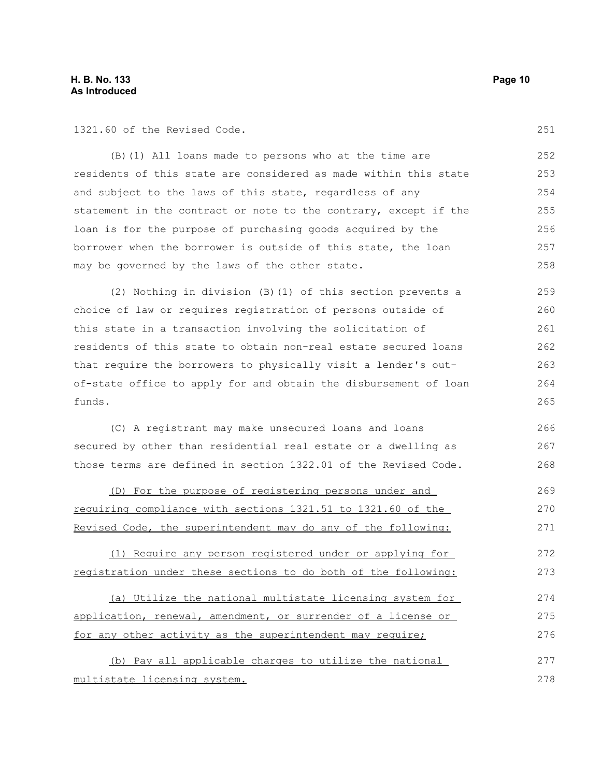1321.60 of the Revised Code.

251

| (B) (1) All loans made to persons who at the time are            | 252 |
|------------------------------------------------------------------|-----|
| residents of this state are considered as made within this state | 253 |
| and subject to the laws of this state, regardless of any         | 254 |
| statement in the contract or note to the contrary, except if the | 255 |
| loan is for the purpose of purchasing goods acquired by the      | 256 |
| borrower when the borrower is outside of this state, the loan    | 257 |
| may be governed by the laws of the other state.                  | 258 |

(2) Nothing in division (B)(1) of this section prevents a choice of law or requires registration of persons outside of this state in a transaction involving the solicitation of residents of this state to obtain non-real estate secured loans that require the borrowers to physically visit a lender's outof-state office to apply for and obtain the disbursement of loan funds. 259 260 261 262 263 264 265

(C) A registrant may make unsecured loans and loans secured by other than residential real estate or a dwelling as those terms are defined in section 1322.01 of the Revised Code. 266 267 268

| (D) For the purpose of registering persons under and          | 269 |
|---------------------------------------------------------------|-----|
| requiring compliance with sections 1321.51 to 1321.60 of the  | 270 |
| Revised Code, the superintendent may do any of the following: | 271 |
|                                                               |     |

(1) Require any person registered under or applying for registration under these sections to do both of the following: 272 273

(a) Utilize the national multistate licensing system for application, renewal, amendment, or surrender of a license or for any other activity as the superintendent may require; 274 275 276

(b) Pay all applicable charges to utilize the national multistate licensing system. 277 278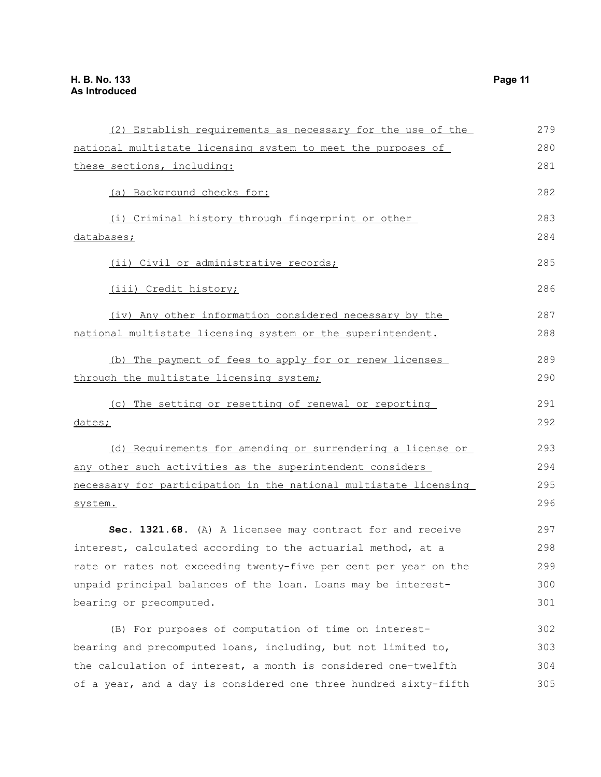| (2) Establish requirements as necessary for the use of the       | 279 |
|------------------------------------------------------------------|-----|
| national multistate licensing system to meet the purposes of     | 280 |
| these sections, including:                                       | 281 |
| (a) Background checks for:                                       | 282 |
| (i) Criminal history through fingerprint or other                | 283 |
| databases;                                                       | 284 |
| (ii) Civil or administrative records;                            | 285 |
| (iii) Credit history;                                            | 286 |
| (iv) Any other information considered necessary by the           | 287 |
| national multistate licensing system or the superintendent.      | 288 |
| (b) The payment of fees to apply for or renew licenses           | 289 |
| through the multistate licensing system;                         | 290 |
| (c) The setting or resetting of renewal or reporting             | 291 |
| dates;                                                           | 292 |
| (d) Requirements for amending or surrendering a license or       | 293 |
| any other such activities as the superintendent considers        | 294 |
| necessary for participation in the national multistate licensing | 295 |
| system.                                                          | 296 |
| Sec. 1321.68. (A) A licensee may contract for and receive        | 297 |
| interest, calculated according to the actuarial method, at a     | 298 |
| rate or rates not exceeding twenty-five per cent per year on the | 299 |
| unpaid principal balances of the loan. Loans may be interest-    | 300 |
| bearing or precomputed.                                          | 301 |
| (B) For purposes of computation of time on interest-             | 302 |
| bearing and precomputed loans, including, but not limited to,    | 303 |
| the calculation of interest, a month is considered one-twelfth   | 304 |
| of a year, and a day is considered one three hundred sixty-fifth | 305 |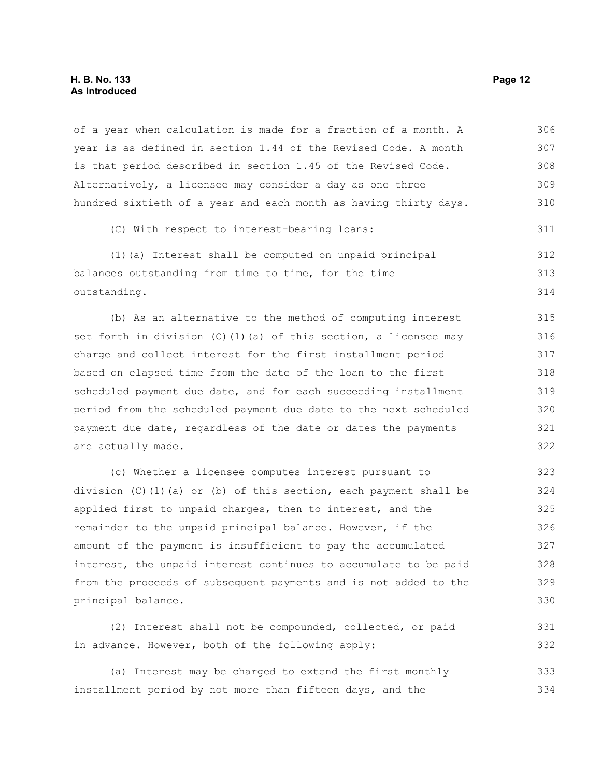#### **H. B. No. 133 Page 12 As Introduced**

of a year when calculation is made for a fraction of a month. A year is as defined in section 1.44 of the Revised Code. A month is that period described in section 1.45 of the Revised Code. Alternatively, a licensee may consider a day as one three hundred sixtieth of a year and each month as having thirty days. 306 307 308 309 310

(C) With respect to interest-bearing loans: 311

(1)(a) Interest shall be computed on unpaid principal balances outstanding from time to time, for the time outstanding. 312 313 314

(b) As an alternative to the method of computing interest set forth in division  $(C)$  (1)(a) of this section, a licensee may charge and collect interest for the first installment period based on elapsed time from the date of the loan to the first scheduled payment due date, and for each succeeding installment period from the scheduled payment due date to the next scheduled payment due date, regardless of the date or dates the payments are actually made.

(c) Whether a licensee computes interest pursuant to division (C)(1)(a) or (b) of this section, each payment shall be applied first to unpaid charges, then to interest, and the remainder to the unpaid principal balance. However, if the amount of the payment is insufficient to pay the accumulated interest, the unpaid interest continues to accumulate to be paid from the proceeds of subsequent payments and is not added to the principal balance. 323 324 325 326 327 328 329 330

(2) Interest shall not be compounded, collected, or paid in advance. However, both of the following apply:

(a) Interest may be charged to extend the first monthly installment period by not more than fifteen days, and the 333 334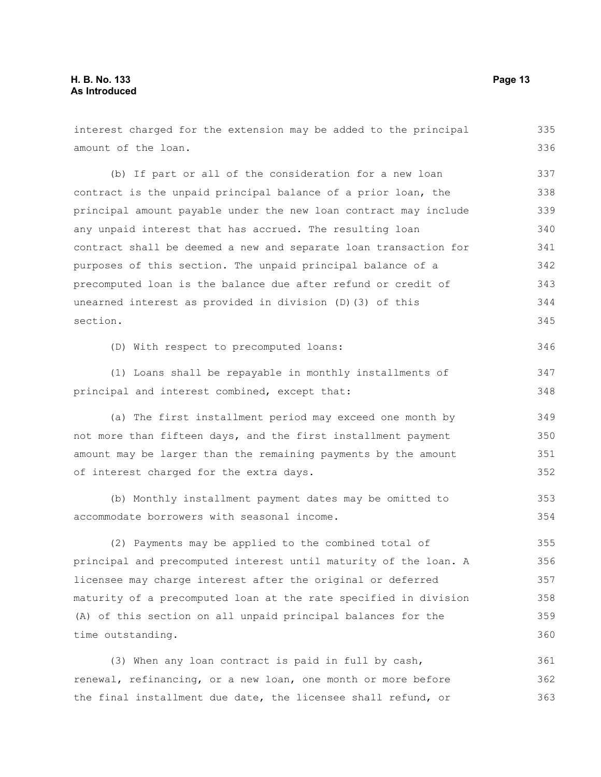interest charged for the extension may be added to the principal amount of the loan. (b) If part or all of the consideration for a new loan contract is the unpaid principal balance of a prior loan, the principal amount payable under the new loan contract may include any unpaid interest that has accrued. The resulting loan contract shall be deemed a new and separate loan transaction for purposes of this section. The unpaid principal balance of a precomputed loan is the balance due after refund or credit of unearned interest as provided in division (D)(3) of this section. (D) With respect to precomputed loans: (1) Loans shall be repayable in monthly installments of principal and interest combined, except that: (a) The first installment period may exceed one month by not more than fifteen days, and the first installment payment amount may be larger than the remaining payments by the amount of interest charged for the extra days. (b) Monthly installment payment dates may be omitted to accommodate borrowers with seasonal income. (2) Payments may be applied to the combined total of principal and precomputed interest until maturity of the loan. A licensee may charge interest after the original or deferred maturity of a precomputed loan at the rate specified in division (A) of this section on all unpaid principal balances for the time outstanding. (3) When any loan contract is paid in full by cash, renewal, refinancing, or a new loan, one month or more before the final installment due date, the licensee shall refund, or 335 336 337 338 339 340 341 342 343 344 345 346 347 348 349 350 351 352 353 354 355 356 357 358 359 360 361 362 363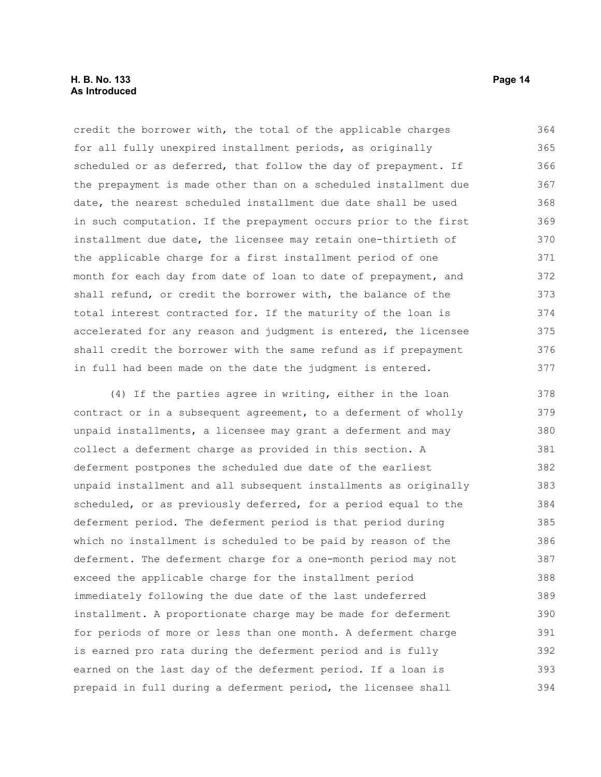### **H. B. No. 133 Page 14 As Introduced**

credit the borrower with, the total of the applicable charges for all fully unexpired installment periods, as originally scheduled or as deferred, that follow the day of prepayment. If the prepayment is made other than on a scheduled installment due date, the nearest scheduled installment due date shall be used in such computation. If the prepayment occurs prior to the first installment due date, the licensee may retain one-thirtieth of the applicable charge for a first installment period of one month for each day from date of loan to date of prepayment, and shall refund, or credit the borrower with, the balance of the total interest contracted for. If the maturity of the loan is accelerated for any reason and judgment is entered, the licensee shall credit the borrower with the same refund as if prepayment in full had been made on the date the judgment is entered. 364 365 366 367 368 369 370 371 372 373 374 375 376 377

(4) If the parties agree in writing, either in the loan contract or in a subsequent agreement, to a deferment of wholly unpaid installments, a licensee may grant a deferment and may collect a deferment charge as provided in this section. A deferment postpones the scheduled due date of the earliest unpaid installment and all subsequent installments as originally scheduled, or as previously deferred, for a period equal to the deferment period. The deferment period is that period during which no installment is scheduled to be paid by reason of the deferment. The deferment charge for a one-month period may not exceed the applicable charge for the installment period immediately following the due date of the last undeferred installment. A proportionate charge may be made for deferment for periods of more or less than one month. A deferment charge is earned pro rata during the deferment period and is fully earned on the last day of the deferment period. If a loan is prepaid in full during a deferment period, the licensee shall 378 379 380 381 382 383 384 385 386 387 388 389 390 391 392 393 394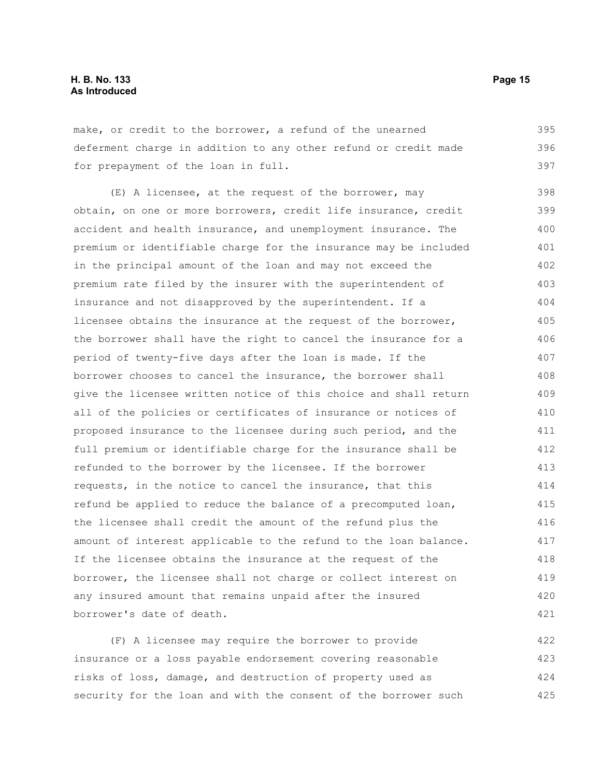make, or credit to the borrower, a refund of the unearned deferment charge in addition to any other refund or credit made for prepayment of the loan in full. 395 396 397

(E) A licensee, at the request of the borrower, may obtain, on one or more borrowers, credit life insurance, credit accident and health insurance, and unemployment insurance. The premium or identifiable charge for the insurance may be included in the principal amount of the loan and may not exceed the premium rate filed by the insurer with the superintendent of insurance and not disapproved by the superintendent. If a licensee obtains the insurance at the request of the borrower, the borrower shall have the right to cancel the insurance for a period of twenty-five days after the loan is made. If the borrower chooses to cancel the insurance, the borrower shall give the licensee written notice of this choice and shall return all of the policies or certificates of insurance or notices of proposed insurance to the licensee during such period, and the full premium or identifiable charge for the insurance shall be refunded to the borrower by the licensee. If the borrower requests, in the notice to cancel the insurance, that this refund be applied to reduce the balance of a precomputed loan, the licensee shall credit the amount of the refund plus the amount of interest applicable to the refund to the loan balance. If the licensee obtains the insurance at the request of the borrower, the licensee shall not charge or collect interest on any insured amount that remains unpaid after the insured borrower's date of death. 398 399 400 401 402 403 404 405 406 407 408 409 410 411 412 413 414 415 416 417 418 419 420 421

(F) A licensee may require the borrower to provide insurance or a loss payable endorsement covering reasonable risks of loss, damage, and destruction of property used as security for the loan and with the consent of the borrower such 422 423 424 425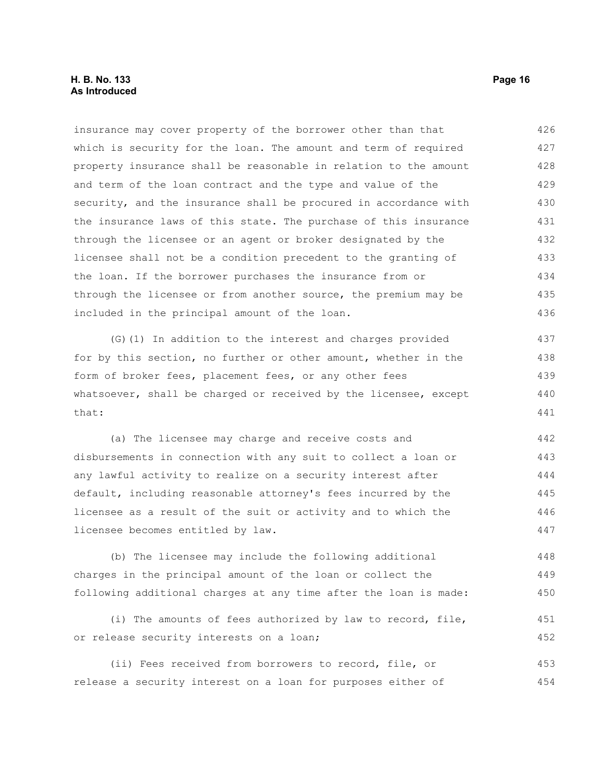### **H. B. No. 133 Page 16 As Introduced**

insurance may cover property of the borrower other than that which is security for the loan. The amount and term of required property insurance shall be reasonable in relation to the amount and term of the loan contract and the type and value of the security, and the insurance shall be procured in accordance with the insurance laws of this state. The purchase of this insurance through the licensee or an agent or broker designated by the licensee shall not be a condition precedent to the granting of the loan. If the borrower purchases the insurance from or through the licensee or from another source, the premium may be included in the principal amount of the loan. 426 427 428 429 430 431 432 433 434 435 436

(G)(1) In addition to the interest and charges provided for by this section, no further or other amount, whether in the form of broker fees, placement fees, or any other fees whatsoever, shall be charged or received by the licensee, except that: 437 438 439 440 441

(a) The licensee may charge and receive costs and disbursements in connection with any suit to collect a loan or any lawful activity to realize on a security interest after default, including reasonable attorney's fees incurred by the licensee as a result of the suit or activity and to which the licensee becomes entitled by law. 442 443 444 445 446 447

(b) The licensee may include the following additional charges in the principal amount of the loan or collect the following additional charges at any time after the loan is made: 448 449 450

(i) The amounts of fees authorized by law to record, file, or release security interests on a loan; 451 452

(ii) Fees received from borrowers to record, file, or release a security interest on a loan for purposes either of 453 454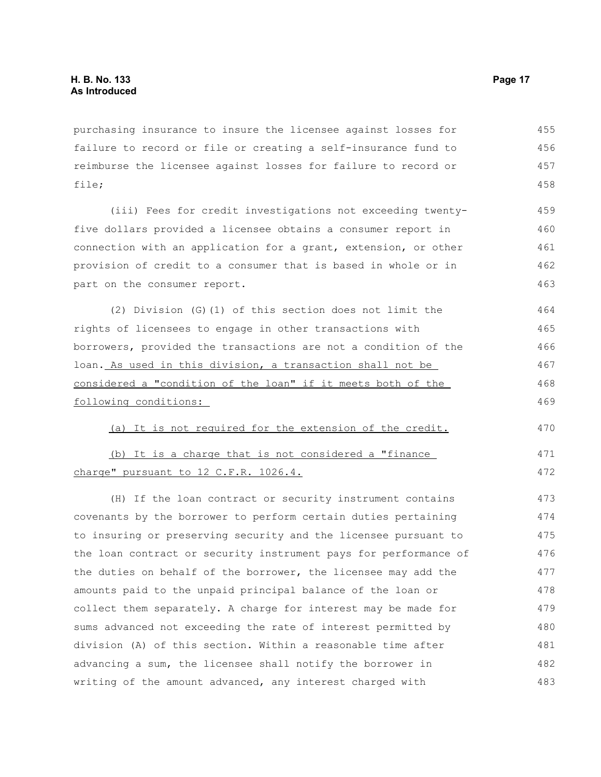purchasing insurance to insure the licensee against losses for failure to record or file or creating a self-insurance fund to reimburse the licensee against losses for failure to record or file; 455 456 457 458

(iii) Fees for credit investigations not exceeding twentyfive dollars provided a licensee obtains a consumer report in connection with an application for a grant, extension, or other provision of credit to a consumer that is based in whole or in part on the consumer report. 459 460 461 462 463

(2) Division (G)(1) of this section does not limit the rights of licensees to engage in other transactions with borrowers, provided the transactions are not a condition of the loan. As used in this division, a transaction shall not be considered a "condition of the loan" if it meets both of the following conditions: 464 465 466 467 468 469

(a) It is not required for the extension of the credit. 470

#### (b) It is a charge that is not considered a "finance charge" pursuant to 12 C.F.R. 1026.4. 471 472

(H) If the loan contract or security instrument contains covenants by the borrower to perform certain duties pertaining to insuring or preserving security and the licensee pursuant to the loan contract or security instrument pays for performance of the duties on behalf of the borrower, the licensee may add the amounts paid to the unpaid principal balance of the loan or collect them separately. A charge for interest may be made for sums advanced not exceeding the rate of interest permitted by division (A) of this section. Within a reasonable time after advancing a sum, the licensee shall notify the borrower in writing of the amount advanced, any interest charged with 473 474 475 476 477 478 479 480 481 482 483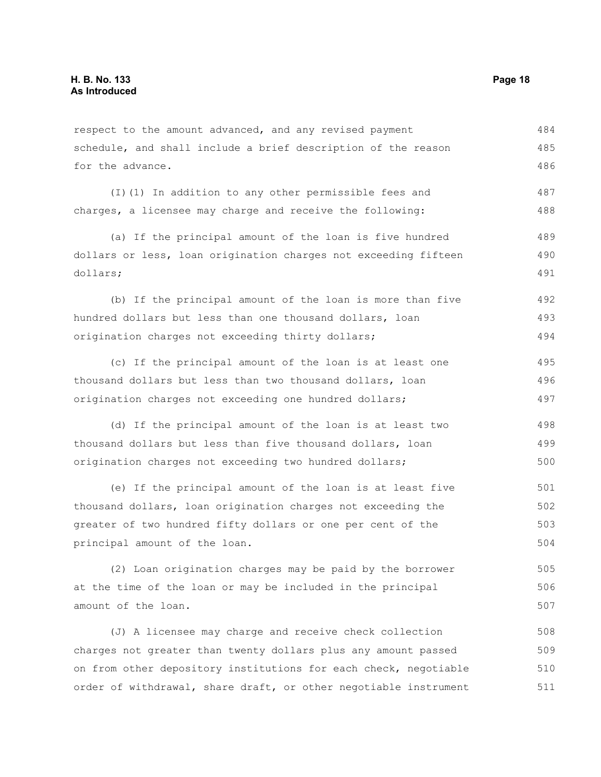respect to the amount advanced, and any revised payment schedule, and shall include a brief description of the reason for the advance. 484 485 486

(I)(1) In addition to any other permissible fees and charges, a licensee may charge and receive the following: 487 488

(a) If the principal amount of the loan is five hundred dollars or less, loan origination charges not exceeding fifteen dollars; 489 490 491

(b) If the principal amount of the loan is more than five hundred dollars but less than one thousand dollars, loan origination charges not exceeding thirty dollars; 492 493 494

(c) If the principal amount of the loan is at least one thousand dollars but less than two thousand dollars, loan origination charges not exceeding one hundred dollars; 495 496 497

(d) If the principal amount of the loan is at least two thousand dollars but less than five thousand dollars, loan origination charges not exceeding two hundred dollars; 498 499 500

(e) If the principal amount of the loan is at least five thousand dollars, loan origination charges not exceeding the greater of two hundred fifty dollars or one per cent of the principal amount of the loan. 501 502 503 504

(2) Loan origination charges may be paid by the borrower at the time of the loan or may be included in the principal amount of the loan. 505 506 507

(J) A licensee may charge and receive check collection charges not greater than twenty dollars plus any amount passed on from other depository institutions for each check, negotiable order of withdrawal, share draft, or other negotiable instrument 508 509 510 511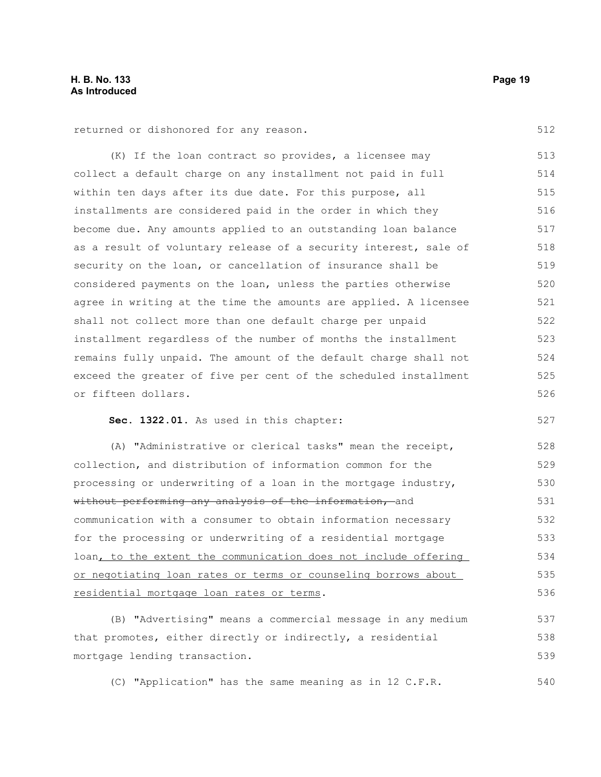512

527

returned or dishonored for any reason.

(K) If the loan contract so provides, a licensee may collect a default charge on any installment not paid in full within ten days after its due date. For this purpose, all installments are considered paid in the order in which they become due. Any amounts applied to an outstanding loan balance as a result of voluntary release of a security interest, sale of security on the loan, or cancellation of insurance shall be considered payments on the loan, unless the parties otherwise agree in writing at the time the amounts are applied. A licensee shall not collect more than one default charge per unpaid installment regardless of the number of months the installment remains fully unpaid. The amount of the default charge shall not exceed the greater of five per cent of the scheduled installment or fifteen dollars. 513 514 515 516 517 518 519 520 521 522 523 524 525 526

**Sec. 1322.01.** As used in this chapter:

(A) "Administrative or clerical tasks" mean the receipt, collection, and distribution of information common for the processing or underwriting of a loan in the mortgage industry, without performing any analysis of the information, and communication with a consumer to obtain information necessary for the processing or underwriting of a residential mortgage loan, to the extent the communication does not include offering or negotiating loan rates or terms or counseling borrows about residential mortgage loan rates or terms. 528 529 530 531 532 533 534 535 536

(B) "Advertising" means a commercial message in any medium that promotes, either directly or indirectly, a residential mortgage lending transaction. 537 538 539

(C) "Application" has the same meaning as in 12 C.F.R. 540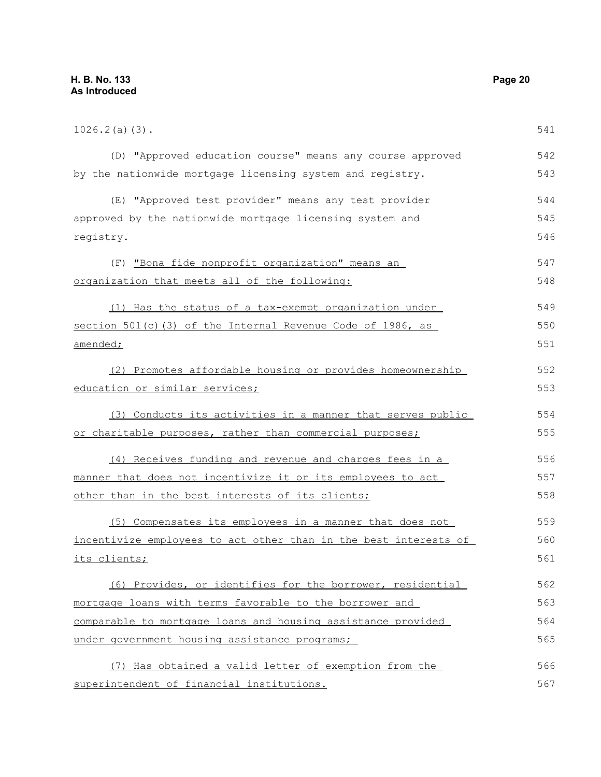1026.2(a)(3). (D) "Approved education course" means any course approved by the nationwide mortgage licensing system and registry. (E) "Approved test provider" means any test provider approved by the nationwide mortgage licensing system and registry. (F) "Bona fide nonprofit organization" means an organization that meets all of the following: (1) Has the status of a tax-exempt organization under section 501(c)(3) of the Internal Revenue Code of 1986, as amended; (2) Promotes affordable housing or provides homeownership education or similar services; (3) Conducts its activities in a manner that serves public or charitable purposes, rather than commercial purposes; (4) Receives funding and revenue and charges fees in a manner that does not incentivize it or its employees to act other than in the best interests of its clients; (5) Compensates its employees in a manner that does not incentivize employees to act other than in the best interests of its clients; (6) Provides, or identifies for the borrower, residential mortgage loans with terms favorable to the borrower and comparable to mortgage loans and housing assistance provided under government housing assistance programs; (7) Has obtained a valid letter of exemption from the 541 542 543 544 545 546 547 548 549 550 551 552 553 554 555 556 557 558 559 560 561 562 563 564 565 566

superintendent of financial institutions.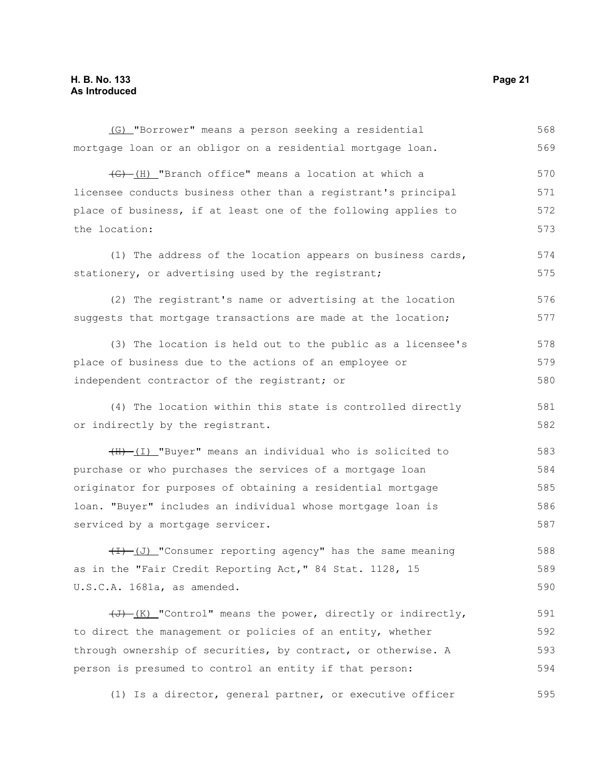### **H. B. No. 133 Page 21 As Introduced**

| (G) "Borrower" means a person seeking a residential                   | 568 |
|-----------------------------------------------------------------------|-----|
| mortgage loan or an obligor on a residential mortgage loan.           | 569 |
| (G) (H) "Branch office" means a location at which a                   | 570 |
| licensee conducts business other than a registrant's principal        | 571 |
| place of business, if at least one of the following applies to        | 572 |
| the location:                                                         | 573 |
| (1) The address of the location appears on business cards,            | 574 |
| stationery, or advertising used by the registrant;                    | 575 |
| (2) The registrant's name or advertising at the location              | 576 |
| suggests that mortgage transactions are made at the location;         | 577 |
| (3) The location is held out to the public as a licensee's            | 578 |
| place of business due to the actions of an employee or                | 579 |
| independent contractor of the registrant; or                          | 580 |
| (4) The location within this state is controlled directly             | 581 |
| or indirectly by the registrant.                                      | 582 |
| $(H)$ (I) "Buyer" means an individual who is solicited to             | 583 |
| purchase or who purchases the services of a mortgage loan             | 584 |
| originator for purposes of obtaining a residential mortgage           | 585 |
| loan. "Buyer" includes an individual whose mortgage loan is           | 586 |
| serviced by a mortgage servicer.                                      | 587 |
| $\overline{(1)}$ (J) "Consumer reporting agency" has the same meaning | 588 |
| as in the "Fair Credit Reporting Act," 84 Stat. 1128, 15              | 589 |
| U.S.C.A. 1681a, as amended.                                           | 590 |
| (J)-(K) "Control" means the power, directly or indirectly,            | 591 |
| to direct the management or policies of an entity, whether            | 592 |
| through ownership of securities, by contract, or otherwise. A         | 593 |
| person is presumed to control an entity if that person:               | 594 |
|                                                                       |     |

(1) Is a director, general partner, or executive officer 595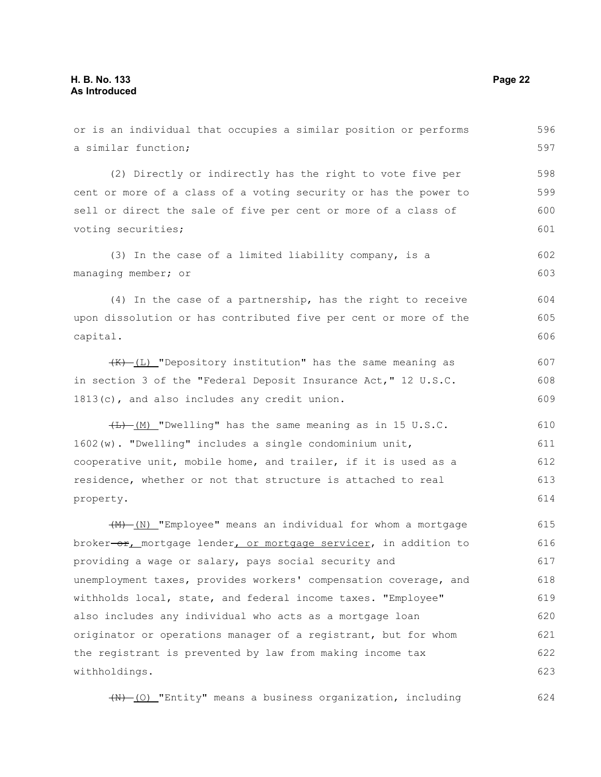a similar function; (2) Directly or indirectly has the right to vote five per cent or more of a class of a voting security or has the power to sell or direct the sale of five per cent or more of a class of voting securities; (3) In the case of a limited liability company, is a managing member; or (4) In the case of a partnership, has the right to receive upon dissolution or has contributed five per cent or more of the capital.  $(K)$  (L) "Depository institution" has the same meaning as in section 3 of the "Federal Deposit Insurance Act," 12 U.S.C. 1813(c), and also includes any credit union.  $\overline{(M)}$  "Dwelling" has the same meaning as in 15 U.S.C. 1602(w). "Dwelling" includes a single condominium unit, cooperative unit, mobile home, and trailer, if it is used as a residence, whether or not that structure is attached to real property. (M) (N) "Employee" means an individual for whom a mortgage broker-or, mortgage lender, or mortgage servicer, in addition to providing a wage or salary, pays social security and unemployment taxes, provides workers' compensation coverage, and withholds local, state, and federal income taxes. "Employee" also includes any individual who acts as a mortgage loan originator or operations manager of a registrant, but for whom the registrant is prevented by law from making income tax withholdings. 597 598 599 600 601 602 603 604 605 606 607 608 609 610 611 612 613 614 615 616 617 618 619 620 621 622 623

or is an individual that occupies a similar position or performs

 $(W)$  (O) "Entity" means a business organization, including 624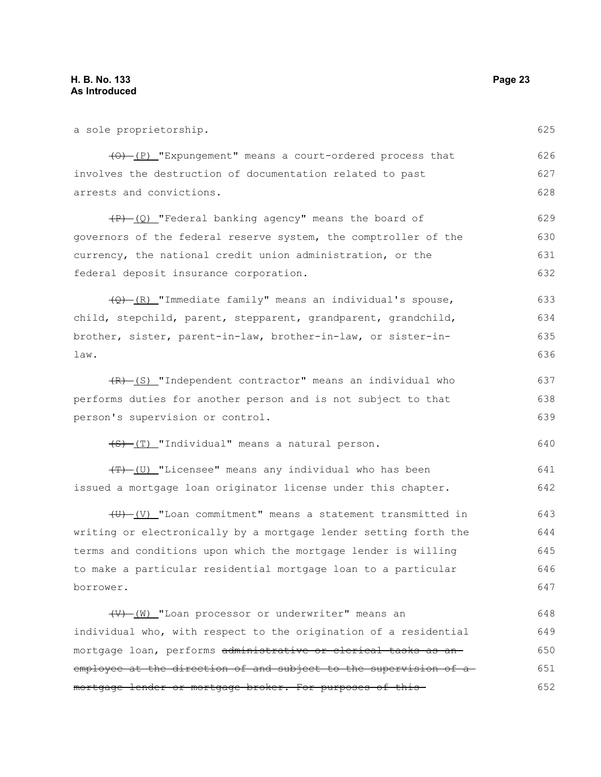| a sole proprietorship.                                              | 625 |
|---------------------------------------------------------------------|-----|
| (0) (P) "Expungement" means a court-ordered process that            | 626 |
| involves the destruction of documentation related to past           | 627 |
| arrests and convictions.                                            | 628 |
| (P) (Q) "Federal banking agency" means the board of                 | 629 |
| governors of the federal reserve system, the comptroller of the     | 630 |
| currency, the national credit union administration, or the          | 631 |
| federal deposit insurance corporation.                              | 632 |
| (Q) (R) "Immediate family" means an individual's spouse,            | 633 |
| child, stepchild, parent, stepparent, grandparent, grandchild,      | 634 |
| brother, sister, parent-in-law, brother-in-law, or sister-in-       | 635 |
| law.                                                                | 636 |
| $(R)$ (S) "Independent contractor" means an individual who          | 637 |
| performs duties for another person and is not subject to that       | 638 |
| person's supervision or control.                                    | 639 |
| (S) (T) "Individual" means a natural person.                        | 640 |
| (T) (U) "Licensee" means any individual who has been                | 641 |
| issued a mortgage loan originator license under this chapter.       | 642 |
| $\overline{(U)}$ "Loan commitment" means a statement transmitted in | 643 |
| writing or electronically by a mortgage lender setting forth the    | 644 |
| terms and conditions upon which the mortgage lender is willing      | 645 |
| to make a particular residential mortgage loan to a particular      | 646 |
| borrower.                                                           | 647 |
| (V) (W) "Loan processor or underwriter" means an                    | 648 |
| individual who, with respect to the origination of a residential    | 649 |
| mortgage loan, performs administrative or clerical tasks as an-     | 650 |
| employee at the direction of and subject to the supervision of a    | 651 |
| mortgage lender or mortgage broker. For purposes of this-           | 652 |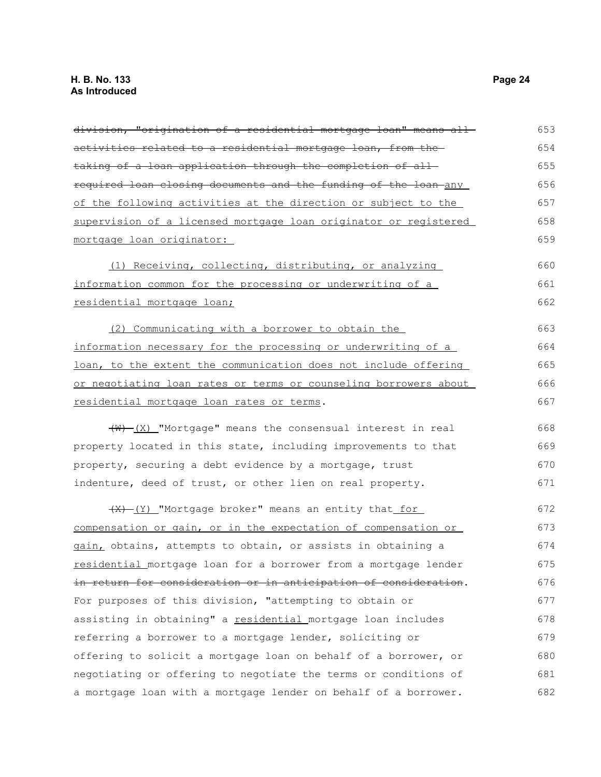| division, "origination of a residential mortgage loan" means all       | 653 |
|------------------------------------------------------------------------|-----|
| activities related to a residential mortgage loan, from the            | 654 |
| taking of a loan application through the completion of all-            | 655 |
| <u>required loan closing documents and the funding of the loan any</u> | 656 |
| of the following activities at the direction or subject to the         | 657 |
| supervision of a licensed mortgage loan originator or registered       | 658 |
| mortgage loan originator:                                              | 659 |
| (1) Receiving, collecting, distributing, or analyzing                  | 660 |
| information common for the processing or underwriting of a             | 661 |
| residential mortgage loan;                                             | 662 |
| (2) Communicating with a borrower to obtain the                        | 663 |
| information necessary for the processing or underwriting of a          | 664 |
| loan, to the extent the communication does not include offering        | 665 |
| or negotiating loan rates or terms or counseling borrowers about       | 666 |
| residential mortgage loan rates or terms.                              | 667 |
| $(W)$ $(X)$ "Mortgage" means the consensual interest in real           | 668 |
| property located in this state, including improvements to that         | 669 |
| property, securing a debt evidence by a mortgage, trust                | 670 |
| indenture, deed of trust, or other lien on real property.              | 671 |
| (X) (Y) "Mortgage broker" means an entity that for                     | 672 |
| compensation or gain, or in the expectation of compensation or         | 673 |
| gain, obtains, attempts to obtain, or assists in obtaining a           | 674 |
| residential mortgage loan for a borrower from a mortgage lender        | 675 |
| in return for consideration or in anticipation of consideration.       | 676 |
| For purposes of this division, "attempting to obtain or                | 677 |
| assisting in obtaining" a residential mortgage loan includes           | 678 |
| referring a borrower to a mortgage lender, soliciting or               | 679 |
| offering to solicit a mortgage loan on behalf of a borrower, or        | 680 |
| negotiating or offering to negotiate the terms or conditions of        | 681 |
| a mortgage loan with a mortgage lender on behalf of a borrower.        | 682 |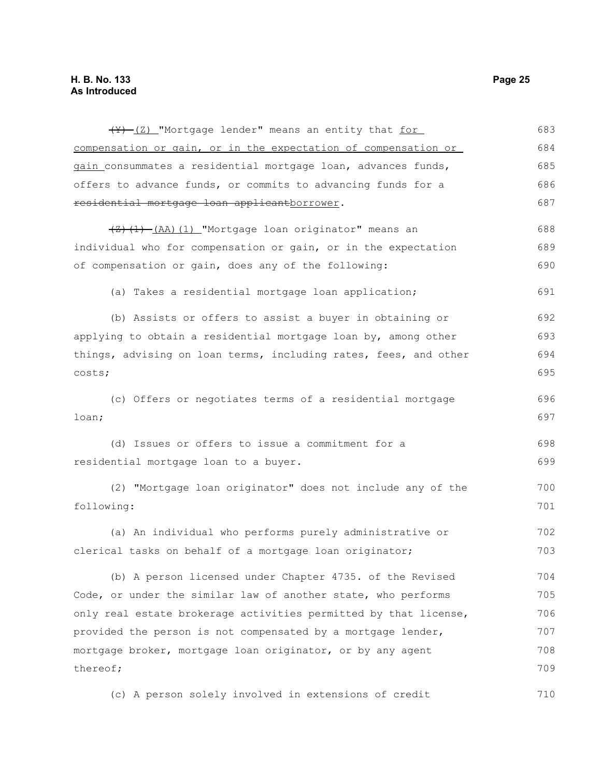| (Y) (Z) "Mortgage lender" means an entity that for                                                        | 683 |
|-----------------------------------------------------------------------------------------------------------|-----|
| compensation or gain, or in the expectation of compensation or                                            | 684 |
| gain consummates a residential mortgage loan, advances funds,                                             | 685 |
| offers to advance funds, or commits to advancing funds for a                                              | 686 |
| residential mortgage loan applicantborrower.                                                              | 687 |
| $\frac{1}{2}$ $\frac{1}{1}$ $\frac{1}{2}$ $\frac{1}{2}$ $\frac{1}{2}$ "Mortgage loan originator" means an | 688 |
| individual who for compensation or gain, or in the expectation                                            | 689 |
| of compensation or gain, does any of the following:                                                       | 690 |
| (a) Takes a residential mortgage loan application;                                                        | 691 |
| (b) Assists or offers to assist a buyer in obtaining or                                                   | 692 |
| applying to obtain a residential mortgage loan by, among other                                            | 693 |
| things, advising on loan terms, including rates, fees, and other                                          | 694 |
| costs;                                                                                                    | 695 |
| (c) Offers or negotiates terms of a residential mortgage                                                  | 696 |
| loan;                                                                                                     | 697 |
| (d) Issues or offers to issue a commitment for a                                                          | 698 |
| residential mortgage loan to a buyer.                                                                     | 699 |
| (2) "Mortgage loan originator" does not include any of the                                                | 700 |
| following:                                                                                                | 701 |
| (a) An individual who performs purely administrative or                                                   | 702 |
| clerical tasks on behalf of a mortgage loan originator;                                                   | 703 |
| (b) A person licensed under Chapter 4735. of the Revised                                                  | 704 |
| Code, or under the similar law of another state, who performs                                             | 705 |
| only real estate brokerage activities permitted by that license,                                          | 706 |
| provided the person is not compensated by a mortgage lender,                                              | 707 |
| mortgage broker, mortgage loan originator, or by any agent                                                | 708 |
| thereof;                                                                                                  | 709 |
| (c) A person solely involved in extensions of credit                                                      | 710 |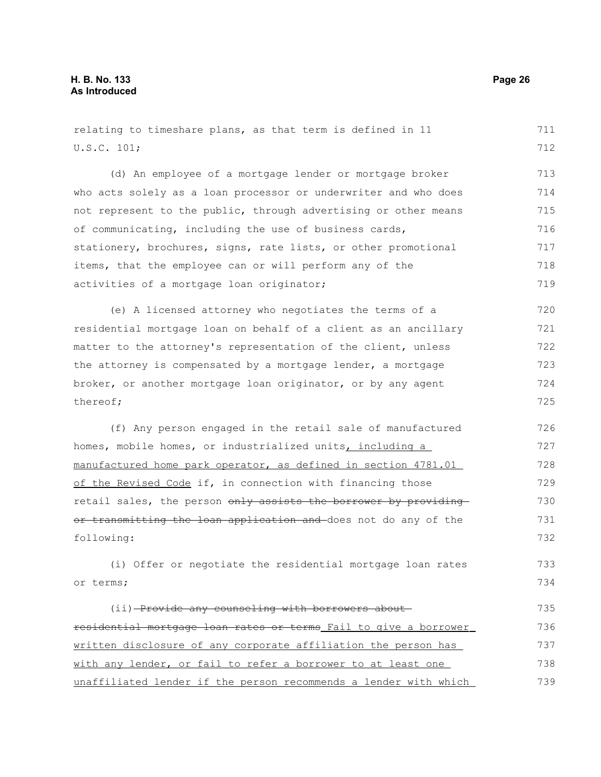relating to timeshare plans, as that term is defined in 11 U.S.C. 101; 711 712

(d) An employee of a mortgage lender or mortgage broker who acts solely as a loan processor or underwriter and who does not represent to the public, through advertising or other means of communicating, including the use of business cards, stationery, brochures, signs, rate lists, or other promotional items, that the employee can or will perform any of the activities of a mortgage loan originator; 713 714 715 716 717 718 719

(e) A licensed attorney who negotiates the terms of a residential mortgage loan on behalf of a client as an ancillary matter to the attorney's representation of the client, unless the attorney is compensated by a mortgage lender, a mortgage broker, or another mortgage loan originator, or by any agent thereof; 720 721 722 723 724 725

(f) Any person engaged in the retail sale of manufactured homes, mobile homes, or industrialized units, including a manufactured home park operator, as defined in section 4781.01 of the Revised Code if, in connection with financing those retail sales, the person only assists the borrower by providing or transmitting the loan application and does not do any of the following: 726 727 728 729 730 731 732

(i) Offer or negotiate the residential mortgage loan rates or terms; 733 734

(ii) Provide any counseling with borrowers aboutresidential mortgage loan rates or terms Fail to give a borrower written disclosure of any corporate affiliation the person has with any lender, or fail to refer a borrower to at least one unaffiliated lender if the person recommends a lender with which 735 736 737 738 739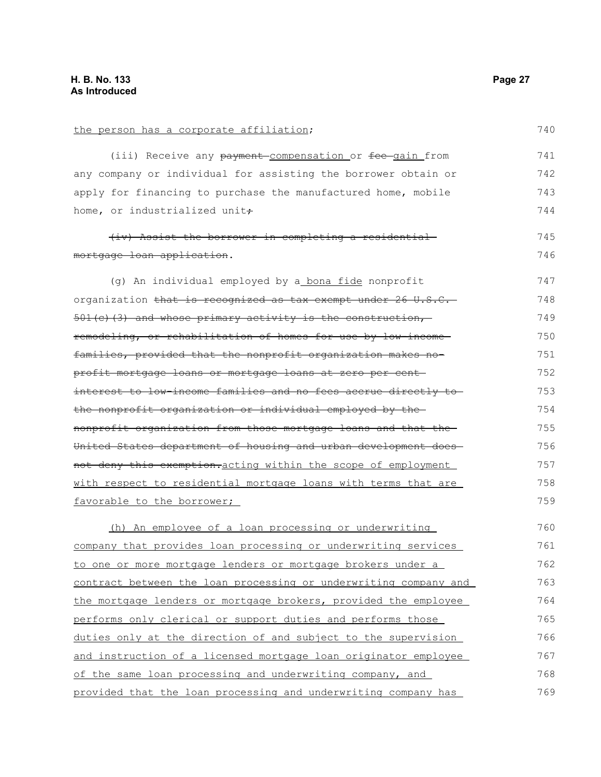#### the person has a corporate affiliation; (iii) Receive any payment-compensation or fee-gain from any company or individual for assisting the borrower obtain or apply for financing to purchase the manufactured home, mobile home, or industrialized unit $\dot{\tau}$ (iv) Assist the borrower in completing a residential mortgage loan application. (g) An individual employed by a bona fide nonprofit organization that is recognized as tax exempt under 26 U.S.C.  $501(c)$  (3) and whose primary activity is the construction, remodeling, or rehabilitation of homes for use by low-income families, provided that the nonprofit organization makes noprofit mortgage loans or mortgage loans at zero per cent interest to low-income families and no fees accrue directly tothe nonprofit organization or individual employed by the nonprofit organization from those mortgage loans and that the United States department of housing and urban development does not deny this exemption.acting within the scope of employment with respect to residential mortgage loans with terms that are favorable to the borrower; (h) An employee of a loan processing or underwriting company that provides loan processing or underwriting services to one or more mortgage lenders or mortgage brokers under a contract between the loan processing or underwriting company and the mortgage lenders or mortgage brokers, provided the employee performs only clerical or support duties and performs those duties only at the direction of and subject to the supervision and instruction of a licensed mortgage loan originator employee 741 742 743 744 745 746 747 748 749 750 751 752 753 754 755 756 757 758 759 760 761 762 763 764 765 766 767

of the same loan processing and underwriting company, and

provided that the loan processing and underwriting company has

740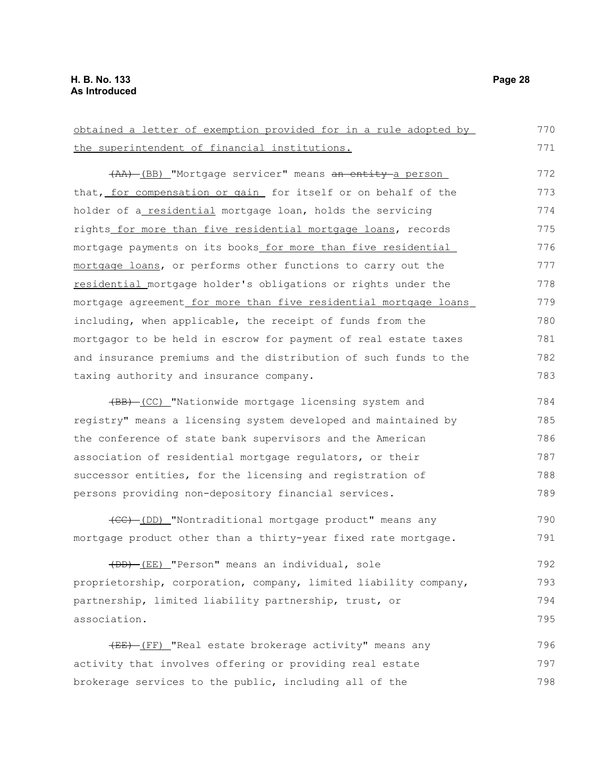obtained a letter of exemption provided for in a rule adopted by the superintendent of financial institutions. (AA) (BB) "Mortgage servicer" means an entity a person that, for compensation or gain for itself or on behalf of the holder of a residential mortgage loan, holds the servicing rights for more than five residential mortgage loans, records mortgage payments on its books for more than five residential mortgage loans, or performs other functions to carry out the residential mortgage holder's obligations or rights under the mortgage agreement for more than five residential mortgage loans including, when applicable, the receipt of funds from the mortgagor to be held in escrow for payment of real estate taxes and insurance premiums and the distribution of such funds to the taxing authority and insurance company. (BB) (CC) "Nationwide mortgage licensing system and registry" means a licensing system developed and maintained by the conference of state bank supervisors and the American association of residential mortgage regulators, or their successor entities, for the licensing and registration of persons providing non-depository financial services. (CC) (DD) "Nontraditional mortgage product" means any mortgage product other than a thirty-year fixed rate mortgage. (DD) (EE) "Person" means an individual, sole proprietorship, corporation, company, limited liability company, partnership, limited liability partnership, trust, or association. (EE) (FF) "Real estate brokerage activity" means any activity that involves offering or providing real estate 770 771 772 773 774 775 776 777 778 779 780 781 782 783 784 785 786 787 788 789 790 791 792 793 794 795 796 797

brokerage services to the public, including all of the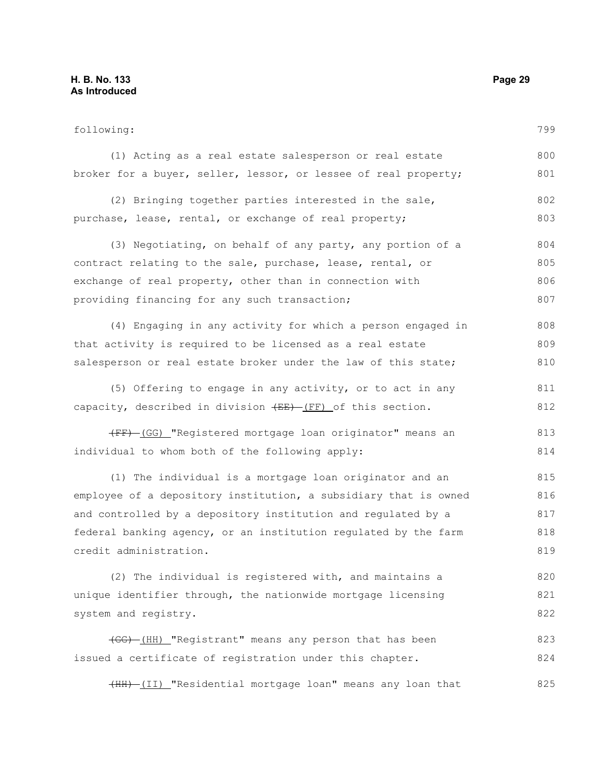### **H. B. No. 133 Page 29 As Introduced**

| following:                                                                   | 799 |
|------------------------------------------------------------------------------|-----|
| (1) Acting as a real estate salesperson or real estate                       | 800 |
| broker for a buyer, seller, lessor, or lessee of real property;              | 801 |
| (2) Bringing together parties interested in the sale,                        | 802 |
| purchase, lease, rental, or exchange of real property;                       | 803 |
| (3) Negotiating, on behalf of any party, any portion of a                    | 804 |
| contract relating to the sale, purchase, lease, rental, or                   | 805 |
| exchange of real property, other than in connection with                     | 806 |
| providing financing for any such transaction;                                | 807 |
| (4) Engaging in any activity for which a person engaged in                   | 808 |
| that activity is required to be licensed as a real estate                    | 809 |
| salesperson or real estate broker under the law of this state;               | 810 |
| (5) Offering to engage in any activity, or to act in any                     | 811 |
| capacity, described in division $\overline{\text{EE}}$ (FF) of this section. | 812 |
| (FF) (GG) "Registered mortgage loan originator" means an                     | 813 |
| individual to whom both of the following apply:                              | 814 |
| (1) The individual is a mortgage loan originator and an                      | 815 |
| employee of a depository institution, a subsidiary that is owned             | 816 |
| and controlled by a depository institution and regulated by a                | 817 |
| federal banking agency, or an institution regulated by the farm              | 818 |
| credit administration.                                                       | 819 |
| (2) The individual is registered with, and maintains a                       | 820 |
| unique identifier through, the nationwide mortgage licensing                 | 821 |
| system and registry.                                                         | 822 |
| (GG) (HH) "Registrant" means any person that has been                        | 823 |
| issued a certificate of registration under this chapter.                     | 824 |
| (HH) (II) "Residential mortgage loan" means any loan that                    | 825 |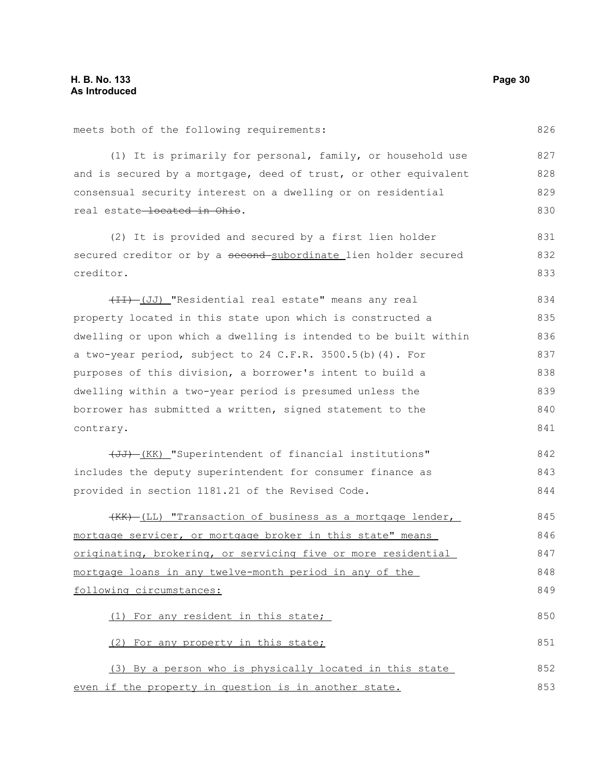meets both of the following requirements:

(1) It is primarily for personal, family, or household use and is secured by a mortgage, deed of trust, or other equivalent consensual security interest on a dwelling or on residential real estate-located in Ohio. (2) It is provided and secured by a first lien holder secured creditor or by a second subordinate lien holder secured creditor. (II) (JJ) "Residential real estate" means any real property located in this state upon which is constructed a dwelling or upon which a dwelling is intended to be built within a two-year period, subject to 24 C.F.R. 3500.5(b)(4). For purposes of this division, a borrower's intent to build a dwelling within a two-year period is presumed unless the borrower has submitted a written, signed statement to the contrary. (JJ) (KK) "Superintendent of financial institutions" includes the deputy superintendent for consumer finance as provided in section 1181.21 of the Revised Code. (KK) (LL) "Transaction of business as a mortgage lender, mortgage servicer, or mortgage broker in this state" means originating, brokering, or servicing five or more residential mortgage loans in any twelve-month period in any of the following circumstances: (1) For any resident in this state; (2) For any property in this state; (3) By a person who is physically located in this state even if the property in question is in another state. 827 828 829 830 831 832 833 834 835 836 837 838 839 840 841 842 843 844 845 846 847 848 849 850 851 852 853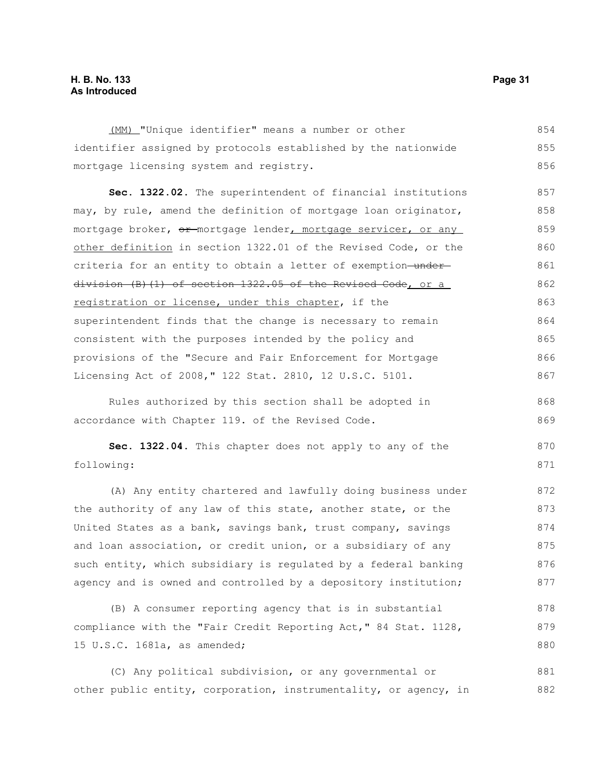### **H. B. No. 133 Page 31 As Introduced**

(MM) "Unique identifier" means a number or other identifier assigned by protocols established by the nationwide mortgage licensing system and registry. 854 855 856

**Sec. 1322.02.** The superintendent of financial institutions may, by rule, amend the definition of mortgage loan originator, mortgage broker, or mortgage lender, mortgage servicer, or any other definition in section 1322.01 of the Revised Code, or the criteria for an entity to obtain a letter of exemption-underdivision (B)(1) of section 1322.05 of the Revised Code, or a registration or license, under this chapter, if the superintendent finds that the change is necessary to remain consistent with the purposes intended by the policy and provisions of the "Secure and Fair Enforcement for Mortgage Licensing Act of 2008," 122 Stat. 2810, 12 U.S.C. 5101. 857 858 859 860 861 862 863 864 865 866 867

Rules authorized by this section shall be adopted in accordance with Chapter 119. of the Revised Code.

**Sec. 1322.04.** This chapter does not apply to any of the following: 870 871

(A) Any entity chartered and lawfully doing business under the authority of any law of this state, another state, or the United States as a bank, savings bank, trust company, savings and loan association, or credit union, or a subsidiary of any such entity, which subsidiary is regulated by a federal banking agency and is owned and controlled by a depository institution; 872 873 874 875 876 877

(B) A consumer reporting agency that is in substantial compliance with the "Fair Credit Reporting Act," 84 Stat. 1128, 15 U.S.C. 1681a, as amended; 878 879 880

(C) Any political subdivision, or any governmental or other public entity, corporation, instrumentality, or agency, in 881 882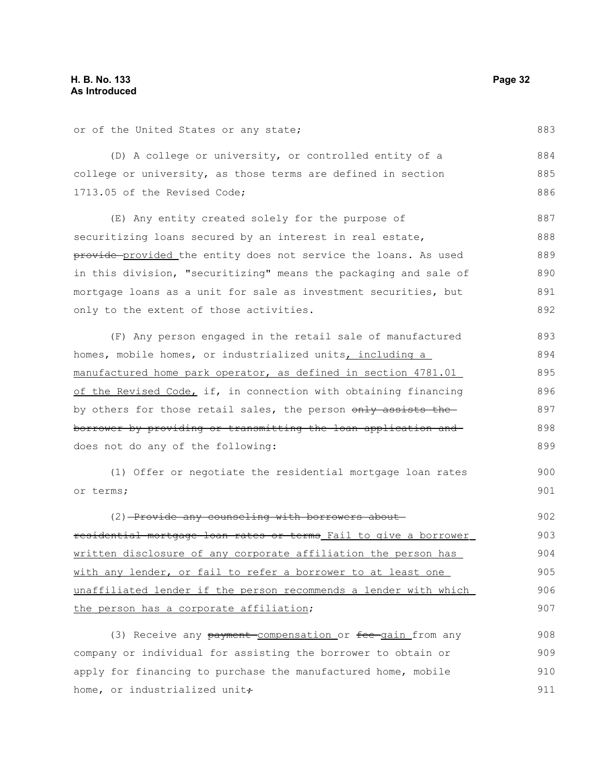or of the United States or any state;

(D) A college or university, or controlled entity of a college or university, as those terms are defined in section 1713.05 of the Revised Code;

(E) Any entity created solely for the purpose of securitizing loans secured by an interest in real estate, provide-provided the entity does not service the loans. As used in this division, "securitizing" means the packaging and sale of mortgage loans as a unit for sale as investment securities, but only to the extent of those activities. 887 888 889 890 891 892

(F) Any person engaged in the retail sale of manufactured homes, mobile homes, or industrialized units, including a manufactured home park operator, as defined in section 4781.01 of the Revised Code, if, in connection with obtaining financing by others for those retail sales, the person only assists the borrower by providing or transmitting the loan application and does not do any of the following: 893 894 895 896 897 898 899

(1) Offer or negotiate the residential mortgage loan rates or terms;

(2) Provide any counseling with borrowers aboutresidential mortgage loan rates or terms Fail to give a borrower written disclosure of any corporate affiliation the person has with any lender, or fail to refer a borrower to at least one unaffiliated lender if the person recommends a lender with which the person has a corporate affiliation; 902 903 904 905 906 907

(3) Receive any payment compensation or fee gain from any company or individual for assisting the borrower to obtain or apply for financing to purchase the manufactured home, mobile home, or industrialized unit $\ddot{}$ 908 909 910 911

883

884 885 886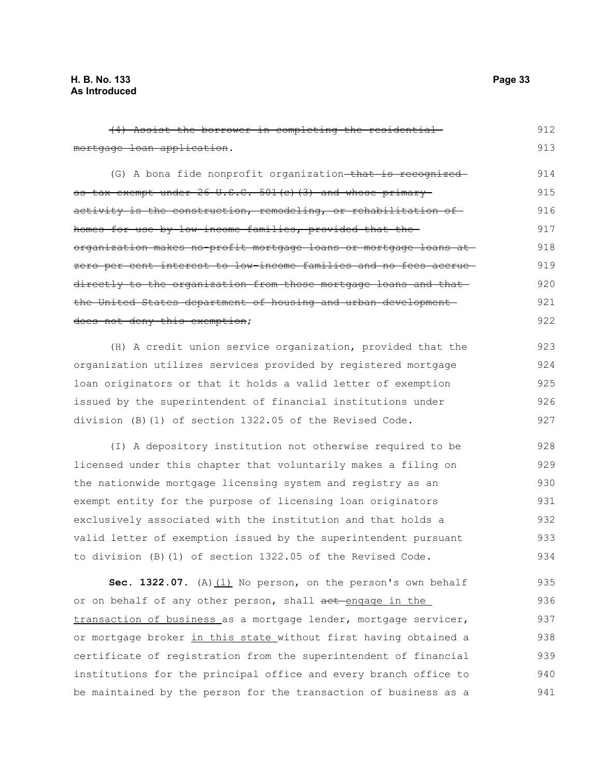mortgage loan application.

(4) Assist the borrower in completing the residential

(G) A bona fide nonprofit organization-that is recognizedas tax exempt under 26 U.S.C. 501 (c) (3) and whose primary activity is the construction, remodeling, or rehabilitation of homes for use by low-income families, provided that the organization makes no-profit mortgage loans or mortgage loans at zero per cent interest to low-income families and no fees accruedirectly to the organization from those mortgage loans and thatthe United States department of housing and urban development does not deny this exemption; 914 915 916 917 918 919 920 921 922

(H) A credit union service organization, provided that the organization utilizes services provided by registered mortgage loan originators or that it holds a valid letter of exemption issued by the superintendent of financial institutions under division (B)(1) of section 1322.05 of the Revised Code. 923 924 925 926 927

(I) A depository institution not otherwise required to be licensed under this chapter that voluntarily makes a filing on the nationwide mortgage licensing system and registry as an exempt entity for the purpose of licensing loan originators exclusively associated with the institution and that holds a valid letter of exemption issued by the superintendent pursuant to division (B)(1) of section 1322.05 of the Revised Code. 928 929 930 931 932 933 934

Sec. 1322.07. (A) (1) No person, on the person's own behalf or on behalf of any other person, shall act engage in the transaction of business as a mortgage lender, mortgage servicer, or mortgage broker in this state without first having obtained a certificate of registration from the superintendent of financial institutions for the principal office and every branch office to be maintained by the person for the transaction of business as a 935 936 937 938 939 940 941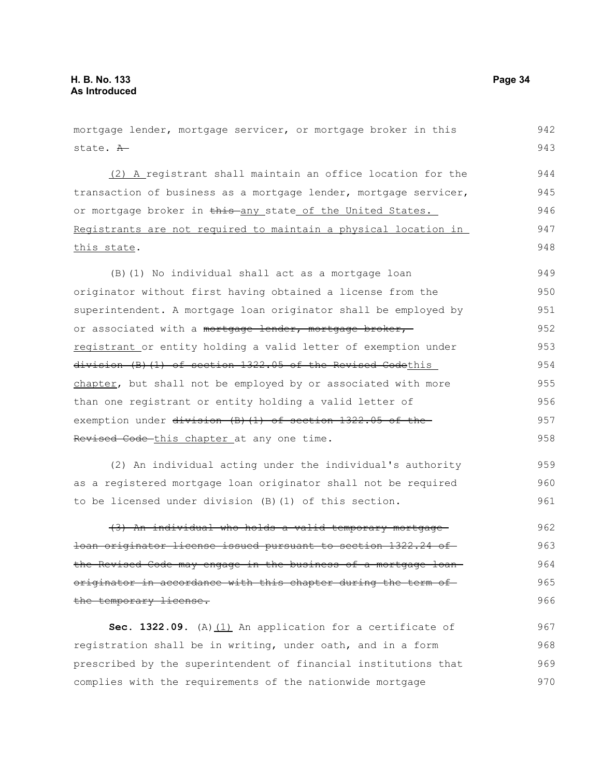mortgage lender, mortgage servicer, or mortgage broker in this state. A (2) A registrant shall maintain an office location for the transaction of business as a mortgage lender, mortgage servicer, or mortgage broker in this any state of the United States. Registrants are not required to maintain a physical location in this state. (B)(1) No individual shall act as a mortgage loan originator without first having obtained a license from the superintendent. A mortgage loan originator shall be employed by or associated with a mortgage lender, mortgage broker, registrant or entity holding a valid letter of exemption under division (B)(1) of section 1322.05 of the Revised Codethis chapter, but shall not be employed by or associated with more than one registrant or entity holding a valid letter of exemption under division (B)(1) of section 1322.05 of the Revised Code-this chapter at any one time. (2) An individual acting under the individual's authority as a registered mortgage loan originator shall not be required to be licensed under division (B)(1) of this section. 942 943 944 945 946 947 948 949 950 951 952 953 954 955 956 957 958 959 960 961

(3) An individual who holds a valid temporary mortgage loan originator license issued pursuant to section 1322.24 of the Revised Code may engage in the business of a mortgage loan originator in accordance with this chapter during the term of the temporary license. 962 963 964 965 966

**Sec. 1322.09.** (A) (1) An application for a certificate of registration shall be in writing, under oath, and in a form prescribed by the superintendent of financial institutions that complies with the requirements of the nationwide mortgage 967 968 969 970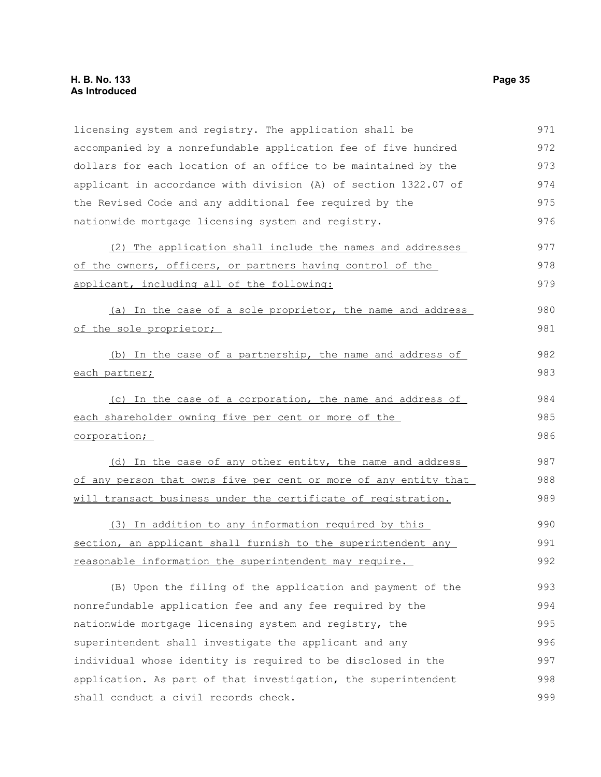licensing system and registry. The application shall be accompanied by a nonrefundable application fee of five hundred dollars for each location of an office to be maintained by the applicant in accordance with division (A) of section 1322.07 of the Revised Code and any additional fee required by the nationwide mortgage licensing system and registry. (2) The application shall include the names and addresses of the owners, officers, or partners having control of the applicant, including all of the following: (a) In the case of a sole proprietor, the name and address of the sole proprietor; (b) In the case of a partnership, the name and address of each partner; (c) In the case of a corporation, the name and address of each shareholder owning five per cent or more of the corporation; (d) In the case of any other entity, the name and address of any person that owns five per cent or more of any entity that will transact business under the certificate of registration. (3) In addition to any information required by this section, an applicant shall furnish to the superintendent any reasonable information the superintendent may require. (B) Upon the filing of the application and payment of the nonrefundable application fee and any fee required by the nationwide mortgage licensing system and registry, the superintendent shall investigate the applicant and any individual whose identity is required to be disclosed in the application. As part of that investigation, the superintendent 971 972 973 974 975 976 977 978 979 980 981 982 983 984 985 986 987 988 989 990 991 992 993 994 995 996 997 998

shall conduct a civil records check.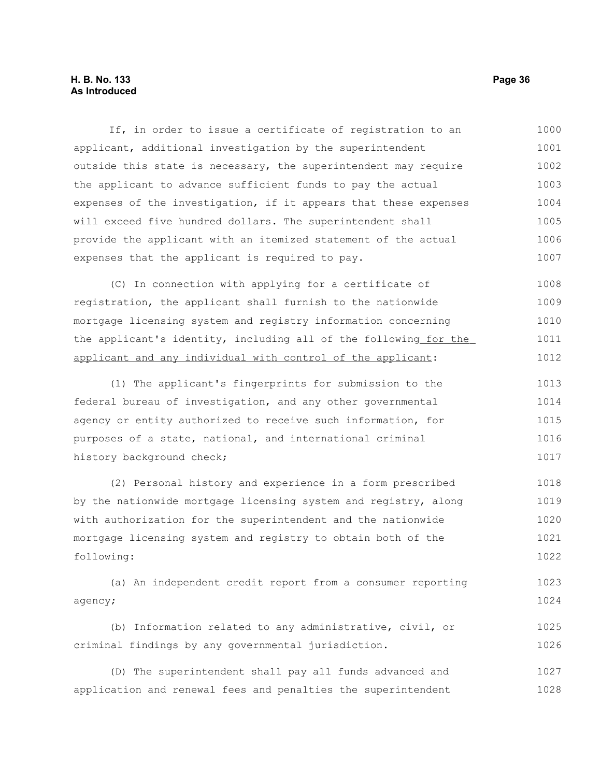### **H. B. No. 133 Page 36 As Introduced**

If, in order to issue a certificate of registration to an applicant, additional investigation by the superintendent outside this state is necessary, the superintendent may require the applicant to advance sufficient funds to pay the actual expenses of the investigation, if it appears that these expenses will exceed five hundred dollars. The superintendent shall provide the applicant with an itemized statement of the actual expenses that the applicant is required to pay. 1000 1001 1002 1003 1004 1005 1006 1007

(C) In connection with applying for a certificate of registration, the applicant shall furnish to the nationwide mortgage licensing system and registry information concerning the applicant's identity, including all of the following for the applicant and any individual with control of the applicant: 1008 1009 1010 1011 1012

(1) The applicant's fingerprints for submission to the federal bureau of investigation, and any other governmental agency or entity authorized to receive such information, for purposes of a state, national, and international criminal history background check; 1013 1014 1015 1016 1017

(2) Personal history and experience in a form prescribed by the nationwide mortgage licensing system and registry, along with authorization for the superintendent and the nationwide mortgage licensing system and registry to obtain both of the following: 1018 1019 1020 1021 1022

(a) An independent credit report from a consumer reporting agency; 1023 1024

(b) Information related to any administrative, civil, or criminal findings by any governmental jurisdiction. 1025 1026

(D) The superintendent shall pay all funds advanced and application and renewal fees and penalties the superintendent 1027 1028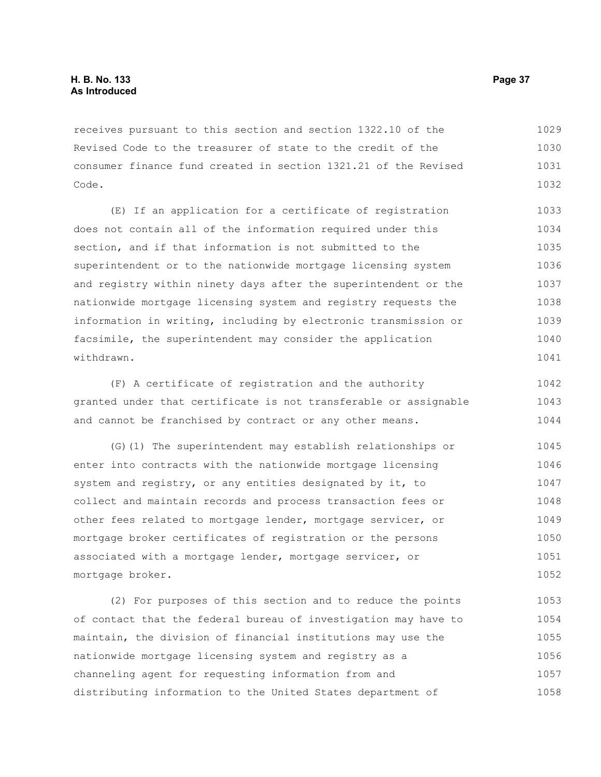receives pursuant to this section and section 1322.10 of the Revised Code to the treasurer of state to the credit of the consumer finance fund created in section 1321.21 of the Revised Code. 1029 1030 1031 1032

(E) If an application for a certificate of registration does not contain all of the information required under this section, and if that information is not submitted to the superintendent or to the nationwide mortgage licensing system and registry within ninety days after the superintendent or the nationwide mortgage licensing system and registry requests the information in writing, including by electronic transmission or facsimile, the superintendent may consider the application withdrawn. 1033 1034 1035 1036 1037 1038 1039 1040 1041

(F) A certificate of registration and the authority granted under that certificate is not transferable or assignable and cannot be franchised by contract or any other means. 1042 1043 1044

(G)(1) The superintendent may establish relationships or enter into contracts with the nationwide mortgage licensing system and registry, or any entities designated by it, to collect and maintain records and process transaction fees or other fees related to mortgage lender, mortgage servicer, or mortgage broker certificates of registration or the persons associated with a mortgage lender, mortgage servicer, or mortgage broker. 1045 1046 1047 1048 1049 1050 1051 1052

(2) For purposes of this section and to reduce the points of contact that the federal bureau of investigation may have to maintain, the division of financial institutions may use the nationwide mortgage licensing system and registry as a channeling agent for requesting information from and distributing information to the United States department of 1053 1054 1055 1056 1057 1058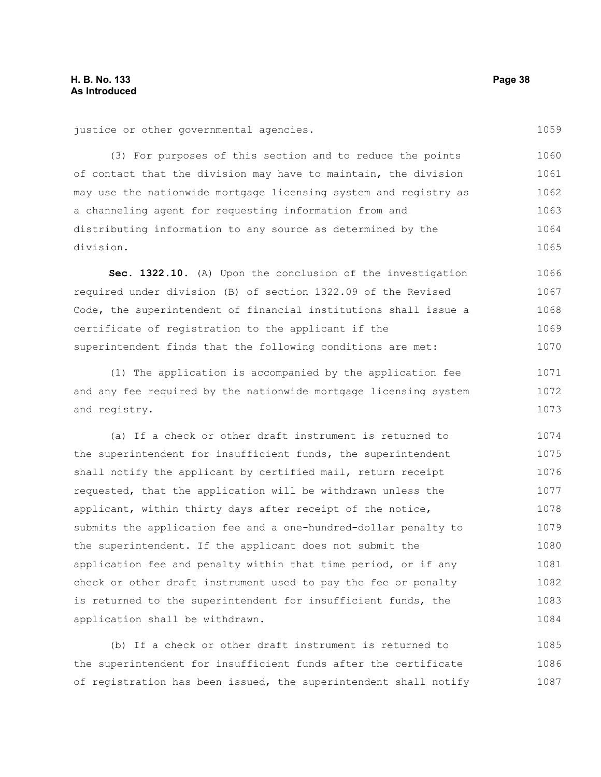1059

justice or other governmental agencies.

(3) For purposes of this section and to reduce the points of contact that the division may have to maintain, the division may use the nationwide mortgage licensing system and registry as a channeling agent for requesting information from and distributing information to any source as determined by the division. 1060 1061 1062 1063 1064 1065

**Sec. 1322.10.** (A) Upon the conclusion of the investigation required under division (B) of section 1322.09 of the Revised Code, the superintendent of financial institutions shall issue a certificate of registration to the applicant if the superintendent finds that the following conditions are met: 1066 1067 1068 1069 1070

(1) The application is accompanied by the application fee and any fee required by the nationwide mortgage licensing system and registry. 1071 1072 1073

(a) If a check or other draft instrument is returned to the superintendent for insufficient funds, the superintendent shall notify the applicant by certified mail, return receipt requested, that the application will be withdrawn unless the applicant, within thirty days after receipt of the notice, submits the application fee and a one-hundred-dollar penalty to the superintendent. If the applicant does not submit the application fee and penalty within that time period, or if any check or other draft instrument used to pay the fee or penalty is returned to the superintendent for insufficient funds, the application shall be withdrawn. 1074 1075 1076 1077 1078 1079 1080 1081 1082 1083 1084

(b) If a check or other draft instrument is returned to the superintendent for insufficient funds after the certificate of registration has been issued, the superintendent shall notify 1085 1086 1087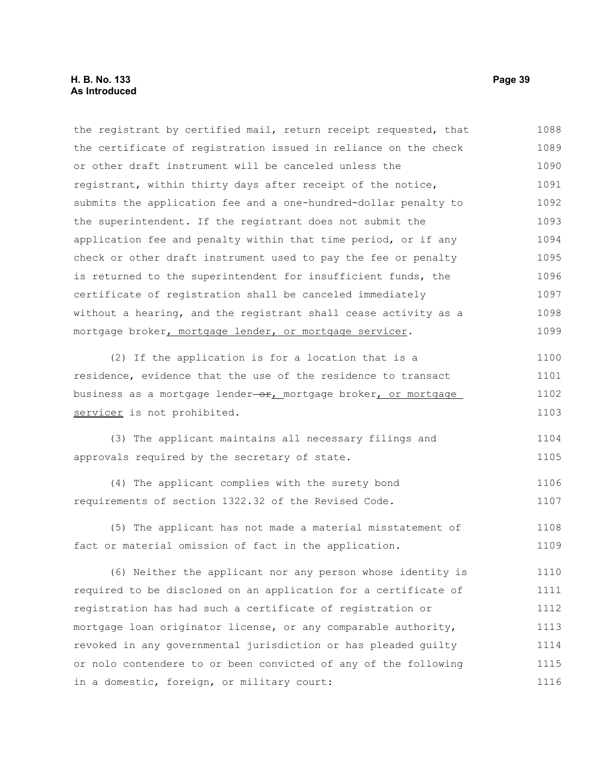## **H. B. No. 133 Page 39 As Introduced**

| the registrant by certified mail, return receipt requested, that | 1088 |
|------------------------------------------------------------------|------|
| the certificate of registration issued in reliance on the check  | 1089 |
| or other draft instrument will be canceled unless the            | 1090 |
| registrant, within thirty days after receipt of the notice,      | 1091 |
| submits the application fee and a one-hundred-dollar penalty to  | 1092 |
| the superintendent. If the registrant does not submit the        | 1093 |
| application fee and penalty within that time period, or if any   | 1094 |
| check or other draft instrument used to pay the fee or penalty   | 1095 |
| is returned to the superintendent for insufficient funds, the    | 1096 |
| certificate of registration shall be canceled immediately        | 1097 |
| without a hearing, and the registrant shall cease activity as a  | 1098 |
| mortgage broker, mortgage lender, or mortgage servicer.          | 1099 |
| (2) If the application is for a location that is a               | 1100 |
| residence, evidence that the use of the residence to transact    | 1101 |
| business as a mortgage lender-or, mortgage broker, or mortgage   | 1102 |
| servicer is not prohibited.                                      | 1103 |
| (3) The applicant maintains all necessary filings and            | 1104 |

approvals required by the secretary of state. 1105

(4) The applicant complies with the surety bond requirements of section 1322.32 of the Revised Code. 1106 1107

(5) The applicant has not made a material misstatement of fact or material omission of fact in the application. 1108 1109

(6) Neither the applicant nor any person whose identity is required to be disclosed on an application for a certificate of registration has had such a certificate of registration or mortgage loan originator license, or any comparable authority, revoked in any governmental jurisdiction or has pleaded guilty or nolo contendere to or been convicted of any of the following in a domestic, foreign, or military court: 1110 1111 1112 1113 1114 1115 1116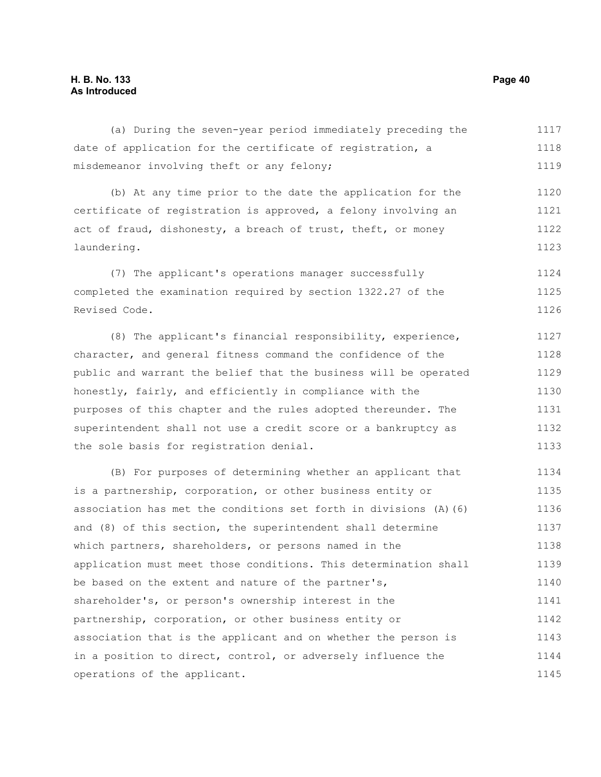# **H. B. No. 133 Page 40 As Introduced**

(a) During the seven-year period immediately preceding the date of application for the certificate of registration, a misdemeanor involving theft or any felony; (b) At any time prior to the date the application for the certificate of registration is approved, a felony involving an act of fraud, dishonesty, a breach of trust, theft, or money laundering. (7) The applicant's operations manager successfully completed the examination required by section 1322.27 of the Revised Code. 1117 1118 1119 1120 1121 1122 1123 1124 1125 1126

(8) The applicant's financial responsibility, experience, character, and general fitness command the confidence of the public and warrant the belief that the business will be operated honestly, fairly, and efficiently in compliance with the purposes of this chapter and the rules adopted thereunder. The superintendent shall not use a credit score or a bankruptcy as the sole basis for registration denial. 1127 1128 1129 1130 1131 1132 1133

(B) For purposes of determining whether an applicant that is a partnership, corporation, or other business entity or association has met the conditions set forth in divisions (A)(6) and (8) of this section, the superintendent shall determine which partners, shareholders, or persons named in the application must meet those conditions. This determination shall be based on the extent and nature of the partner's, shareholder's, or person's ownership interest in the partnership, corporation, or other business entity or association that is the applicant and on whether the person is in a position to direct, control, or adversely influence the operations of the applicant. 1134 1135 1136 1137 1138 1139 1140 1141 1142 1143 1144 1145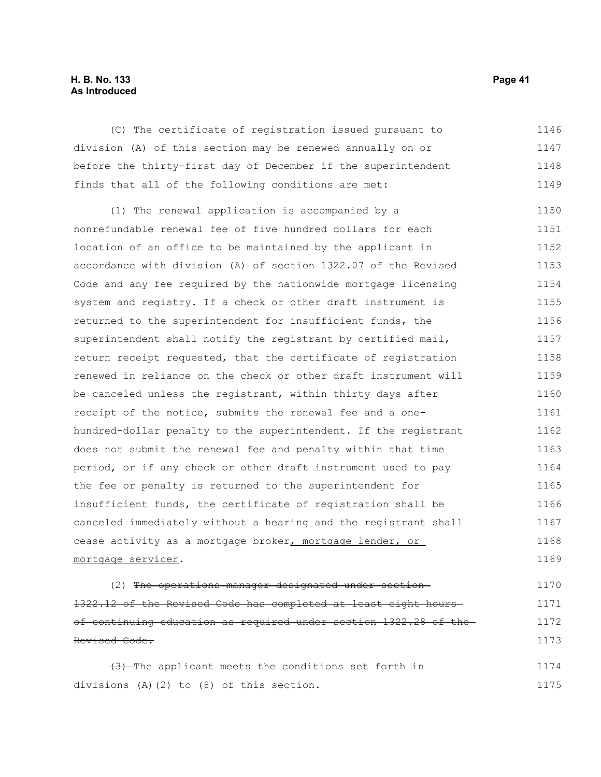# **H. B. No. 133 Page 41 As Introduced**

(C) The certificate of registration issued pursuant to division (A) of this section may be renewed annually on or before the thirty-first day of December if the superintendent finds that all of the following conditions are met: (1) The renewal application is accompanied by a nonrefundable renewal fee of five hundred dollars for each location of an office to be maintained by the applicant in accordance with division (A) of section 1322.07 of the Revised Code and any fee required by the nationwide mortgage licensing system and registry. If a check or other draft instrument is returned to the superintendent for insufficient funds, the superintendent shall notify the registrant by certified mail, return receipt requested, that the certificate of registration renewed in reliance on the check or other draft instrument will be canceled unless the registrant, within thirty days after receipt of the notice, submits the renewal fee and a onehundred-dollar penalty to the superintendent. If the registrant does not submit the renewal fee and penalty within that time period, or if any check or other draft instrument used to pay the fee or penalty is returned to the superintendent for insufficient funds, the certificate of registration shall be canceled immediately without a hearing and the registrant shall cease activity as a mortgage broker, mortgage lender, or mortgage servicer. (2) The operations manager designated under section 1146 1147 1148 1149 1150 1151 1152 1153 1154 1155 1156 1157 1158 1159 1160 1161 1162 1163 1164 1165 1166 1167 1168 1169 1170

1322.12 of the Revised Code has completed at least eight hoursof continuing education as required under section 1322.28 of the Revised Code. 1171 1172 1173

(3) The applicant meets the conditions set forth in divisions (A)(2) to (8) of this section. 1174 1175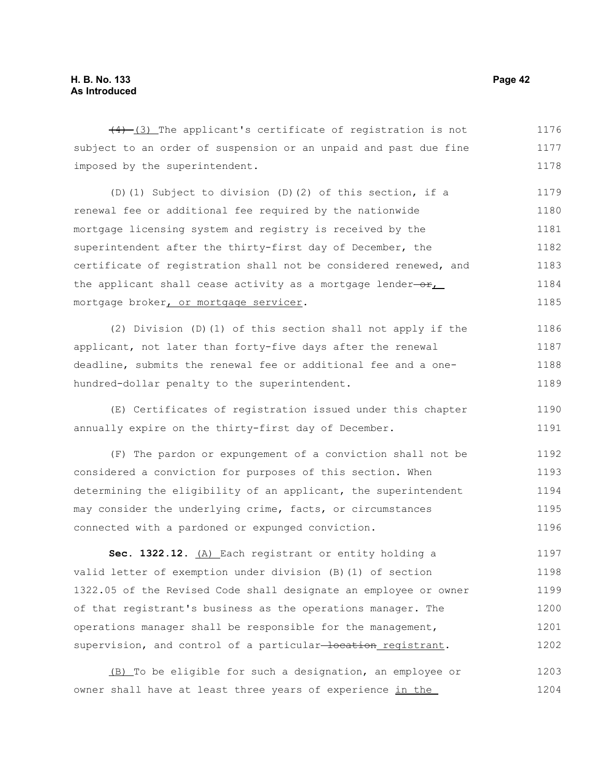$(4)$   $(3)$  The applicant's certificate of registration is not subject to an order of suspension or an unpaid and past due fine imposed by the superintendent. 1176 1177 1178

(D)(1) Subject to division (D)(2) of this section, if a renewal fee or additional fee required by the nationwide mortgage licensing system and registry is received by the superintendent after the thirty-first day of December, the certificate of registration shall not be considered renewed, and the applicant shall cease activity as a mortgage lender- $or$ , mortgage broker, or mortgage servicer. 1179 1180 1181 1182 1183 1184 1185

(2) Division (D)(1) of this section shall not apply if the applicant, not later than forty-five days after the renewal deadline, submits the renewal fee or additional fee and a onehundred-dollar penalty to the superintendent. 1186 1187 1188 1189

(E) Certificates of registration issued under this chapter annually expire on the thirty-first day of December. 1190 1191

(F) The pardon or expungement of a conviction shall not be considered a conviction for purposes of this section. When determining the eligibility of an applicant, the superintendent may consider the underlying crime, facts, or circumstances connected with a pardoned or expunged conviction. 1192 1193 1194 1195 1196

**Sec. 1322.12.** (A) Each registrant or entity holding a valid letter of exemption under division (B)(1) of section 1322.05 of the Revised Code shall designate an employee or owner of that registrant's business as the operations manager. The operations manager shall be responsible for the management, supervision, and control of a particular-location registrant. 1197 1198 1199 1200 1201 1202

(B) To be eligible for such a designation, an employee or owner shall have at least three years of experience in the 1203 1204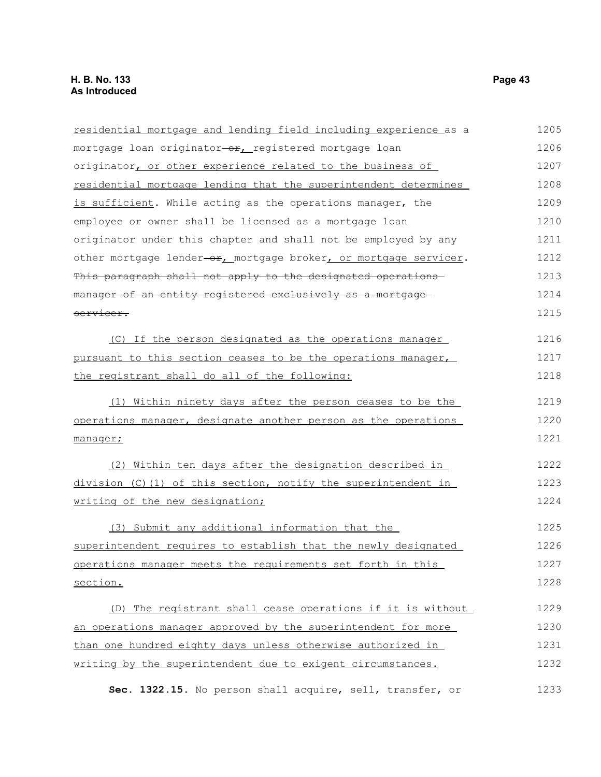| residential mortgage and lending field including experience as a | 1205 |
|------------------------------------------------------------------|------|
| mortgage loan originator-or registered mortgage loan             | 1206 |
| originator, or other experience related to the business of       | 1207 |
| residential mortgage lending that the superintendent determines  | 1208 |
| is sufficient. While acting as the operations manager, the       | 1209 |
| employee or owner shall be licensed as a mortgage loan           | 1210 |
| originator under this chapter and shall not be employed by any   | 1211 |
| other mortgage lender-or, mortgage broker, or mortgage servicer. | 1212 |
| This paragraph shall not apply to the designated operations-     | 1213 |
| manager of an entity registered exclusively as a mortgage-       | 1214 |
| servicer.                                                        | 1215 |
| (C) If the person designated as the operations manager           | 1216 |
| pursuant to this section ceases to be the operations manager,    | 1217 |
| the registrant shall do all of the following:                    | 1218 |
| (1) Within ninety days after the person ceases to be the         | 1219 |
| operations manager, designate another person as the operations   | 1220 |
| manager;                                                         | 1221 |
| (2) Within ten days after the designation described in           | 1222 |
| division (C)(1) of this section, notify the superintendent in    | 1223 |
| writing of the new designation;                                  | 1224 |
| (3) Submit any additional information that the                   | 1225 |
| superintendent requires to establish that the newly designated   | 1226 |
| operations manager meets the requirements set forth in this      | 1227 |
| section.                                                         | 1228 |
| (D) The registrant shall cease operations if it is without       | 1229 |
| an operations manager approved by the superintendent for more    | 1230 |
| than one hundred eighty days unless otherwise authorized in      | 1231 |
| writing by the superintendent due to exigent circumstances.      | 1232 |
| Sec. 1322.15. No person shall acquire, sell, transfer, or        | 1233 |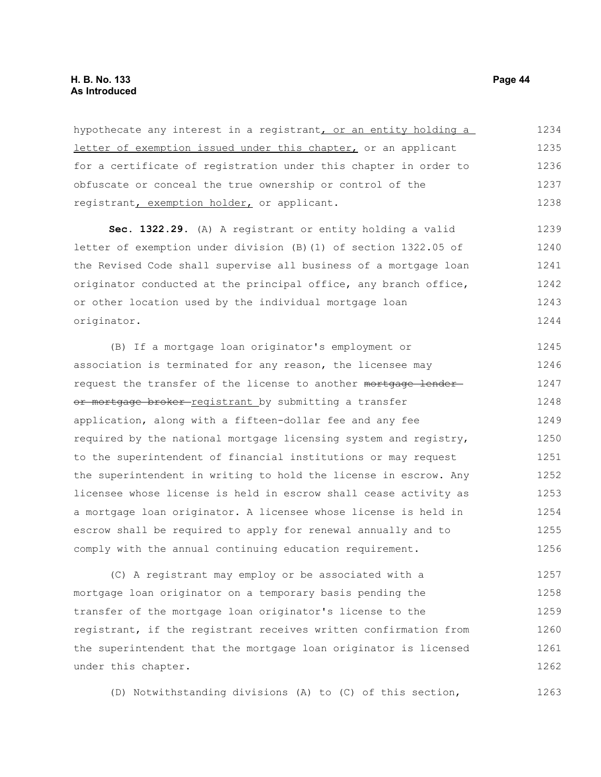hypothecate any interest in a registrant, or an entity holding a letter of exemption issued under this chapter, or an applicant for a certificate of registration under this chapter in order to obfuscate or conceal the true ownership or control of the registrant, exemption holder, or applicant. 1234 1235 1236 1237 1238

**Sec. 1322.29.** (A) A registrant or entity holding a valid letter of exemption under division (B)(1) of section 1322.05 of the Revised Code shall supervise all business of a mortgage loan originator conducted at the principal office, any branch office, or other location used by the individual mortgage loan originator. 1239 1240 1241 1242 1243 1244

(B) If a mortgage loan originator's employment or association is terminated for any reason, the licensee may request the transfer of the license to another mortgage lenderor mortgage broker registrant by submitting a transfer application, along with a fifteen-dollar fee and any fee required by the national mortgage licensing system and registry, to the superintendent of financial institutions or may request the superintendent in writing to hold the license in escrow. Any licensee whose license is held in escrow shall cease activity as a mortgage loan originator. A licensee whose license is held in escrow shall be required to apply for renewal annually and to comply with the annual continuing education requirement. 1245 1246 1247 1248 1249 1250 1251 1252 1253 1254 1255 1256

(C) A registrant may employ or be associated with a mortgage loan originator on a temporary basis pending the transfer of the mortgage loan originator's license to the registrant, if the registrant receives written confirmation from the superintendent that the mortgage loan originator is licensed under this chapter. 1257 1258 1259 1260 1261 1262

(D) Notwithstanding divisions (A) to (C) of this section,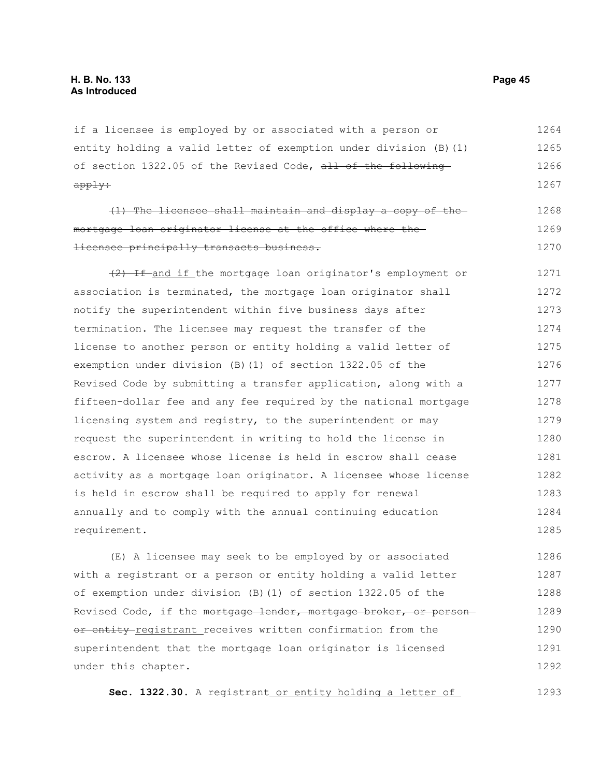if a licensee is employed by or associated with a person or entity holding a valid letter of exemption under division (B)(1) of section 1322.05 of the Revised Code, all of the following apply: 1264 1265 1266 1267

(1) The licensee shall maintain and display a copy of the mortgage loan originator license at the office where the licensee principally transacts business. 1268 1269 1270

(2) If and if the mortgage loan originator's employment or association is terminated, the mortgage loan originator shall notify the superintendent within five business days after termination. The licensee may request the transfer of the license to another person or entity holding a valid letter of exemption under division (B)(1) of section 1322.05 of the Revised Code by submitting a transfer application, along with a fifteen-dollar fee and any fee required by the national mortgage licensing system and registry, to the superintendent or may request the superintendent in writing to hold the license in escrow. A licensee whose license is held in escrow shall cease activity as a mortgage loan originator. A licensee whose license is held in escrow shall be required to apply for renewal annually and to comply with the annual continuing education requirement. 1271 1272 1273 1274 1275 1276 1277 1278 1279 1280 1281 1282 1283 1284 1285

(E) A licensee may seek to be employed by or associated with a registrant or a person or entity holding a valid letter of exemption under division (B)(1) of section 1322.05 of the Revised Code, if the mortgage lender, mortgage broker, or personor entity registrant receives written confirmation from the superintendent that the mortgage loan originator is licensed under this chapter. 1286 1287 1288 1289 1290 1291 1292

**Sec. 1322.30.** A registrant or entity holding a letter of 1293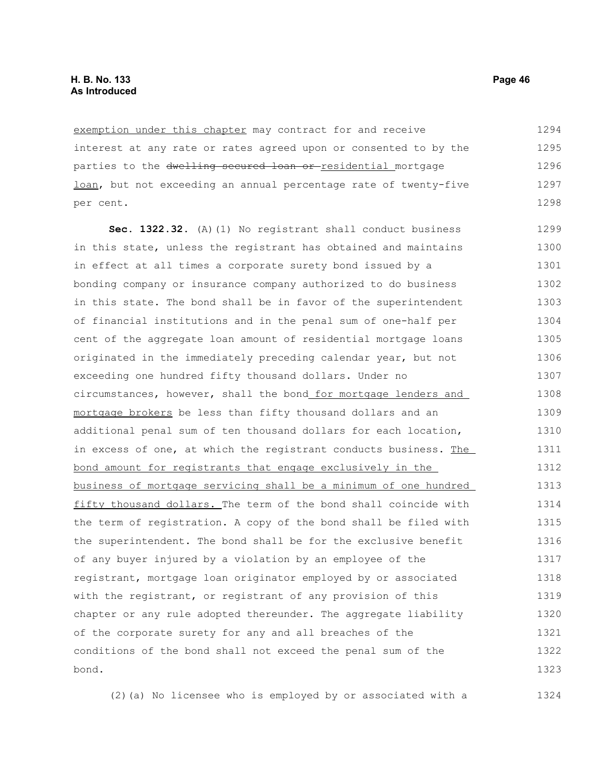exemption under this chapter may contract for and receive interest at any rate or rates agreed upon or consented to by the parties to the dwelling secured loan or residential mortgage loan, but not exceeding an annual percentage rate of twenty-five per cent. 1294 1295 1296 1297 1298

**Sec. 1322.32.** (A)(1) No registrant shall conduct business in this state, unless the registrant has obtained and maintains in effect at all times a corporate surety bond issued by a bonding company or insurance company authorized to do business in this state. The bond shall be in favor of the superintendent of financial institutions and in the penal sum of one-half per cent of the aggregate loan amount of residential mortgage loans originated in the immediately preceding calendar year, but not exceeding one hundred fifty thousand dollars. Under no circumstances, however, shall the bond for mortgage lenders and mortgage brokers be less than fifty thousand dollars and an additional penal sum of ten thousand dollars for each location, in excess of one, at which the registrant conducts business. The bond amount for registrants that engage exclusively in the business of mortgage servicing shall be a minimum of one hundred fifty thousand dollars. The term of the bond shall coincide with the term of registration. A copy of the bond shall be filed with the superintendent. The bond shall be for the exclusive benefit of any buyer injured by a violation by an employee of the registrant, mortgage loan originator employed by or associated with the registrant, or registrant of any provision of this chapter or any rule adopted thereunder. The aggregate liability of the corporate surety for any and all breaches of the conditions of the bond shall not exceed the penal sum of the bond. 1299 1300 1301 1302 1303 1304 1305 1306 1307 1308 1309 1310 1311 1312 1313 1314 1315 1316 1317 1318 1319 1320 1321 1322 1323

(2)(a) No licensee who is employed by or associated with a 1324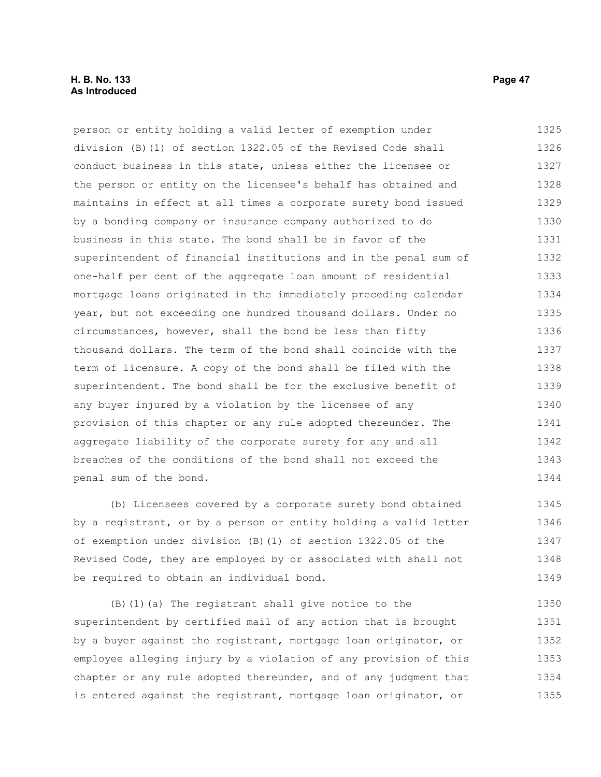# **H. B. No. 133 Page 47 As Introduced**

person or entity holding a valid letter of exemption under division (B)(1) of section 1322.05 of the Revised Code shall conduct business in this state, unless either the licensee or the person or entity on the licensee's behalf has obtained and maintains in effect at all times a corporate surety bond issued by a bonding company or insurance company authorized to do business in this state. The bond shall be in favor of the superintendent of financial institutions and in the penal sum of one-half per cent of the aggregate loan amount of residential mortgage loans originated in the immediately preceding calendar year, but not exceeding one hundred thousand dollars. Under no circumstances, however, shall the bond be less than fifty thousand dollars. The term of the bond shall coincide with the term of licensure. A copy of the bond shall be filed with the superintendent. The bond shall be for the exclusive benefit of any buyer injured by a violation by the licensee of any provision of this chapter or any rule adopted thereunder. The aggregate liability of the corporate surety for any and all breaches of the conditions of the bond shall not exceed the penal sum of the bond. 1325 1326 1327 1328 1329 1330 1331 1332 1333 1334 1335 1336 1337 1338 1339 1340 1341 1342 1343 1344

(b) Licensees covered by a corporate surety bond obtained by a registrant, or by a person or entity holding a valid letter of exemption under division (B)(1) of section 1322.05 of the Revised Code, they are employed by or associated with shall not be required to obtain an individual bond. 1345 1346 1347 1348 1349

(B)(1)(a) The registrant shall give notice to the superintendent by certified mail of any action that is brought by a buyer against the registrant, mortgage loan originator, or employee alleging injury by a violation of any provision of this chapter or any rule adopted thereunder, and of any judgment that is entered against the registrant, mortgage loan originator, or 1350 1351 1352 1353 1354 1355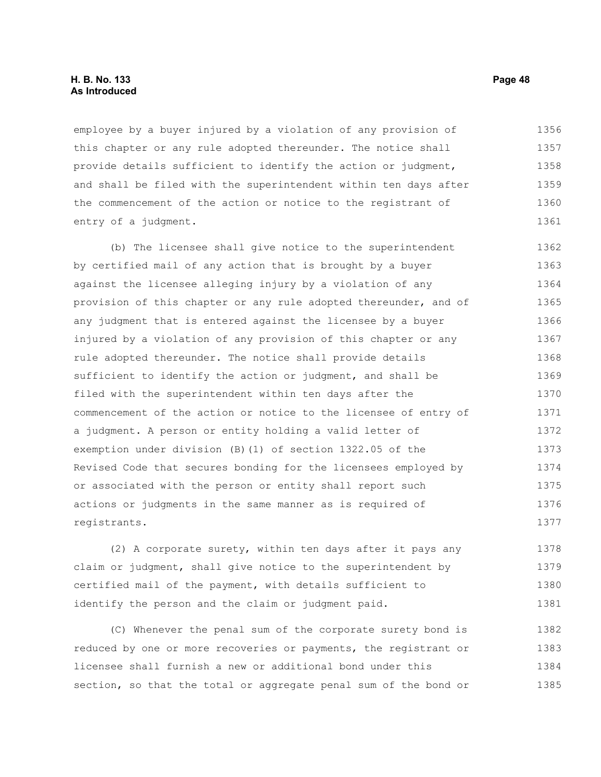## **H. B. No. 133 Page 48 As Introduced**

employee by a buyer injured by a violation of any provision of this chapter or any rule adopted thereunder. The notice shall provide details sufficient to identify the action or judgment, and shall be filed with the superintendent within ten days after the commencement of the action or notice to the registrant of entry of a judgment. 1356 1357 1358 1359 1360 1361

(b) The licensee shall give notice to the superintendent by certified mail of any action that is brought by a buyer against the licensee alleging injury by a violation of any provision of this chapter or any rule adopted thereunder, and of any judgment that is entered against the licensee by a buyer injured by a violation of any provision of this chapter or any rule adopted thereunder. The notice shall provide details sufficient to identify the action or judgment, and shall be filed with the superintendent within ten days after the commencement of the action or notice to the licensee of entry of a judgment. A person or entity holding a valid letter of exemption under division (B)(1) of section 1322.05 of the Revised Code that secures bonding for the licensees employed by or associated with the person or entity shall report such actions or judgments in the same manner as is required of registrants. 1362 1363 1364 1365 1366 1367 1368 1369 1370 1371 1372 1373 1374 1375 1376 1377

(2) A corporate surety, within ten days after it pays any claim or judgment, shall give notice to the superintendent by certified mail of the payment, with details sufficient to identify the person and the claim or judgment paid. 1378 1379 1380 1381

(C) Whenever the penal sum of the corporate surety bond is reduced by one or more recoveries or payments, the registrant or licensee shall furnish a new or additional bond under this section, so that the total or aggregate penal sum of the bond or 1382 1383 1384 1385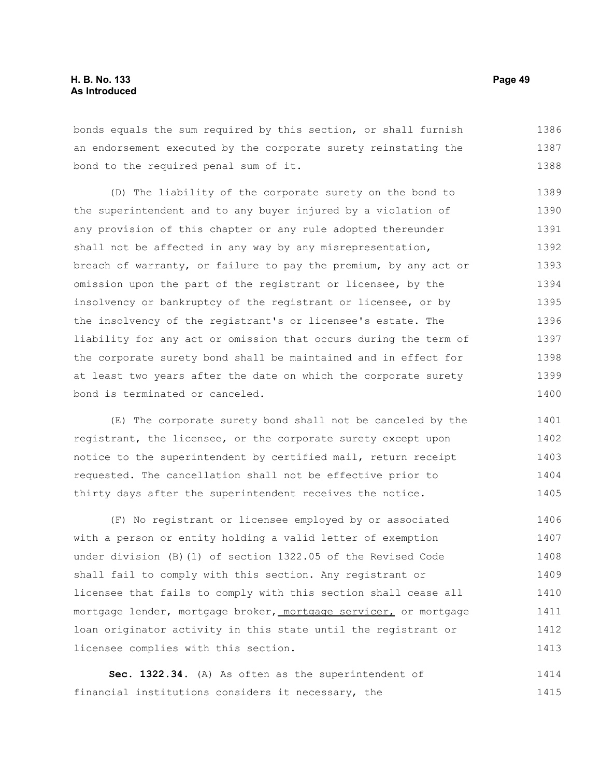bonds equals the sum required by this section, or shall furnish an endorsement executed by the corporate surety reinstating the bond to the required penal sum of it. 1386 1387 1388

(D) The liability of the corporate surety on the bond to the superintendent and to any buyer injured by a violation of any provision of this chapter or any rule adopted thereunder shall not be affected in any way by any misrepresentation, breach of warranty, or failure to pay the premium, by any act or omission upon the part of the registrant or licensee, by the insolvency or bankruptcy of the registrant or licensee, or by the insolvency of the registrant's or licensee's estate. The liability for any act or omission that occurs during the term of the corporate surety bond shall be maintained and in effect for at least two years after the date on which the corporate surety bond is terminated or canceled. 1389 1390 1391 1392 1393 1394 1395 1396 1397 1398 1399 1400

(E) The corporate surety bond shall not be canceled by the registrant, the licensee, or the corporate surety except upon notice to the superintendent by certified mail, return receipt requested. The cancellation shall not be effective prior to thirty days after the superintendent receives the notice. 1401 1402 1403 1404 1405

(F) No registrant or licensee employed by or associated with a person or entity holding a valid letter of exemption under division (B)(1) of section 1322.05 of the Revised Code shall fail to comply with this section. Any registrant or licensee that fails to comply with this section shall cease all mortgage lender, mortgage broker, mortgage servicer, or mortgage loan originator activity in this state until the registrant or licensee complies with this section. 1406 1407 1408 1409 1410 1411 1412 1413

**Sec. 1322.34.** (A) As often as the superintendent of financial institutions considers it necessary, the 1414 1415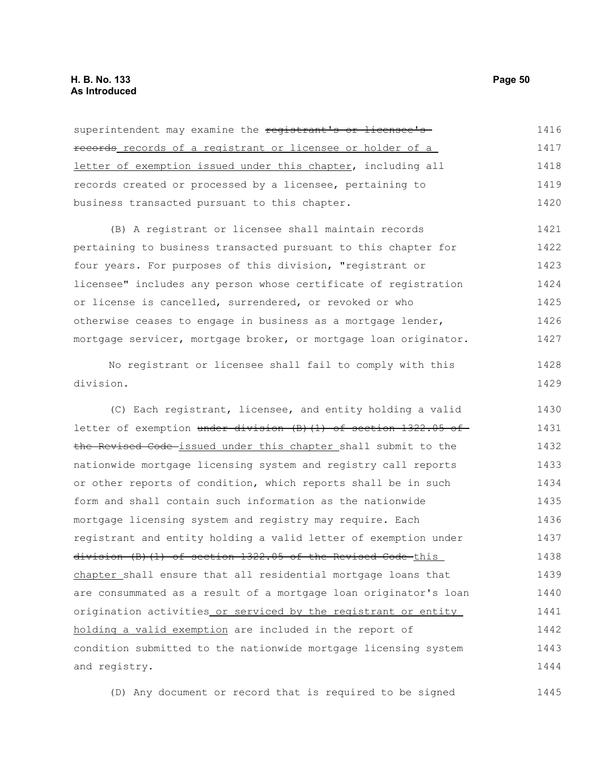superintendent may examine the registrant's or licensee'srecords records of a registrant or licensee or holder of a letter of exemption issued under this chapter, including all records created or processed by a licensee, pertaining to business transacted pursuant to this chapter. 1416 1417 1418 1419 1420

(B) A registrant or licensee shall maintain records pertaining to business transacted pursuant to this chapter for four years. For purposes of this division, "registrant or licensee" includes any person whose certificate of registration or license is cancelled, surrendered, or revoked or who otherwise ceases to engage in business as a mortgage lender, mortgage servicer, mortgage broker, or mortgage loan originator. 1421 1422 1423 1424 1425 1426 1427

No registrant or licensee shall fail to comply with this division. 1428 1429

(C) Each registrant, licensee, and entity holding a valid letter of exemption under division (B)(1) of section 1322.05 of the Revised Code issued under this chapter shall submit to the nationwide mortgage licensing system and registry call reports or other reports of condition, which reports shall be in such form and shall contain such information as the nationwide mortgage licensing system and registry may require. Each registrant and entity holding a valid letter of exemption under division (B)(1) of section 1322.05 of the Revised Code this chapter shall ensure that all residential mortgage loans that are consummated as a result of a mortgage loan originator's loan origination activities or serviced by the registrant or entity holding a valid exemption are included in the report of condition submitted to the nationwide mortgage licensing system and registry. 1430 1431 1432 1433 1434 1435 1436 1437 1438 1439 1440 1441 1442 1443 1444

(D) Any document or record that is required to be signed 1445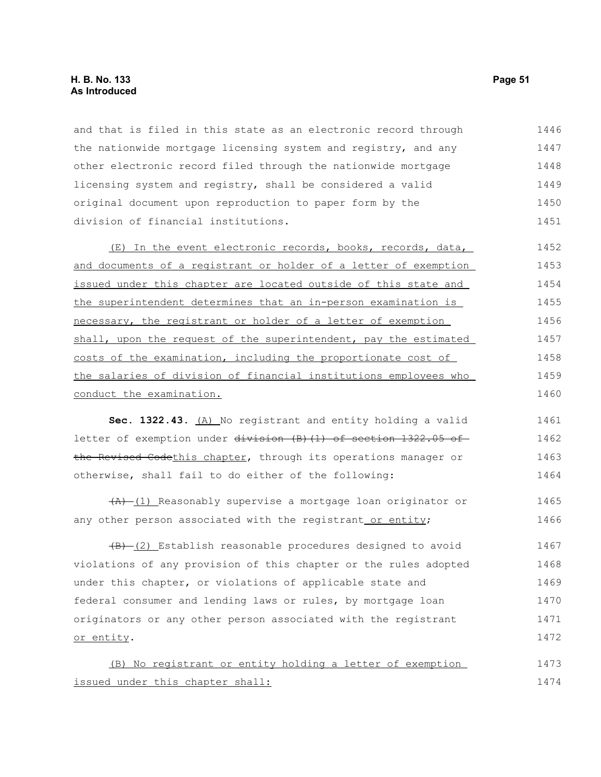and that is filed in this state as an electronic record through the nationwide mortgage licensing system and registry, and any other electronic record filed through the nationwide mortgage licensing system and registry, shall be considered a valid original document upon reproduction to paper form by the division of financial institutions. 1446 1447 1448 1449 1450 1451

(E) In the event electronic records, books, records, data, and documents of a registrant or holder of a letter of exemption issued under this chapter are located outside of this state and the superintendent determines that an in-person examination is necessary, the registrant or holder of a letter of exemption shall, upon the request of the superintendent, pay the estimated costs of the examination, including the proportionate cost of the salaries of division of financial institutions employees who conduct the examination. 1452 1453 1454 1455 1456 1457 1458 1459 1460

**Sec. 1322.43.** (A) No registrant and entity holding a valid letter of exemption under division (B)(1) of section 1322.05 of the Revised Codethis chapter, through its operations manager or otherwise, shall fail to do either of the following: 1461 1462 1463 1464

 $(A)$  (1) Reasonably supervise a mortgage loan originator or any other person associated with the registrant or entity; 1465 1466

(B) (2) Establish reasonable procedures designed to avoid violations of any provision of this chapter or the rules adopted under this chapter, or violations of applicable state and federal consumer and lending laws or rules, by mortgage loan originators or any other person associated with the registrant or entity. 1467 1468 1469 1470 1471 1472

(B) No registrant or entity holding a letter of exemption issued under this chapter shall: 1473 1474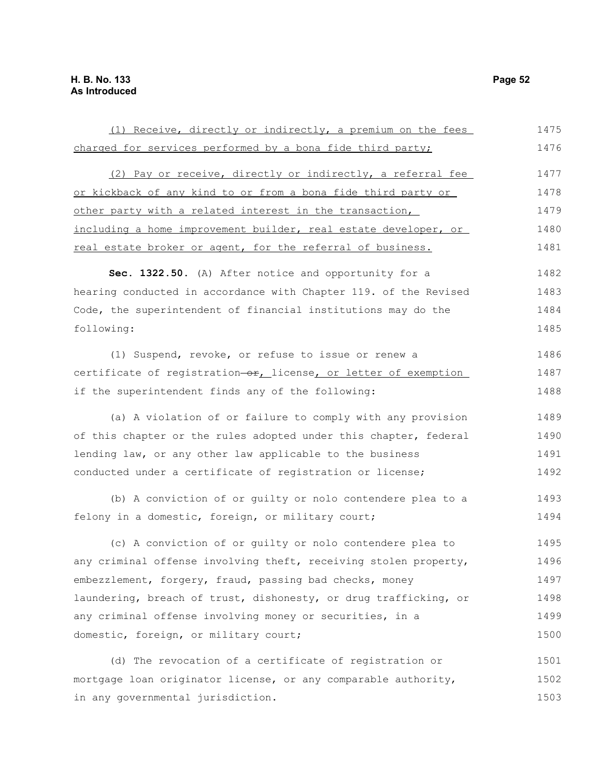| (1) Receive, directly or indirectly, a premium on the fees       | 1475 |
|------------------------------------------------------------------|------|
| charged for services performed by a bona fide third party;       | 1476 |
| (2) Pay or receive, directly or indirectly, a referral fee       | 1477 |
| or kickback of any kind to or from a bona fide third party or    | 1478 |
| other party with a related interest in the transaction,          | 1479 |
| including a home improvement builder, real estate developer, or  | 1480 |
| real estate broker or agent, for the referral of business.       | 1481 |
| Sec. 1322.50. (A) After notice and opportunity for a             | 1482 |
| hearing conducted in accordance with Chapter 119. of the Revised | 1483 |
| Code, the superintendent of financial institutions may do the    | 1484 |
| following:                                                       | 1485 |
| (1) Suspend, revoke, or refuse to issue or renew a               | 1486 |
| certificate of registration-or, license, or letter of exemption  | 1487 |
| if the superintendent finds any of the following:                | 1488 |
| (a) A violation of or failure to comply with any provision       | 1489 |
| of this chapter or the rules adopted under this chapter, federal | 1490 |
| lending law, or any other law applicable to the business         | 1491 |
| conducted under a certificate of registration or license;        | 1492 |
| (b) A conviction of or guilty or nolo contendere plea to a       | 1493 |
| felony in a domestic, foreign, or military court;                | 1494 |
| (c) A conviction of or guilty or nolo contendere plea to         | 1495 |
| any criminal offense involving theft, receiving stolen property, | 1496 |
| embezzlement, forgery, fraud, passing bad checks, money          | 1497 |
| laundering, breach of trust, dishonesty, or drug trafficking, or | 1498 |
| any criminal offense involving money or securities, in a         | 1499 |
| domestic, foreign, or military court;                            | 1500 |
| (d) The revocation of a certificate of registration or           | 1501 |
| mortgage loan originator license, or any comparable authority,   | 1502 |
| in any governmental jurisdiction.                                | 1503 |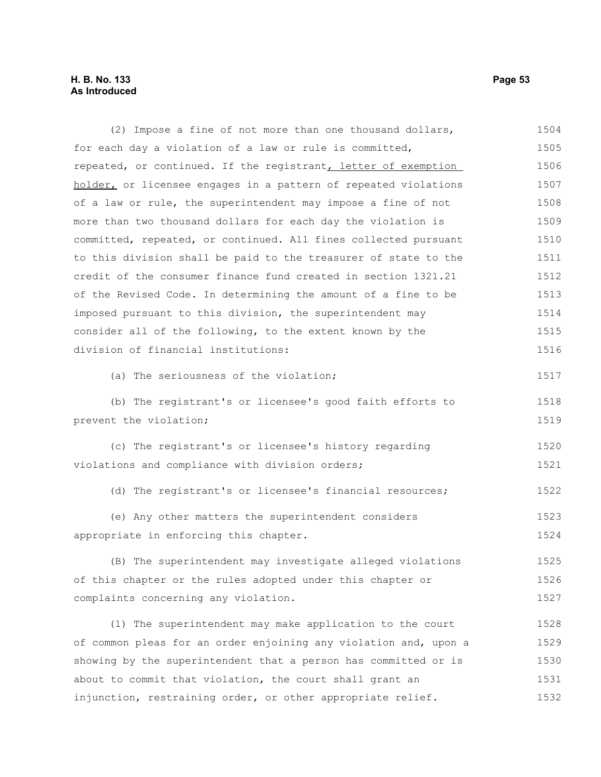# **H. B. No. 133 Page 53 As Introduced**

(2) Impose a fine of not more than one thousand dollars, for each day a violation of a law or rule is committed, repeated, or continued. If the registrant, letter of exemption holder, or licensee engages in a pattern of repeated violations of a law or rule, the superintendent may impose a fine of not more than two thousand dollars for each day the violation is committed, repeated, or continued. All fines collected pursuant to this division shall be paid to the treasurer of state to the credit of the consumer finance fund created in section 1321.21 of the Revised Code. In determining the amount of a fine to be imposed pursuant to this division, the superintendent may consider all of the following, to the extent known by the division of financial institutions: (a) The seriousness of the violation; (b) The registrant's or licensee's good faith efforts to prevent the violation; (c) The registrant's or licensee's history regarding violations and compliance with division orders; (d) The registrant's or licensee's financial resources; (e) Any other matters the superintendent considers appropriate in enforcing this chapter. (B) The superintendent may investigate alleged violations of this chapter or the rules adopted under this chapter or complaints concerning any violation. (1) The superintendent may make application to the court of common pleas for an order enjoining any violation and, upon a showing by the superintendent that a person has committed or is about to commit that violation, the court shall grant an injunction, restraining order, or other appropriate relief. 1504 1505 1506 1507 1508 1509 1510 1511 1512 1513 1514 1515 1516 1517 1518 1519 1520 1521 1522 1523 1524 1525 1526 1527 1528 1529 1530 1531 1532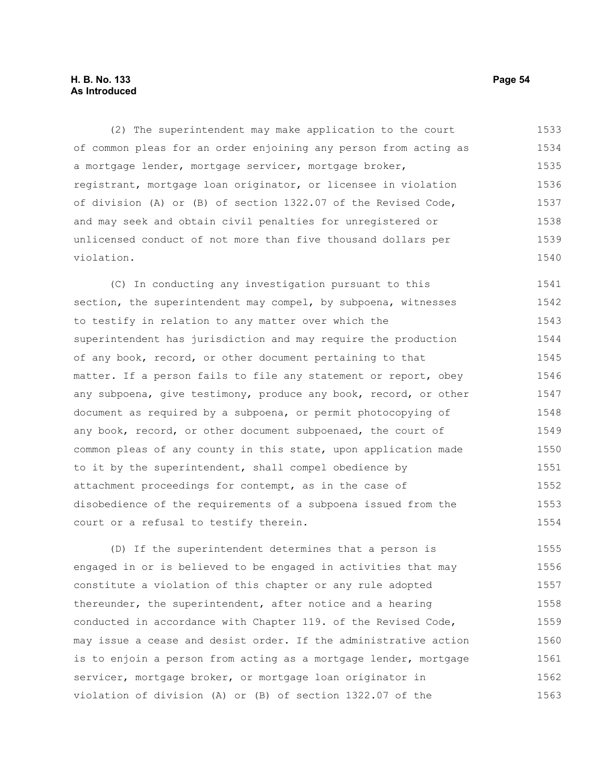# **H. B. No. 133 Page 54 As Introduced**

(2) The superintendent may make application to the court of common pleas for an order enjoining any person from acting as a mortgage lender, mortgage servicer, mortgage broker, registrant, mortgage loan originator, or licensee in violation of division (A) or (B) of section 1322.07 of the Revised Code, and may seek and obtain civil penalties for unregistered or unlicensed conduct of not more than five thousand dollars per violation. 1533 1534 1535 1536 1537 1538 1539 1540

(C) In conducting any investigation pursuant to this section, the superintendent may compel, by subpoena, witnesses to testify in relation to any matter over which the superintendent has jurisdiction and may require the production of any book, record, or other document pertaining to that matter. If a person fails to file any statement or report, obey any subpoena, give testimony, produce any book, record, or other document as required by a subpoena, or permit photocopying of any book, record, or other document subpoenaed, the court of common pleas of any county in this state, upon application made to it by the superintendent, shall compel obedience by attachment proceedings for contempt, as in the case of disobedience of the requirements of a subpoena issued from the court or a refusal to testify therein. 1541 1542 1543 1544 1545 1546 1547 1548 1549 1550 1551 1552 1553 1554

(D) If the superintendent determines that a person is engaged in or is believed to be engaged in activities that may constitute a violation of this chapter or any rule adopted thereunder, the superintendent, after notice and a hearing conducted in accordance with Chapter 119. of the Revised Code, may issue a cease and desist order. If the administrative action is to enjoin a person from acting as a mortgage lender, mortgage servicer, mortgage broker, or mortgage loan originator in violation of division (A) or (B) of section 1322.07 of the 1555 1556 1557 1558 1559 1560 1561 1562 1563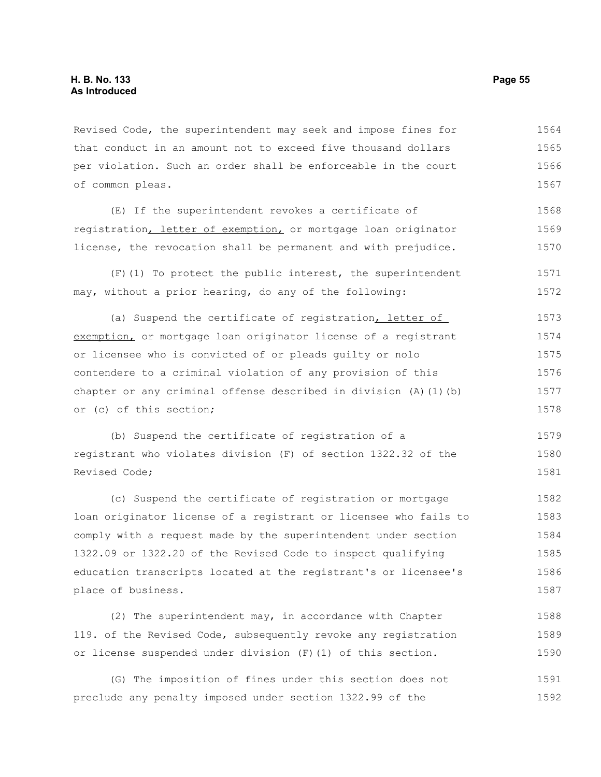Revised Code, the superintendent may seek and impose fines for that conduct in an amount not to exceed five thousand dollars per violation. Such an order shall be enforceable in the court of common pleas. 1564 1565 1566 1567

(E) If the superintendent revokes a certificate of registration, letter of exemption, or mortgage loan originator license, the revocation shall be permanent and with prejudice. 1568 1569 1570

(F)(1) To protect the public interest, the superintendent may, without a prior hearing, do any of the following: 1571 1572

(a) Suspend the certificate of registration, letter of exemption, or mortgage loan originator license of a registrant or licensee who is convicted of or pleads guilty or nolo contendere to a criminal violation of any provision of this chapter or any criminal offense described in division  $(A)$   $(1)$   $(b)$ or (c) of this section; 1573 1574 1575 1576 1577 1578

(b) Suspend the certificate of registration of a registrant who violates division (F) of section 1322.32 of the Revised Code; 1579 1580 1581

(c) Suspend the certificate of registration or mortgage loan originator license of a registrant or licensee who fails to comply with a request made by the superintendent under section 1322.09 or 1322.20 of the Revised Code to inspect qualifying education transcripts located at the registrant's or licensee's place of business. 1582 1583 1584 1585 1586 1587

(2) The superintendent may, in accordance with Chapter 119. of the Revised Code, subsequently revoke any registration or license suspended under division (F)(1) of this section. 1588 1589 1590

(G) The imposition of fines under this section does not preclude any penalty imposed under section 1322.99 of the 1591 1592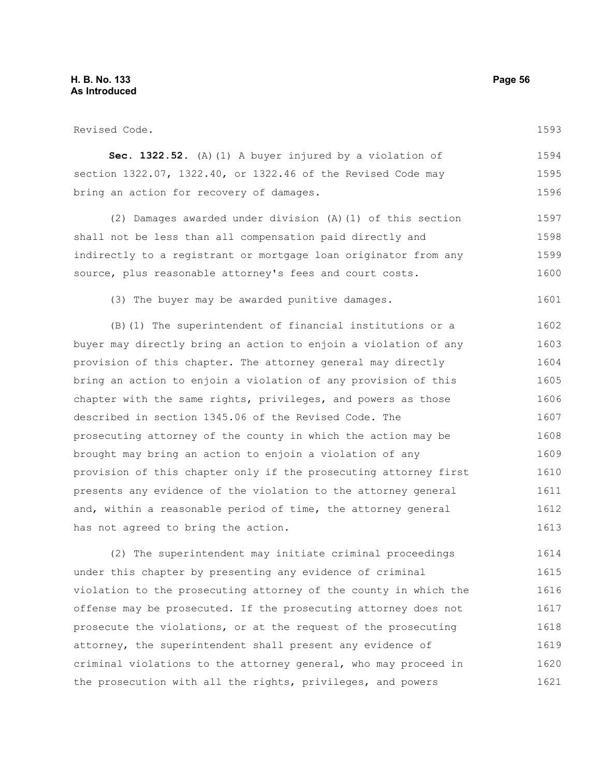1593

1594 1595 1596

1601

| Revised Code.                                                |
|--------------------------------------------------------------|
| Sec. 1322.52. (A) (1) A buyer injured by a violation of      |
| section 1322.07, 1322.40, or 1322.46 of the Revised Code may |
| bring an action for recovery of damages.                     |

(2) Damages awarded under division (A)(1) of this section shall not be less than all compensation paid directly and indirectly to a registrant or mortgage loan originator from any source, plus reasonable attorney's fees and court costs. 1597 1598 1599 1600

(3) The buyer may be awarded punitive damages.

(B)(1) The superintendent of financial institutions or a buyer may directly bring an action to enjoin a violation of any provision of this chapter. The attorney general may directly bring an action to enjoin a violation of any provision of this chapter with the same rights, privileges, and powers as those described in section 1345.06 of the Revised Code. The prosecuting attorney of the county in which the action may be brought may bring an action to enjoin a violation of any provision of this chapter only if the prosecuting attorney first presents any evidence of the violation to the attorney general and, within a reasonable period of time, the attorney general has not agreed to bring the action. 1602 1603 1604 1605 1606 1607 1608 1609 1610 1611 1612 1613

(2) The superintendent may initiate criminal proceedings under this chapter by presenting any evidence of criminal violation to the prosecuting attorney of the county in which the offense may be prosecuted. If the prosecuting attorney does not prosecute the violations, or at the request of the prosecuting attorney, the superintendent shall present any evidence of criminal violations to the attorney general, who may proceed in the prosecution with all the rights, privileges, and powers 1614 1615 1616 1617 1618 1619 1620 1621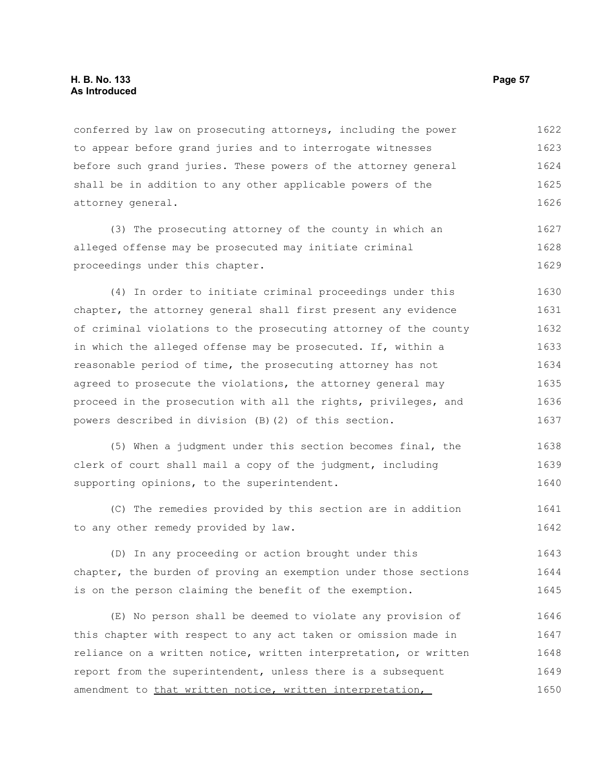## **H. B. No. 133 Page 57 As Introduced**

conferred by law on prosecuting attorneys, including the power to appear before grand juries and to interrogate witnesses before such grand juries. These powers of the attorney general shall be in addition to any other applicable powers of the attorney general. 1622 1623 1624 1625 1626

(3) The prosecuting attorney of the county in which an alleged offense may be prosecuted may initiate criminal proceedings under this chapter. 1627 1628 1629

(4) In order to initiate criminal proceedings under this chapter, the attorney general shall first present any evidence of criminal violations to the prosecuting attorney of the county in which the alleged offense may be prosecuted. If, within a reasonable period of time, the prosecuting attorney has not agreed to prosecute the violations, the attorney general may proceed in the prosecution with all the rights, privileges, and powers described in division (B)(2) of this section. 1630 1631 1632 1633 1634 1635 1636 1637

(5) When a judgment under this section becomes final, the clerk of court shall mail a copy of the judgment, including supporting opinions, to the superintendent. 1638 1639 1640

(C) The remedies provided by this section are in addition to any other remedy provided by law. 1641 1642

(D) In any proceeding or action brought under this chapter, the burden of proving an exemption under those sections is on the person claiming the benefit of the exemption. 1643 1644 1645

(E) No person shall be deemed to violate any provision of this chapter with respect to any act taken or omission made in reliance on a written notice, written interpretation, or written report from the superintendent, unless there is a subsequent amendment to that written notice, written interpretation, 1646 1647 1648 1649 1650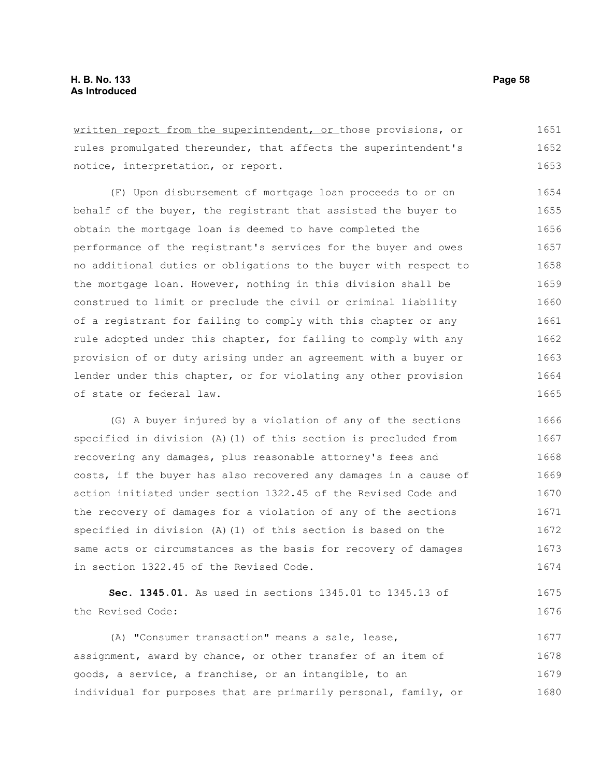written report from the superintendent, or those provisions, or rules promulgated thereunder, that affects the superintendent's notice, interpretation, or report. 1651 1652 1653

(F) Upon disbursement of mortgage loan proceeds to or on behalf of the buyer, the registrant that assisted the buyer to obtain the mortgage loan is deemed to have completed the performance of the registrant's services for the buyer and owes no additional duties or obligations to the buyer with respect to the mortgage loan. However, nothing in this division shall be construed to limit or preclude the civil or criminal liability of a registrant for failing to comply with this chapter or any rule adopted under this chapter, for failing to comply with any provision of or duty arising under an agreement with a buyer or lender under this chapter, or for violating any other provision of state or federal law. 1654 1655 1656 1657 1658 1659 1660 1661 1662 1663 1664 1665

(G) A buyer injured by a violation of any of the sections specified in division (A)(1) of this section is precluded from recovering any damages, plus reasonable attorney's fees and costs, if the buyer has also recovered any damages in a cause of action initiated under section 1322.45 of the Revised Code and the recovery of damages for a violation of any of the sections specified in division (A)(1) of this section is based on the same acts or circumstances as the basis for recovery of damages in section 1322.45 of the Revised Code. 1666 1667 1668 1669 1670 1671 1672 1673 1674

**Sec. 1345.01.** As used in sections 1345.01 to 1345.13 of the Revised Code: 1675 1676

(A) "Consumer transaction" means a sale, lease, assignment, award by chance, or other transfer of an item of goods, a service, a franchise, or an intangible, to an individual for purposes that are primarily personal, family, or 1677 1678 1679 1680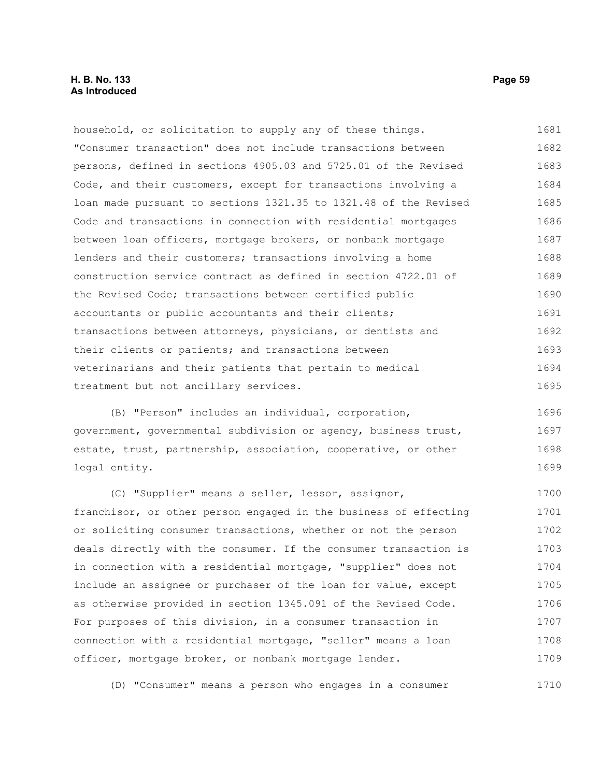household, or solicitation to supply any of these things. "Consumer transaction" does not include transactions between persons, defined in sections 4905.03 and 5725.01 of the Revised Code, and their customers, except for transactions involving a loan made pursuant to sections 1321.35 to 1321.48 of the Revised Code and transactions in connection with residential mortgages between loan officers, mortgage brokers, or nonbank mortgage lenders and their customers; transactions involving a home construction service contract as defined in section 4722.01 of the Revised Code; transactions between certified public accountants or public accountants and their clients; transactions between attorneys, physicians, or dentists and their clients or patients; and transactions between veterinarians and their patients that pertain to medical treatment but not ancillary services. 1681 1682 1683 1684 1685 1686 1687 1688 1689 1690 1691 1692 1693 1694 1695

(B) "Person" includes an individual, corporation, government, governmental subdivision or agency, business trust, estate, trust, partnership, association, cooperative, or other legal entity. 1696 1697 1698 1699

(C) "Supplier" means a seller, lessor, assignor, franchisor, or other person engaged in the business of effecting or soliciting consumer transactions, whether or not the person deals directly with the consumer. If the consumer transaction is in connection with a residential mortgage, "supplier" does not include an assignee or purchaser of the loan for value, except as otherwise provided in section 1345.091 of the Revised Code. For purposes of this division, in a consumer transaction in connection with a residential mortgage, "seller" means a loan officer, mortgage broker, or nonbank mortgage lender. 1700 1701 1702 1703 1704 1705 1706 1707 1708 1709

(D) "Consumer" means a person who engages in a consumer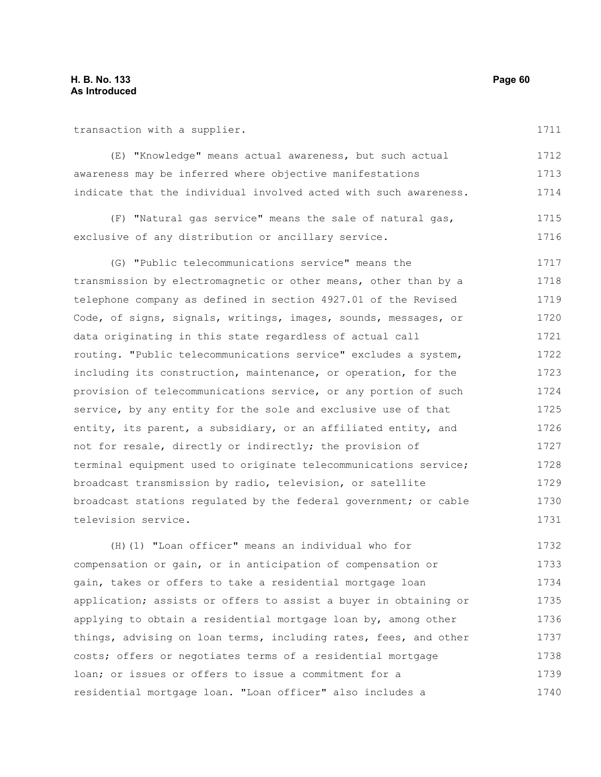transaction with a supplier.

1711

| (E) "Knowledge" means actual awareness, but such actual          | 1712 |
|------------------------------------------------------------------|------|
| awareness may be inferred where objective manifestations         | 1713 |
| indicate that the individual involved acted with such awareness. | 1714 |

(F) "Natural gas service" means the sale of natural gas, exclusive of any distribution or ancillary service. 1715 1716

(G) "Public telecommunications service" means the transmission by electromagnetic or other means, other than by a telephone company as defined in section 4927.01 of the Revised Code, of signs, signals, writings, images, sounds, messages, or data originating in this state regardless of actual call routing. "Public telecommunications service" excludes a system, including its construction, maintenance, or operation, for the provision of telecommunications service, or any portion of such service, by any entity for the sole and exclusive use of that entity, its parent, a subsidiary, or an affiliated entity, and not for resale, directly or indirectly; the provision of terminal equipment used to originate telecommunications service; broadcast transmission by radio, television, or satellite broadcast stations regulated by the federal government; or cable television service. 1717 1718 1719 1720 1721 1722 1723 1724 1725 1726 1727 1728 1729 1730 1731

(H)(1) "Loan officer" means an individual who for compensation or gain, or in anticipation of compensation or gain, takes or offers to take a residential mortgage loan application; assists or offers to assist a buyer in obtaining or applying to obtain a residential mortgage loan by, among other things, advising on loan terms, including rates, fees, and other costs; offers or negotiates terms of a residential mortgage loan; or issues or offers to issue a commitment for a residential mortgage loan. "Loan officer" also includes a 1732 1733 1734 1735 1736 1737 1738 1739 1740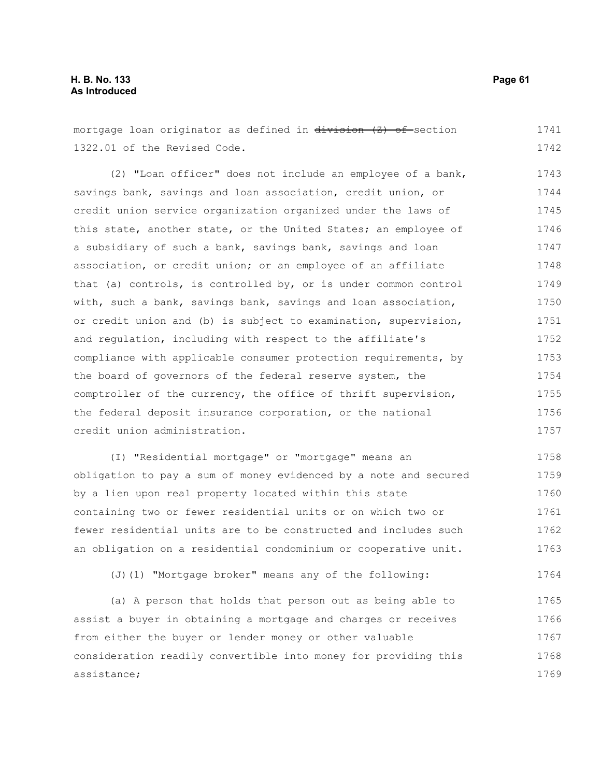mortgage loan originator as defined in  $\frac{division}{dz}$  of section 1322.01 of the Revised Code. 1741 1742

(2) "Loan officer" does not include an employee of a bank, savings bank, savings and loan association, credit union, or credit union service organization organized under the laws of this state, another state, or the United States; an employee of a subsidiary of such a bank, savings bank, savings and loan association, or credit union; or an employee of an affiliate that (a) controls, is controlled by, or is under common control with, such a bank, savings bank, savings and loan association, or credit union and (b) is subject to examination, supervision, and regulation, including with respect to the affiliate's compliance with applicable consumer protection requirements, by the board of governors of the federal reserve system, the comptroller of the currency, the office of thrift supervision, the federal deposit insurance corporation, or the national credit union administration. 1743 1744 1745 1746 1747 1748 1749 1750 1751 1752 1753 1754 1755 1756 1757

(I) "Residential mortgage" or "mortgage" means an obligation to pay a sum of money evidenced by a note and secured by a lien upon real property located within this state containing two or fewer residential units or on which two or fewer residential units are to be constructed and includes such an obligation on a residential condominium or cooperative unit. 1758 1759 1760 1761 1762 1763

(J)(1) "Mortgage broker" means any of the following:

(a) A person that holds that person out as being able to assist a buyer in obtaining a mortgage and charges or receives from either the buyer or lender money or other valuable consideration readily convertible into money for providing this assistance; 1765 1766 1767 1768 1769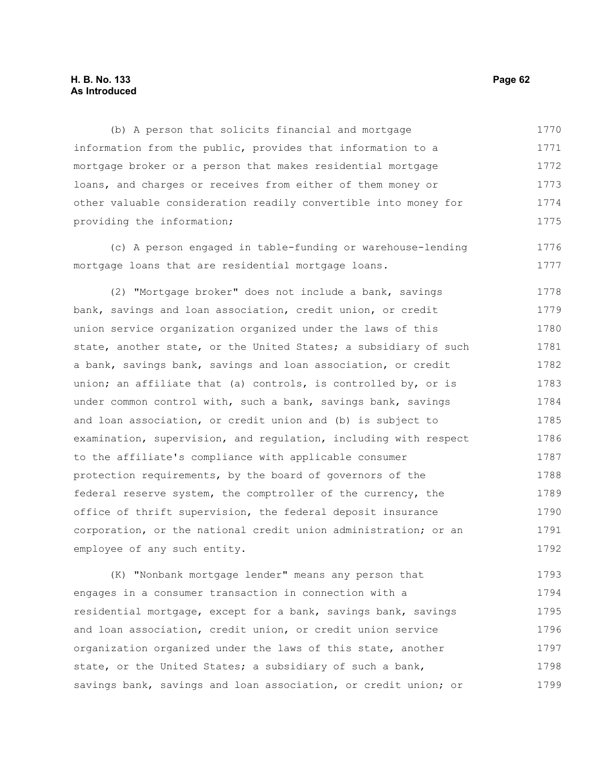# **H. B. No. 133 Page 62 As Introduced**

(b) A person that solicits financial and mortgage information from the public, provides that information to a mortgage broker or a person that makes residential mortgage loans, and charges or receives from either of them money or other valuable consideration readily convertible into money for providing the information; 1770 1771 1772 1773 1774 1775

(c) A person engaged in table-funding or warehouse-lending mortgage loans that are residential mortgage loans.

(2) "Mortgage broker" does not include a bank, savings bank, savings and loan association, credit union, or credit union service organization organized under the laws of this state, another state, or the United States; a subsidiary of such a bank, savings bank, savings and loan association, or credit union; an affiliate that (a) controls, is controlled by, or is under common control with, such a bank, savings bank, savings and loan association, or credit union and (b) is subject to examination, supervision, and regulation, including with respect to the affiliate's compliance with applicable consumer protection requirements, by the board of governors of the federal reserve system, the comptroller of the currency, the office of thrift supervision, the federal deposit insurance corporation, or the national credit union administration; or an employee of any such entity. 1778 1779 1780 1781 1782 1783 1784 1785 1786 1787 1788 1789 1790 1791 1792

(K) "Nonbank mortgage lender" means any person that engages in a consumer transaction in connection with a residential mortgage, except for a bank, savings bank, savings and loan association, credit union, or credit union service organization organized under the laws of this state, another state, or the United States; a subsidiary of such a bank, savings bank, savings and loan association, or credit union; or 1793 1794 1795 1796 1797 1798 1799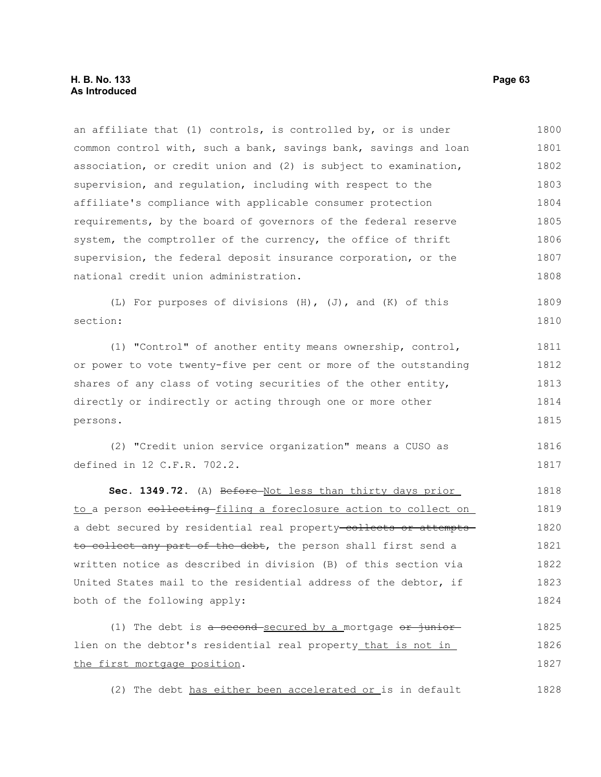an affiliate that (1) controls, is controlled by, or is under common control with, such a bank, savings bank, savings and loan association, or credit union and (2) is subject to examination, supervision, and regulation, including with respect to the affiliate's compliance with applicable consumer protection requirements, by the board of governors of the federal reserve system, the comptroller of the currency, the office of thrift supervision, the federal deposit insurance corporation, or the national credit union administration. 1800 1801 1802 1803 1804 1805 1806 1807 1808

(L) For purposes of divisions (H), (J), and (K) of this section: 1809 1810

(1) "Control" of another entity means ownership, control, or power to vote twenty-five per cent or more of the outstanding shares of any class of voting securities of the other entity, directly or indirectly or acting through one or more other persons. 1811 1812 1813 1814 1815

(2) "Credit union service organization" means a CUSO as defined in 12 C.F.R. 702.2. 1816 1817

Sec. 1349.72. (A) Before Not less than thirty days prior to a person collecting filing a foreclosure action to collect on a debt secured by residential real property-collects or attemptsto collect any part of the debt, the person shall first send a written notice as described in division (B) of this section via United States mail to the residential address of the debtor, if both of the following apply:

(1) The debt is  $a$  second-secured by a mortgage or juniorlien on the debtor's residential real property that is not in the first mortgage position. 1825 1826 1827

(2) The debt has either been accelerated or is in default 1828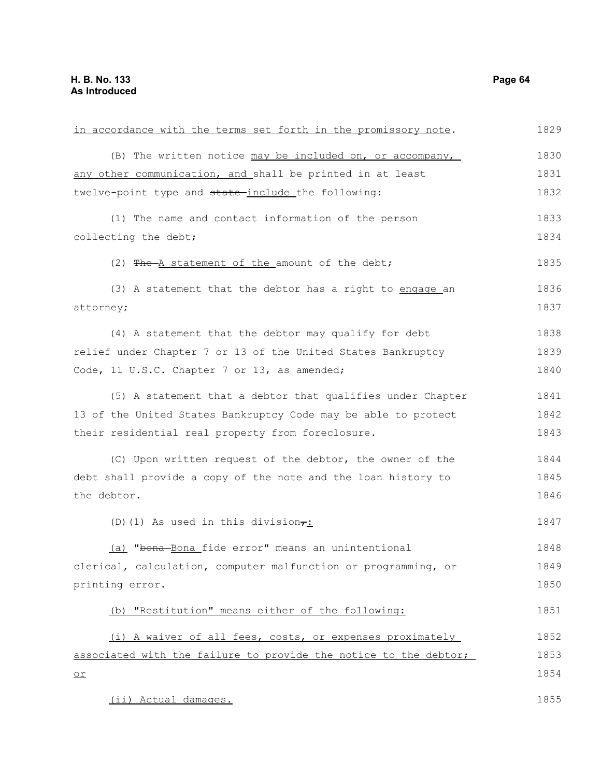| in accordance with the terms set forth in the promissory note.   | 1829 |
|------------------------------------------------------------------|------|
| (B) The written notice may be included on, or accompany,         | 1830 |
| any other communication, and shall be printed in at least        | 1831 |
| twelve-point type and state-include the following:               | 1832 |
| (1) The name and contact information of the person               | 1833 |
| collecting the debt;                                             | 1834 |
| (2) The A statement of the amount of the debt;                   | 1835 |
| (3) A statement that the debtor has a right to engage an         | 1836 |
| attorney;                                                        | 1837 |
| (4) A statement that the debtor may qualify for debt             | 1838 |
| relief under Chapter 7 or 13 of the United States Bankruptcy     | 1839 |
| Code, 11 U.S.C. Chapter 7 or 13, as amended;                     | 1840 |
| (5) A statement that a debtor that qualifies under Chapter       | 1841 |
| 13 of the United States Bankruptcy Code may be able to protect   | 1842 |
| their residential real property from foreclosure.                | 1843 |
| (C) Upon written request of the debtor, the owner of the         | 1844 |
| debt shall provide a copy of the note and the loan history to    | 1845 |
| the debtor.                                                      | 1846 |
| (D) (1) As used in this division $\tau$ :                        | 1847 |
| (a) "bona-Bona fide error" means an unintentional                | 1848 |
| clerical, calculation, computer malfunction or programming, or   | 1849 |
| printing error.                                                  | 1850 |
| (b) "Restitution" means either of the following:                 | 1851 |
| (i) A waiver of all fees, costs, or expenses proximately         | 1852 |
| associated with the failure to provide the notice to the debtor; | 1853 |
| $\overline{\circ}$                                               | 1854 |
| (ii) Actual damages.                                             | 1855 |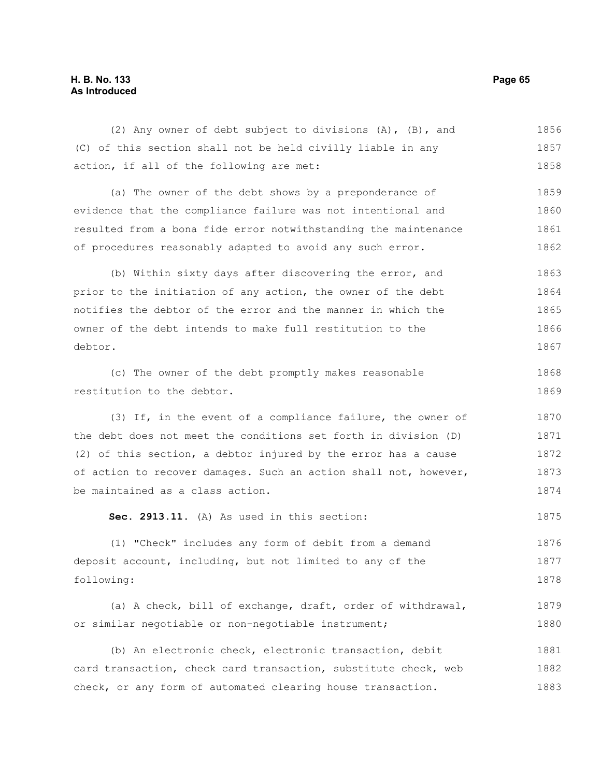# **H. B. No. 133 Page 65 As Introduced**

(2) Any owner of debt subject to divisions (A), (B), and (C) of this section shall not be held civilly liable in any action, if all of the following are met: (a) The owner of the debt shows by a preponderance of evidence that the compliance failure was not intentional and resulted from a bona fide error notwithstanding the maintenance of procedures reasonably adapted to avoid any such error. (b) Within sixty days after discovering the error, and prior to the initiation of any action, the owner of the debt notifies the debtor of the error and the manner in which the owner of the debt intends to make full restitution to the debtor. (c) The owner of the debt promptly makes reasonable restitution to the debtor. (3) If, in the event of a compliance failure, the owner of the debt does not meet the conditions set forth in division (D) (2) of this section, a debtor injured by the error has a cause of action to recover damages. Such an action shall not, however, be maintained as a class action. **Sec. 2913.11.** (A) As used in this section: (1) "Check" includes any form of debit from a demand deposit account, including, but not limited to any of the following: (a) A check, bill of exchange, draft, order of withdrawal, or similar negotiable or non-negotiable instrument; 1856 1857 1858 1859 1860 1861 1862 1863 1864 1865 1866 1867 1868 1869 1870 1871 1872 1873 1874 1875 1876 1877 1878 1879 1880

(b) An electronic check, electronic transaction, debit card transaction, check card transaction, substitute check, web check, or any form of automated clearing house transaction. 1881 1882 1883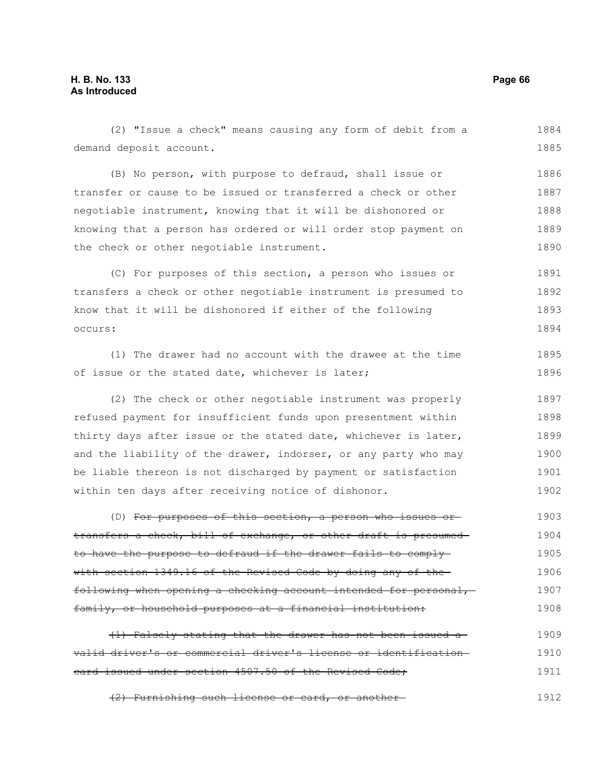demand deposit account.

(B) No person, with purpose to defraud, shall issue or transfer or cause to be issued or transferred a check or other negotiable instrument, knowing that it will be dishonored or knowing that a person has ordered or will order stop payment on the check or other negotiable instrument. (C) For purposes of this section, a person who issues or transfers a check or other negotiable instrument is presumed to know that it will be dishonored if either of the following occurs: (1) The drawer had no account with the drawee at the time of issue or the stated date, whichever is later; (2) The check or other negotiable instrument was properly refused payment for insufficient funds upon presentment within thirty days after issue or the stated date, whichever is later, and the liability of the drawer, indorser, or any party who may be liable thereon is not discharged by payment or satisfaction within ten days after receiving notice of dishonor. (D) For purposes of this section, a person who issues ortransfers a check, bill of exchange, or other draft is presumedto have the purpose to defraud if the drawer fails to comply with section 1349.16 of the Revised Code by doing any of the following when opening a checking account intended for personal, family, or household purposes at a financial institution: (1) Falsely stating that the drawer has not been issued a valid driver's or commercial driver's license or identification 1886 1887 1888 1889 1890 1891 1892 1893 1894 1895 1896 1897 1898 1899 1900 1901 1902 1903 1904 1905 1906 1907 1908 1909 1910

(2) "Issue a check" means causing any form of debit from a

(2) Furnishing such license or card, or another 1912

card issued under section 4507.50 of the Revised Code;

1884 1885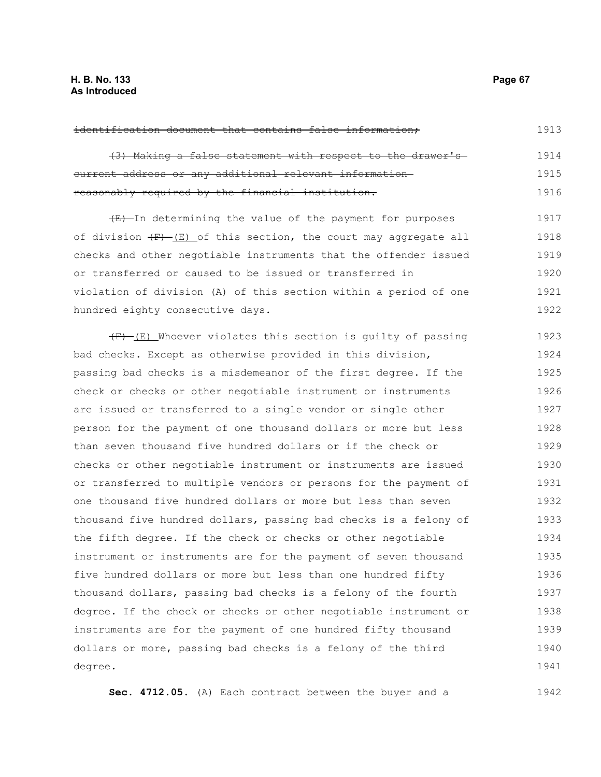| racherreacron accument that contains rarpe rurbrination,                    |      |
|-----------------------------------------------------------------------------|------|
| (3) Making a false statement with respect to the drawer's-                  | 1914 |
| current address or any additional relevant information-                     | 1915 |
| reasonably required by the financial institution.                           | 1916 |
| (E) In determining the value of the payment for purposes                    | 1917 |
| of division $\overline{F}$ (E) of this section, the court may aggregate all | 1918 |
| checks and other negotiable instruments that the offender issued            | 1919 |
| or transferred or caused to be issued or transferred in                     | 1920 |
| violation of division (A) of this section within a period of one            | 1921 |
| hundred eighty consecutive days.                                            | 1922 |
| $(F)$ (E) Whoever violates this section is quilty of passing                | 1923 |
| bad checks. Except as otherwise provided in this division,                  | 1924 |
| passing bad checks is a misdemeanor of the first degree. If the             | 1925 |
| check or checks or other negotiable instrument or instruments               | 1926 |

identification document that contains false information;

check or checks or other negotiable instrument or instruments are issued or transferred to a single vendor or single other person for the payment of one thousand dollars or more but less than seven thousand five hundred dollars or if the check or checks or other negotiable instrument or instruments are issued or transferred to multiple vendors or persons for the payment of one thousand five hundred dollars or more but less than seven thousand five hundred dollars, passing bad checks is a felony of the fifth degree. If the check or checks or other negotiable instrument or instruments are for the payment of seven thousand five hundred dollars or more but less than one hundred fifty thousand dollars, passing bad checks is a felony of the fourth degree. If the check or checks or other negotiable instrument or instruments are for the payment of one hundred fifty thousand dollars or more, passing bad checks is a felony of the third degree. 1926 1927 1928 1929 1930 1931 1932 1933 1934 1935 1936 1937 1938 1939 1940 1941

**Sec. 4712.05.** (A) Each contract between the buyer and a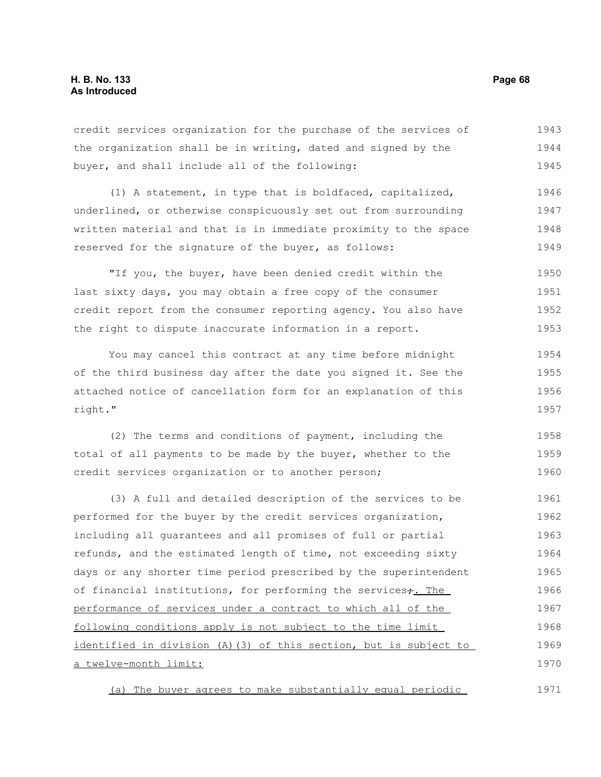credit services organization for the purchase of the services of the organization shall be in writing, dated and signed by the buyer, and shall include all of the following: 1943 1944 1945

(1) A statement, in type that is boldfaced, capitalized, underlined, or otherwise conspicuously set out from surrounding written material and that is in immediate proximity to the space reserved for the signature of the buyer, as follows: 1946 1947 1948 1949

"If you, the buyer, have been denied credit within the last sixty days, you may obtain a free copy of the consumer credit report from the consumer reporting agency. You also have the right to dispute inaccurate information in a report. 1950 1951 1952 1953

You may cancel this contract at any time before midnight of the third business day after the date you signed it. See the attached notice of cancellation form for an explanation of this right." 1954 1955 1956 1957

(2) The terms and conditions of payment, including the total of all payments to be made by the buyer, whether to the credit services organization or to another person; 1958 1959 1960

(3) A full and detailed description of the services to be performed for the buyer by the credit services organization, including all guarantees and all promises of full or partial refunds, and the estimated length of time, not exceeding sixty days or any shorter time period prescribed by the superintendent of financial institutions, for performing the services $\tau$ . The performance of services under a contract to which all of the following conditions apply is not subject to the time limit identified in division (A)(3) of this section, but is subject to a twelve-month limit: 1961 1962 1963 1964 1965 1966 1967 1968 1969 1970

(a) The buyer agrees to make substantially equal periodic 1971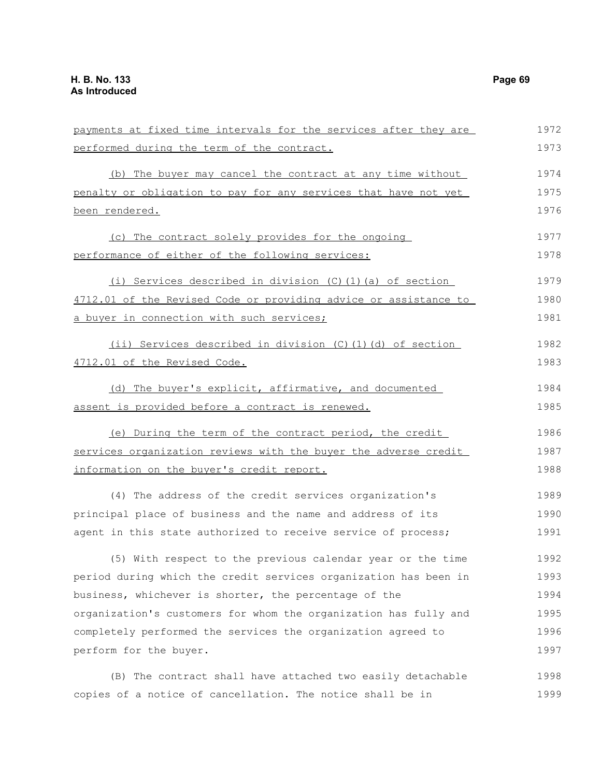| payments at fixed time intervals for the services after they are | 1972 |
|------------------------------------------------------------------|------|
| performed during the term of the contract.                       | 1973 |
| (b) The buyer may cancel the contract at any time without        | 1974 |
| penalty or obligation to pay for any services that have not yet  | 1975 |
| been rendered.                                                   | 1976 |
| (c) The contract solely provides for the ongoing                 | 1977 |
| performance of either of the following services:                 | 1978 |
| (i) Services described in division (C)(1)(a) of section          | 1979 |
| 4712.01 of the Revised Code or providing advice or assistance to | 1980 |
| a buyer in connection with such services;                        | 1981 |
| (ii) Services described in division $(C)$ (1) (d) of section     | 1982 |
| 4712.01 of the Revised Code.                                     | 1983 |
| (d) The buyer's explicit, affirmative, and documented            | 1984 |
| assent is provided before a contract is renewed.                 | 1985 |
| (e) During the term of the contract period, the credit           | 1986 |
| services organization reviews with the buyer the adverse credit  | 1987 |
| information on the buyer's credit report.                        | 1988 |
| (4) The address of the credit services organization's            | 1989 |
| principal place of business and the name and address of its      | 1990 |
| agent in this state authorized to receive service of process;    | 1991 |
| (5) With respect to the previous calendar year or the time       | 1992 |
| period during which the credit services organization has been in | 1993 |
| business, whichever is shorter, the percentage of the            | 1994 |
| organization's customers for whom the organization has fully and | 1995 |
| completely performed the services the organization agreed to     | 1996 |
| perform for the buyer.                                           | 1997 |
| (B) The contract shall have attached two easily detachable       | 1998 |
| copies of a notice of cancellation. The notice shall be in       | 1999 |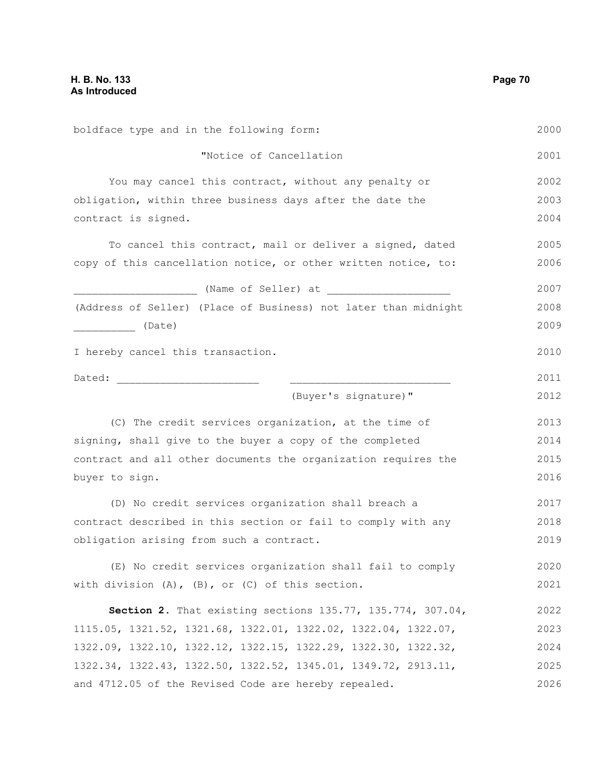| boldface type and in the following form:                        | 2000 |
|-----------------------------------------------------------------|------|
| "Notice of Cancellation                                         | 2001 |
| You may cancel this contract, without any penalty or            | 2002 |
| obligation, within three business days after the date the       | 2003 |
| contract is signed.                                             | 2004 |
| To cancel this contract, mail or deliver a signed, dated        | 2005 |
| copy of this cancellation notice, or other written notice, to:  | 2006 |
|                                                                 | 2007 |
| (Address of Seller) (Place of Business) not later than midnight | 2008 |
| (Date)                                                          | 2009 |
| I hereby cancel this transaction.                               | 2010 |
|                                                                 | 2011 |
| (Buyer's signature)"                                            | 2012 |
| (C) The credit services organization, at the time of            | 2013 |
| signing, shall give to the buyer a copy of the completed        | 2014 |
| contract and all other documents the organization requires the  | 2015 |
| buyer to sign.                                                  | 2016 |
| (D) No credit services organization shall breach a              | 2017 |
| contract described in this section or fail to comply with any   | 2018 |
| obligation arising from such a contract.                        | 2019 |
| (E) No credit services organization shall fail to comply        | 2020 |
| with division $(A)$ , $(B)$ , or $(C)$ of this section.         | 2021 |
| Section 2. That existing sections 135.77, 135.774, 307.04,      | 2022 |
| 1115.05, 1321.52, 1321.68, 1322.01, 1322.02, 1322.04, 1322.07,  | 2023 |
| 1322.09, 1322.10, 1322.12, 1322.15, 1322.29, 1322.30, 1322.32,  | 2024 |
| 1322.34, 1322.43, 1322.50, 1322.52, 1345.01, 1349.72, 2913.11,  | 2025 |
| and 4712.05 of the Revised Code are hereby repealed.            | 2026 |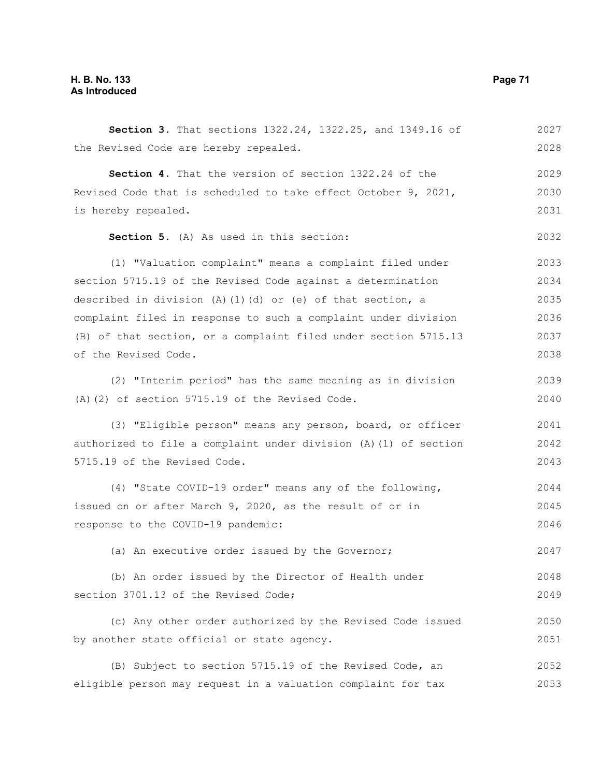| Section 3. That sections 1322.24, 1322.25, and 1349.16 of        | 2027 |
|------------------------------------------------------------------|------|
| the Revised Code are hereby repealed.                            | 2028 |
| Section 4. That the version of section 1322.24 of the            | 2029 |
| Revised Code that is scheduled to take effect October 9, 2021,   | 2030 |
| is hereby repealed.                                              | 2031 |
| Section 5. (A) As used in this section:                          | 2032 |
| (1) "Valuation complaint" means a complaint filed under          | 2033 |
| section 5715.19 of the Revised Code against a determination      | 2034 |
| described in division $(A) (1) (d)$ or $(e)$ of that section, a  | 2035 |
| complaint filed in response to such a complaint under division   | 2036 |
| (B) of that section, or a complaint filed under section 5715.13  | 2037 |
| of the Revised Code.                                             | 2038 |
| (2) "Interim period" has the same meaning as in division         | 2039 |
| $(A)$ (2) of section 5715.19 of the Revised Code.                | 2040 |
| (3) "Eligible person" means any person, board, or officer        | 2041 |
| authorized to file a complaint under division (A) (1) of section | 2042 |
| 5715.19 of the Revised Code.                                     | 2043 |
| (4) "State COVID-19 order" means any of the following,           | 2044 |
| issued on or after March 9, 2020, as the result of or in         | 2045 |
| response to the COVID-19 pandemic:                               | 2046 |
| (a) An executive order issued by the Governor;                   | 2047 |
| (b) An order issued by the Director of Health under              | 2048 |
| section 3701.13 of the Revised Code;                             | 2049 |
| (c) Any other order authorized by the Revised Code issued        | 2050 |
| by another state official or state agency.                       | 2051 |
| (B) Subject to section 5715.19 of the Revised Code, an           | 2052 |
| eligible person may request in a valuation complaint for tax     | 2053 |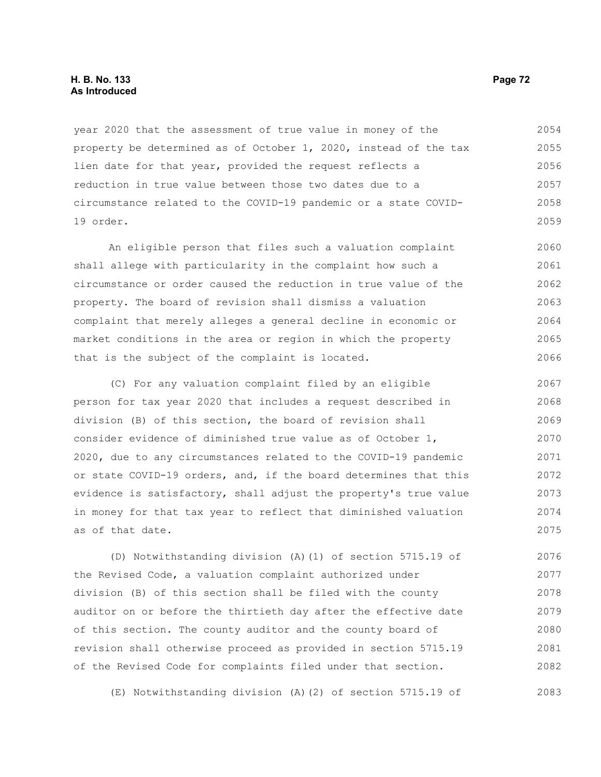## **H. B. No. 133 Page 72 As Introduced**

year 2020 that the assessment of true value in money of the property be determined as of October 1, 2020, instead of the tax lien date for that year, provided the request reflects a reduction in true value between those two dates due to a circumstance related to the COVID-19 pandemic or a state COVID-19 order. 2054 2055 2056 2057 2058 2059

An eligible person that files such a valuation complaint shall allege with particularity in the complaint how such a circumstance or order caused the reduction in true value of the property. The board of revision shall dismiss a valuation complaint that merely alleges a general decline in economic or market conditions in the area or region in which the property that is the subject of the complaint is located. 2060 2061 2062 2063 2064 2065 2066

(C) For any valuation complaint filed by an eligible person for tax year 2020 that includes a request described in division (B) of this section, the board of revision shall consider evidence of diminished true value as of October 1, 2020, due to any circumstances related to the COVID-19 pandemic or state COVID-19 orders, and, if the board determines that this evidence is satisfactory, shall adjust the property's true value in money for that tax year to reflect that diminished valuation as of that date. 2067 2068 2069 2070 2071 2072 2073 2074 2075

(D) Notwithstanding division (A)(1) of section 5715.19 of the Revised Code, a valuation complaint authorized under division (B) of this section shall be filed with the county auditor on or before the thirtieth day after the effective date of this section. The county auditor and the county board of revision shall otherwise proceed as provided in section 5715.19 of the Revised Code for complaints filed under that section. 2076 2077 2078 2079 2080 2081 2082

(E) Notwithstanding division (A)(2) of section 5715.19 of 2083